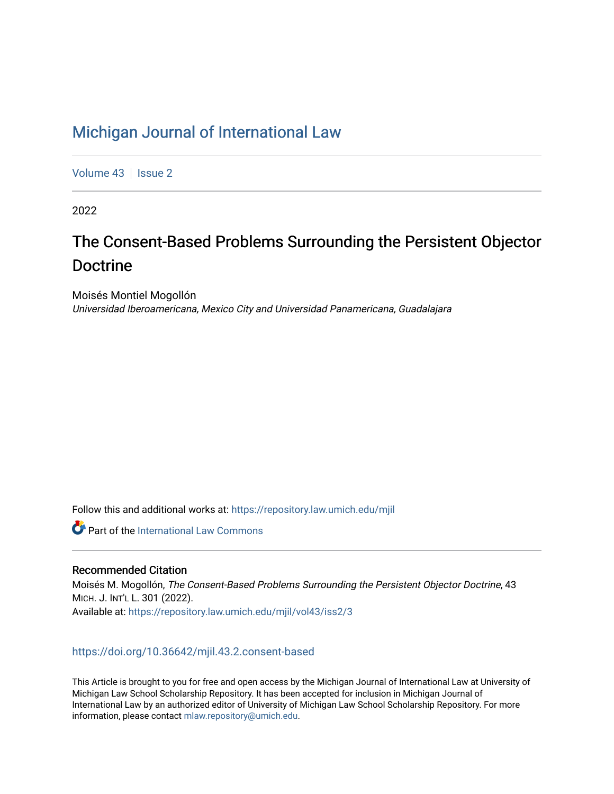## [Michigan Journal of International Law](https://repository.law.umich.edu/mjil)

[Volume 43](https://repository.law.umich.edu/mjil/vol43) | [Issue 2](https://repository.law.umich.edu/mjil/vol43/iss2)

2022

# The Consent-Based Problems Surrounding the Persistent Objector Doctrine

Moisés Montiel Mogollón Universidad Iberoamericana, Mexico City and Universidad Panamericana, Guadalajara

Follow this and additional works at: [https://repository.law.umich.edu/mjil](https://repository.law.umich.edu/mjil?utm_source=repository.law.umich.edu%2Fmjil%2Fvol43%2Fiss2%2F3&utm_medium=PDF&utm_campaign=PDFCoverPages) 

**C** Part of the International Law Commons

## Recommended Citation

Moisés M. Mogollón, The Consent-Based Problems Surrounding the Persistent Objector Doctrine, 43 MICH. J. INT'L L. 301 (2022). Available at: [https://repository.law.umich.edu/mjil/vol43/iss2/3](https://repository.law.umich.edu/mjil/vol43/iss2/3?utm_source=repository.law.umich.edu%2Fmjil%2Fvol43%2Fiss2%2F3&utm_medium=PDF&utm_campaign=PDFCoverPages) 

## <https://doi.org/10.36642/mjil.43.2.consent-based>

This Article is brought to you for free and open access by the Michigan Journal of International Law at University of Michigan Law School Scholarship Repository. It has been accepted for inclusion in Michigan Journal of International Law by an authorized editor of University of Michigan Law School Scholarship Repository. For more information, please contact [mlaw.repository@umich.edu](mailto:mlaw.repository@umich.edu).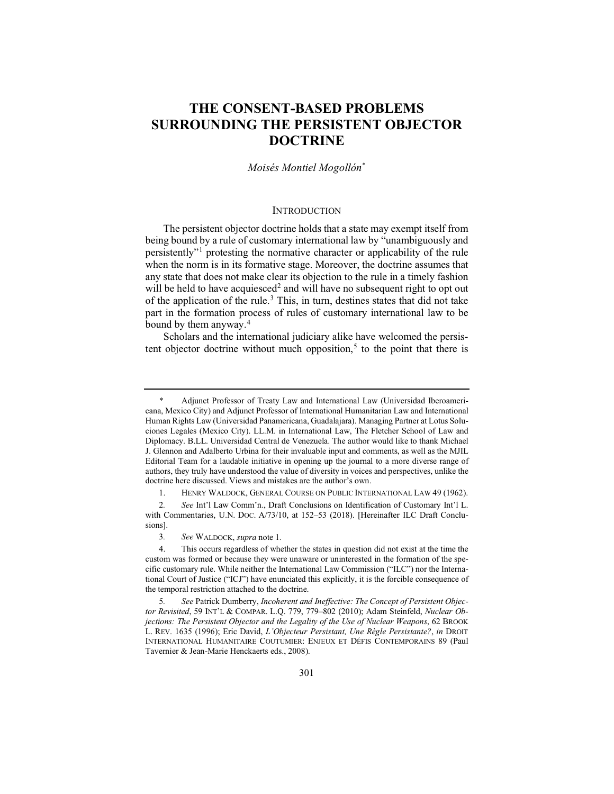## **THE CONSENT-BASED PROBLEMS SURROUNDING THE PERSISTENT OBJECTOR DOCTRINE**

## *Moisés Montiel Mogollón*\*

## **INTRODUCTION**

The persistent objector doctrine holds that a state may exempt itself from being bound by a rule of customary international law by "unambiguously and persistently"<sup>1</sup> protesting the normative character or applicability of the rule when the norm is in its formative stage. Moreover, the doctrine assumes that any state that does not make clear its objection to the rule in a timely fashion will be held to have acquiesced<sup>2</sup> and will have no subsequent right to opt out of the application of the rule.<sup>3</sup> This, in turn, destines states that did not take part in the formation process of rules of customary international law to be bound by them anyway.<sup>4</sup>

Scholars and the international judiciary alike have welcomed the persistent objector doctrine without much opposition,<sup>5</sup> to the point that there is

Adjunct Professor of Treaty Law and International Law (Universidad Iberoamericana, Mexico City) and Adjunct Professor of International Humanitarian Law and International Human Rights Law (Universidad Panamericana, Guadalajara). Managing Partner at Lotus Soluciones Legales (Mexico City). LL.M. in International Law, The Fletcher School of Law and Diplomacy. B.LL. Universidad Central de Venezuela. The author would like to thank Michael J. Glennon and Adalberto Urbina for their invaluable input and comments, as well as the MJIL Editorial Team for a laudable initiative in opening up the journal to a more diverse range of authors, they truly have understood the value of diversity in voices and perspectives, unlike the doctrine here discussed. Views and mistakes are the author's own.

<sup>1.</sup> HENRY WALDOCK, GENERAL COURSE ON PUBLIC INTERNATIONAL LAW 49 (1962).

<sup>2</sup>*. See* Int'l Law Comm'n., Draft Conclusions on Identification of Customary Int'l L. with Commentaries, U.N. DOC. A/73/10, at 152–53 (2018). [Hereinafter ILC Draft Conclusions].

<sup>3</sup>*. See* WALDOCK, *supra* note 1*.*

<sup>4.</sup> This occurs regardless of whether the states in question did not exist at the time the custom was formed or because they were unaware or uninterested in the formation of the specific customary rule. While neither the International Law Commission ("ILC") nor the International Court of Justice ("ICJ") have enunciated this explicitly, it is the forcible consequence of the temporal restriction attached to the doctrine.

<sup>5</sup>*. See* Patrick Dumberry, *Incoherent and Ineffective: The Concept of Persistent Objector Revisited*, 59 INT'L & COMPAR. L.Q. 779, 779–802 (2010); Adam Steinfeld, *Nuclear Objections: The Persistent Objector and the Legality of the Use of Nuclear Weapons*, 62 BROOK L. REV. 1635 (1996); Eric David, *L'Objecteur Persistant, Une Règle Persistante?*, *in* DROIT INTERNATIONAL HUMANITAIRE COUTUMIER: ENJEUX ET DÉFIS CONTEMPORAINS 89 (Paul Tavernier & Jean-Marie Henckaerts eds., 2008).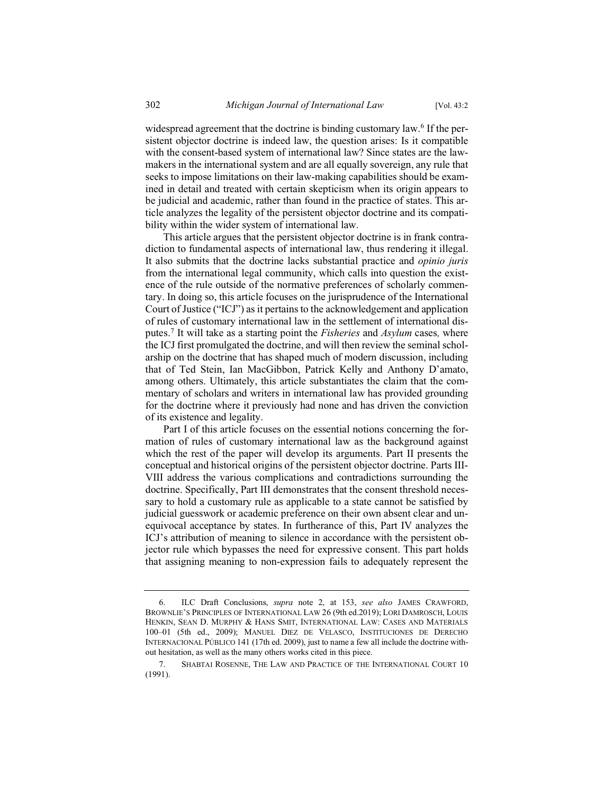widespread agreement that the doctrine is binding customary law.<sup>6</sup> If the persistent objector doctrine is indeed law, the question arises: Is it compatible with the consent-based system of international law? Since states are the lawmakers in the international system and are all equally sovereign, any rule that seeks to impose limitations on their law-making capabilities should be examined in detail and treated with certain skepticism when its origin appears to be judicial and academic, rather than found in the practice of states. This article analyzes the legality of the persistent objector doctrine and its compatibility within the wider system of international law.

This article argues that the persistent objector doctrine is in frank contradiction to fundamental aspects of international law, thus rendering it illegal. It also submits that the doctrine lacks substantial practice and *opinio juris* from the international legal community, which calls into question the existence of the rule outside of the normative preferences of scholarly commentary. In doing so, this article focuses on the jurisprudence of the International Court of Justice ("ICJ") as it pertains to the acknowledgement and application of rules of customary international law in the settlement of international disputes.<sup>7</sup> It will take as a starting point the *Fisheries* and *Asylum* cases*,* where the ICJ first promulgated the doctrine, and will then review the seminal scholarship on the doctrine that has shaped much of modern discussion, including that of Ted Stein, Ian MacGibbon, Patrick Kelly and Anthony D'amato, among others. Ultimately, this article substantiates the claim that the commentary of scholars and writers in international law has provided grounding for the doctrine where it previously had none and has driven the conviction of its existence and legality.

Part I of this article focuses on the essential notions concerning the formation of rules of customary international law as the background against which the rest of the paper will develop its arguments. Part II presents the conceptual and historical origins of the persistent objector doctrine. Parts III-VIII address the various complications and contradictions surrounding the doctrine. Specifically, Part III demonstrates that the consent threshold necessary to hold a customary rule as applicable to a state cannot be satisfied by judicial guesswork or academic preference on their own absent clear and unequivocal acceptance by states. In furtherance of this, Part IV analyzes the ICJ's attribution of meaning to silence in accordance with the persistent objector rule which bypasses the need for expressive consent. This part holds that assigning meaning to non-expression fails to adequately represent the

<sup>6.</sup> ILC Draft Conclusions, *supra* note 2, at 153, *see also* JAMES CRAWFORD, BROWNLIE'S PRINCIPLES OF INTERNATIONAL LAW 26 (9th ed.2019); LORI DAMROSCH, LOUIS HENKIN, SEAN D. MURPHY & HANS SMIT, INTERNATIONAL LAW: CASES AND MATERIALS 100–01 (5th ed., 2009); MANUEL DIEZ DE VELASCO, INSTITUCIONES DE DERECHO INTERNACIONAL PÚBLICO 141 (17th ed. 2009), just to name a few all include the doctrine without hesitation, as well as the many others works cited in this piece.

<sup>7.</sup> SHABTAI ROSENNE, THE LAW AND PRACTICE OF THE INTERNATIONAL COURT 10 (1991).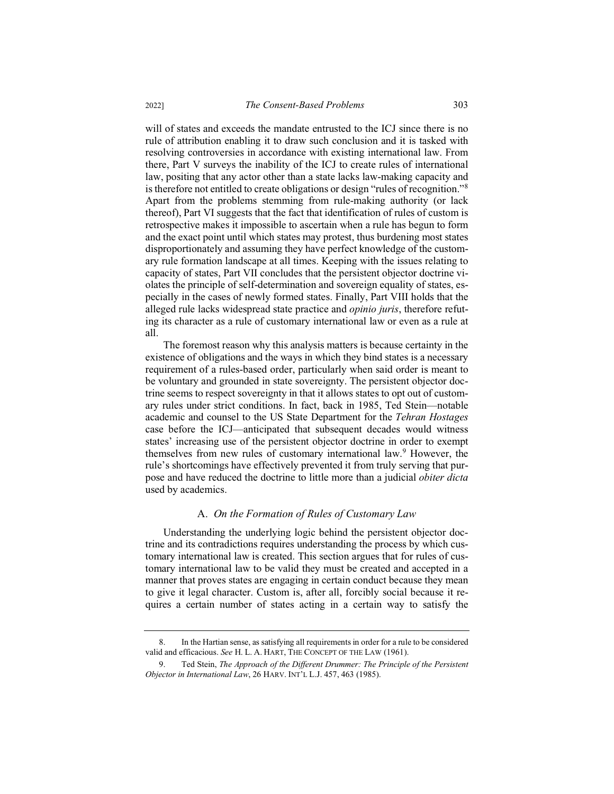will of states and exceeds the mandate entrusted to the ICJ since there is no rule of attribution enabling it to draw such conclusion and it is tasked with resolving controversies in accordance with existing international law. From there, Part V surveys the inability of the ICJ to create rules of international law, positing that any actor other than a state lacks law-making capacity and is therefore not entitled to create obligations or design "rules of recognition."<sup>8</sup> Apart from the problems stemming from rule-making authority (or lack thereof), Part VI suggests that the fact that identification of rules of custom is retrospective makes it impossible to ascertain when a rule has begun to form and the exact point until which states may protest, thus burdening most states disproportionately and assuming they have perfect knowledge of the customary rule formation landscape at all times. Keeping with the issues relating to capacity of states, Part VII concludes that the persistent objector doctrine violates the principle of self-determination and sovereign equality of states, especially in the cases of newly formed states. Finally, Part VIII holds that the alleged rule lacks widespread state practice and *opinio juris*, therefore refuting its character as a rule of customary international law or even as a rule at all.

The foremost reason why this analysis matters is because certainty in the existence of obligations and the ways in which they bind states is a necessary requirement of a rules-based order, particularly when said order is meant to be voluntary and grounded in state sovereignty. The persistent objector doctrine seems to respect sovereignty in that it allows states to opt out of customary rules under strict conditions. In fact, back in 1985, Ted Stein—notable academic and counsel to the US State Department for the *Tehran Hostages*  case before the ICJ—anticipated that subsequent decades would witness states' increasing use of the persistent objector doctrine in order to exempt themselves from new rules of customary international law.<sup>9</sup> However, the rule's shortcomings have effectively prevented it from truly serving that purpose and have reduced the doctrine to little more than a judicial *obiter dicta* used by academics.

## A. *On the Formation of Rules of Customary Law*

Understanding the underlying logic behind the persistent objector doctrine and its contradictions requires understanding the process by which customary international law is created. This section argues that for rules of customary international law to be valid they must be created and accepted in a manner that proves states are engaging in certain conduct because they mean to give it legal character. Custom is, after all, forcibly social because it requires a certain number of states acting in a certain way to satisfy the

<sup>8.</sup> In the Hartian sense, as satisfying all requirements in order for a rule to be considered valid and efficacious. *See* H. L. A. HART, THE CONCEPT OF THE LAW (1961).

<sup>9.</sup> Ted Stein, *The Approach of the Different Drummer: The Principle of the Persistent Objector in International Law*, 26 HARV. INT'L L.J. 457, 463 (1985).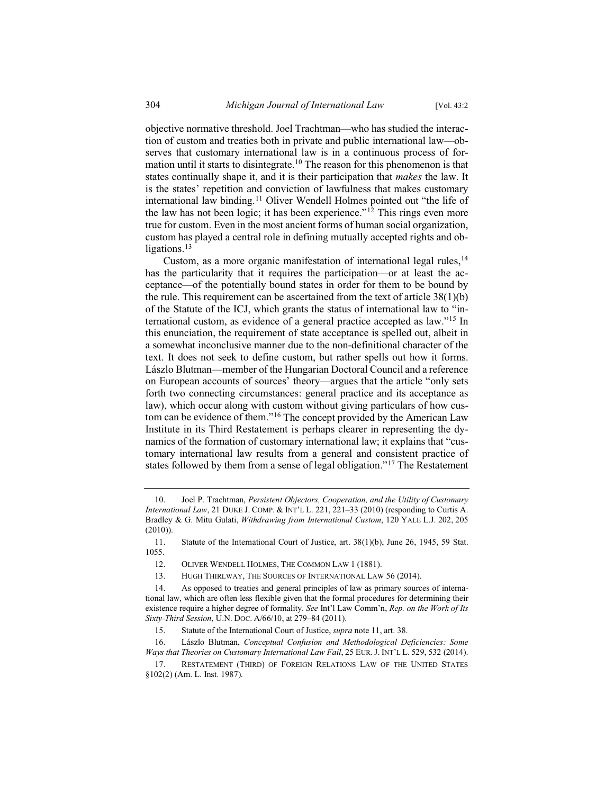objective normative threshold. Joel Trachtman—who has studied the interaction of custom and treaties both in private and public international law—observes that customary international law is in a continuous process of formation until it starts to disintegrate.<sup>10</sup> The reason for this phenomenon is that states continually shape it, and it is their participation that *makes* the law. It is the states' repetition and conviction of lawfulness that makes customary international law binding.<sup>11</sup> Oliver Wendell Holmes pointed out "the life of the law has not been logic; it has been experience."<sup>12</sup> This rings even more true for custom. Even in the most ancient forms of human social organization, custom has played a central role in defining mutually accepted rights and obligations.<sup>13</sup>

Custom, as a more organic manifestation of international legal rules,<sup>14</sup> has the particularity that it requires the participation—or at least the acceptance—of the potentially bound states in order for them to be bound by the rule. This requirement can be ascertained from the text of article  $38(1)(b)$ of the Statute of the ICJ, which grants the status of international law to "international custom, as evidence of a general practice accepted as law."<sup>15</sup> In this enunciation, the requirement of state acceptance is spelled out, albeit in a somewhat inconclusive manner due to the non-definitional character of the text. It does not seek to define custom, but rather spells out how it forms. Lászlo Blutman—member of the Hungarian Doctoral Council and a reference on European accounts of sources' theory—argues that the article "only sets forth two connecting circumstances: general practice and its acceptance as law), which occur along with custom without giving particulars of how custom can be evidence of them."<sup>16</sup> The concept provided by the American Law Institute in its Third Restatement is perhaps clearer in representing the dynamics of the formation of customary international law; it explains that "customary international law results from a general and consistent practice of states followed by them from a sense of legal obligation."<sup>17</sup> The Restatement

<sup>10.</sup> Joel P. Trachtman, *Persistent Objectors, Cooperation, and the Utility of Customary International Law*, 21 DUKE J. COMP. & INT'L L. 221, 221–33 (2010) (responding to Curtis A. Bradley & G. Mitu Gulati, *Withdrawing from International Custom*, 120 YALE L.J. 202, 205 (2010)).

<sup>11.</sup> Statute of the International Court of Justice, art. 38(1)(b), June 26, 1945, 59 Stat. 1055.

<sup>12.</sup> OLIVER WENDELL HOLMES, THE COMMON LAW 1 (1881).

<sup>13.</sup> HUGH THIRLWAY, THE SOURCES OF INTERNATIONAL LAW 56 (2014).

<sup>14.</sup> As opposed to treaties and general principles of law as primary sources of international law, which are often less flexible given that the formal procedures for determining their existence require a higher degree of formality. *See* Int'l Law Comm'n, *Rep. on the Work of Its Sixty-Third Session*, U.N. DOC. A/66/10, at 279–84 (2011).

<sup>15.</sup> Statute of the International Court of Justice, *supra* note 11, art. 38.

<sup>16.</sup> Lászlo Blutman, *Conceptual Confusion and Methodological Deficiencies: Some Ways that Theories on Customary International Law Fail*, 25 EUR. J. INT'L L. 529, 532 (2014).

<sup>17.</sup> RESTATEMENT (THIRD) OF FOREIGN RELATIONS LAW OF THE UNITED STATES §102(2) (Am. L. Inst. 1987).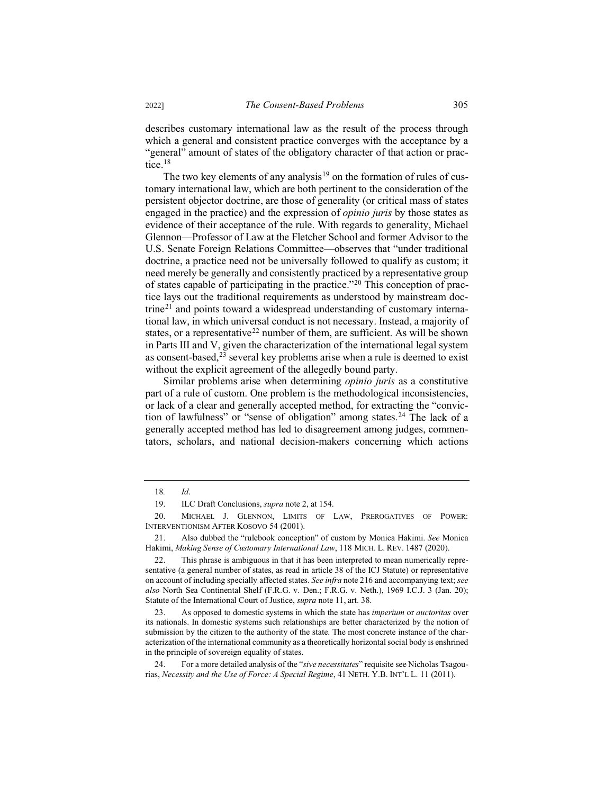describes customary international law as the result of the process through which a general and consistent practice converges with the acceptance by a "general" amount of states of the obligatory character of that action or practice.<sup>18</sup>

The two key elements of any analysis<sup>19</sup> on the formation of rules of customary international law, which are both pertinent to the consideration of the persistent objector doctrine, are those of generality (or critical mass of states engaged in the practice) and the expression of *opinio juris* by those states as evidence of their acceptance of the rule. With regards to generality, Michael Glennon—Professor of Law at the Fletcher School and former Advisor to the U.S. Senate Foreign Relations Committee—observes that "under traditional doctrine, a practice need not be universally followed to qualify as custom; it need merely be generally and consistently practiced by a representative group of states capable of participating in the practice."<sup>20</sup> This conception of practice lays out the traditional requirements as understood by mainstream doctrine<sup>21</sup> and points toward a widespread understanding of customary international law, in which universal conduct is not necessary. Instead, a majority of states, or a representative<sup>22</sup> number of them, are sufficient. As will be shown in Parts III and V, given the characterization of the international legal system as consent-based, $2<sup>3</sup>$  several key problems arise when a rule is deemed to exist without the explicit agreement of the allegedly bound party.

Similar problems arise when determining *opinio juris* as a constitutive part of a rule of custom. One problem is the methodological inconsistencies, or lack of a clear and generally accepted method, for extracting the "conviction of lawfulness" or "sense of obligation" among states.<sup>24</sup> The lack of a generally accepted method has led to disagreement among judges, commentators, scholars, and national decision-makers concerning which actions

<sup>18</sup>*. Id*.

<sup>19.</sup> ILC Draft Conclusions, *supra* note 2, at 154.

<sup>20.</sup> MICHAEL J. GLENNON, LIMITS OF LAW, PREROGATIVES OF POWER: INTERVENTIONISM AFTER KOSOVO 54 (2001).

<sup>21.</sup> Also dubbed the "rulebook conception" of custom by Monica Hakimi. *See* Monica Hakimi, *Making Sense of Customary International Law*, 118 MICH. L. REV. 1487 (2020).

<sup>22.</sup> This phrase is ambiguous in that it has been interpreted to mean numerically representative (a general number of states, as read in article 38 of the ICJ Statute) or representative on account of including specially affected states. *See infra* note 216 and accompanying text; *see also* North Sea Continental Shelf (F.R.G. v. Den.; F.R.G. v. Neth.), 1969 I.C.J. 3 (Jan. 20); Statute of the International Court of Justice, *supra* note 11, art. 38.

<sup>23.</sup> As opposed to domestic systems in which the state has *imperium* or *auctoritas* over its nationals. In domestic systems such relationships are better characterized by the notion of submission by the citizen to the authority of the state. The most concrete instance of the characterization of the international community as a theoretically horizontal social body is enshrined in the principle of sovereign equality of states.

<sup>24.</sup> For a more detailed analysis of the "*sive necessitates*" requisite see Nicholas Tsagourias, *Necessity and the Use of Force: A Special Regime*, 41 NETH. Y.B. INT'L L. 11 (2011).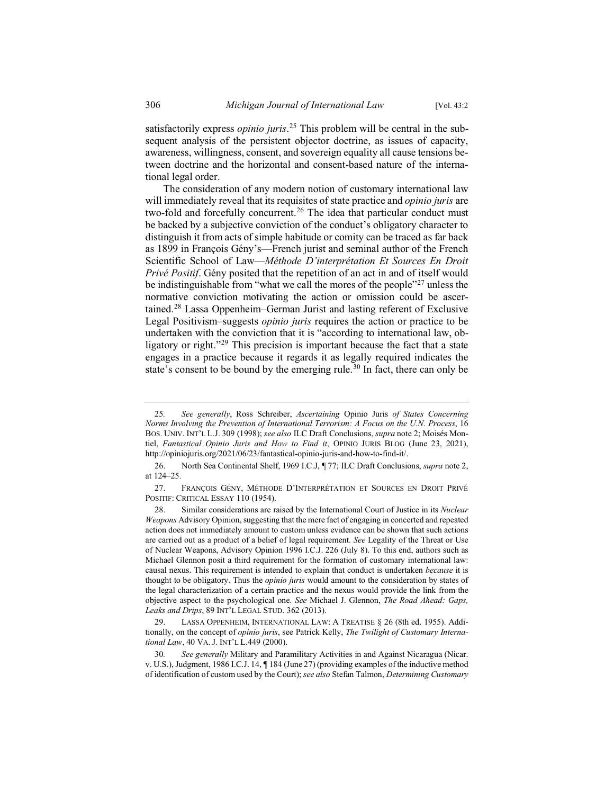satisfactorily express *opinio juris*. <sup>25</sup> This problem will be central in the subsequent analysis of the persistent objector doctrine, as issues of capacity, awareness, willingness, consent, and sovereign equality all cause tensions between doctrine and the horizontal and consent-based nature of the international legal order.

The consideration of any modern notion of customary international law will immediately reveal that its requisites of state practice and *opinio juris* are two-fold and forcefully concurrent.<sup>26</sup> The idea that particular conduct must be backed by a subjective conviction of the conduct's obligatory character to distinguish it from acts of simple habitude or comity can be traced as far back as 1899 in François Gény's—French jurist and seminal author of the French Scientific School of Law—*Méthode D'interprétation Et Sources En Droit Privé Positif*. Gény posited that the repetition of an act in and of itself would be indistinguishable from "what we call the mores of the people"<sup>27</sup> unless the normative conviction motivating the action or omission could be ascertained.<sup>28</sup> Lassa Oppenheim–German Jurist and lasting referent of Exclusive Legal Positivism–suggests *opinio juris* requires the action or practice to be undertaken with the conviction that it is "according to international law, obligatory or right."<sup>29</sup> This precision is important because the fact that a state engages in a practice because it regards it as legally required indicates the state's consent to be bound by the emerging rule.<sup>30</sup> In fact, there can only be

<sup>25</sup>*. See generally*, Ross Schreiber, *Ascertaining* Opinio Juris *of States Concerning Norms Involving the Prevention of International Terrorism: A Focus on the U.N. Process*, 16 BOS. UNIV. INT'L L.J. 309 (1998); *see also* ILC Draft Conclusions, *supra* note 2; Moisés Montiel, *Fantastical Opinio Juris and How to Find it*, OPINIO JURIS BLOG (June 23, 2021), http://opiniojuris.org/2021/06/23/fantastical-opinio-juris-and-how-to-find-it/.

<sup>26.</sup> North Sea Continental Shelf, 1969 I.C.J, ¶ 77; ILC Draft Conclusions, *supra* note 2, at 124–25.

<sup>27.</sup> FRANÇOIS GÉNY, MÉTHODE D'INTERPRÉTATION ET SOURCES EN DROIT PRIVÉ POSITIF: CRITICAL ESSAY 110 (1954).

<sup>28.</sup> Similar considerations are raised by the International Court of Justice in its *Nuclear Weapons* Advisory Opinion, suggesting that the mere fact of engaging in concerted and repeated action does not immediately amount to custom unless evidence can be shown that such actions are carried out as a product of a belief of legal requirement. *See* Legality of the Threat or Use of Nuclear Weapons, Advisory Opinion 1996 I.C.J. 226 (July 8). To this end, authors such as Michael Glennon posit a third requirement for the formation of customary international law: causal nexus. This requirement is intended to explain that conduct is undertaken *because* it is thought to be obligatory. Thus the *opinio juris* would amount to the consideration by states of the legal characterization of a certain practice and the nexus would provide the link from the objective aspect to the psychological one. *See* Michael J. Glennon, *The Road Ahead: Gaps, Leaks and Drips*, 89 INT'L LEGAL STUD. 362 (2013).

<sup>29.</sup> LASSA OPPENHEIM, INTERNATIONAL LAW: A TREATISE § 26 (8th ed. 1955). Additionally, on the concept of *opinio juris*, see Patrick Kelly, *The Twilight of Customary International Law*, 40 VA. J. INT'L L.449 (2000).

<sup>30</sup>*. See generally* Military and Paramilitary Activities in and Against Nicaragua (Nicar. v. U.S.), Judgment, 1986 I.C.J. 14, ¶ 184 (June 27) (providing examples of the inductive method of identification of custom used by the Court); *see also* Stefan Talmon, *Determining Customary*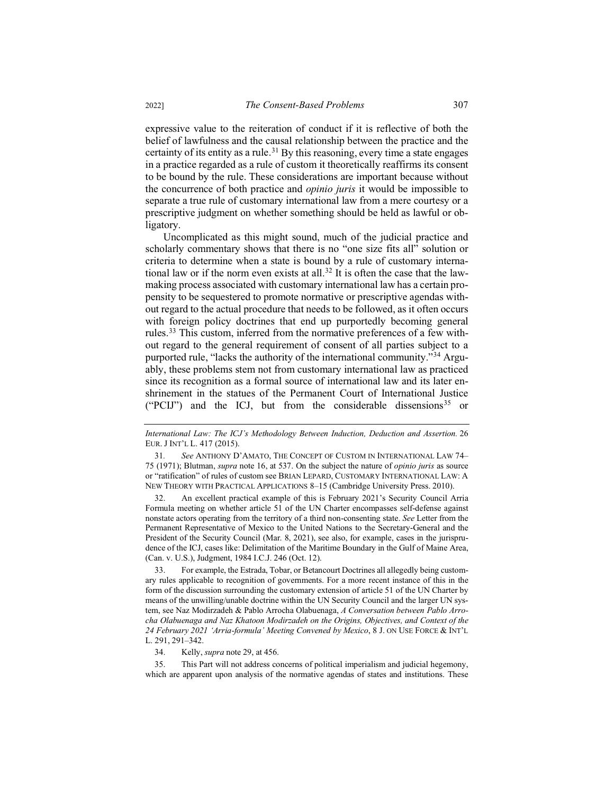expressive value to the reiteration of conduct if it is reflective of both the belief of lawfulness and the causal relationship between the practice and the certainty of its entity as a rule.<sup>31</sup> By this reasoning, every time a state engages in a practice regarded as a rule of custom it theoretically reaffirms its consent to be bound by the rule. These considerations are important because without the concurrence of both practice and *opinio juris* it would be impossible to separate a true rule of customary international law from a mere courtesy or a prescriptive judgment on whether something should be held as lawful or obligatory.

Uncomplicated as this might sound, much of the judicial practice and scholarly commentary shows that there is no "one size fits all" solution or criteria to determine when a state is bound by a rule of customary international law or if the norm even exists at all.<sup>32</sup> It is often the case that the lawmaking process associated with customary international law has a certain propensity to be sequestered to promote normative or prescriptive agendas without regard to the actual procedure that needs to be followed, as it often occurs with foreign policy doctrines that end up purportedly becoming general rules.<sup>33</sup> This custom, inferred from the normative preferences of a few without regard to the general requirement of consent of all parties subject to a purported rule, "lacks the authority of the international community."<sup>34</sup> Arguably, these problems stem not from customary international law as practiced since its recognition as a formal source of international law and its later enshrinement in the statues of the Permanent Court of International Justice ("PCIJ") and the ICJ, but from the considerable dissensions<sup>35</sup> or

32. An excellent practical example of this is February 2021's Security Council Arria Formula meeting on whether article 51 of the UN Charter encompasses self-defense against nonstate actors operating from the territory of a third non-consenting state. *See* Letter from the Permanent Representative of Mexico to the United Nations to the Secretary-General and the President of the Security Council (Mar. 8, 2021), see also, for example, cases in the jurisprudence of the ICJ, cases like: Delimitation of the Maritime Boundary in the Gulf of Maine Area, (Can. v. U.S.), Judgment, 1984 I.C.J. 246 (Oct. 12).

33. For example, the Estrada, Tobar, or Betancourt Doctrines all allegedly being customary rules applicable to recognition of governments. For a more recent instance of this in the form of the discussion surrounding the customary extension of article 51 of the UN Charter by means of the unwilling/unable doctrine within the UN Security Council and the larger UN system, see Naz Modirzadeh & Pablo Arrocha Olabuenaga, *A Conversation between Pablo Arrocha Olabuenaga and Naz Khatoon Modirzadeh on the Origins, Objectives, and Context of the 24 February 2021 'Arria-formula' Meeting Convened by Mexico*, 8 J. ON USE FORCE & INT'L L. 291, 291–342.

34. Kelly, *supra* note 29, at 456.

35. This Part will not address concerns of political imperialism and judicial hegemony, which are apparent upon analysis of the normative agendas of states and institutions. These

*International Law: The ICJ's Methodology Between Induction, Deduction and Assertion.* 26 EUR.JINT'L L. 417 (2015).

<sup>31</sup>*. See* ANTHONY D'AMATO, THE CONCEPT OF CUSTOM IN INTERNATIONAL LAW 74– 75 (1971); Blutman, *supra* note 16, at 537. On the subject the nature of *opinio juris* as source or "ratification" of rules of custom see BRIAN LEPARD, CUSTOMARY INTERNATIONAL LAW: A NEW THEORY WITH PRACTICAL APPLICATIONS 8–15 (Cambridge University Press. 2010).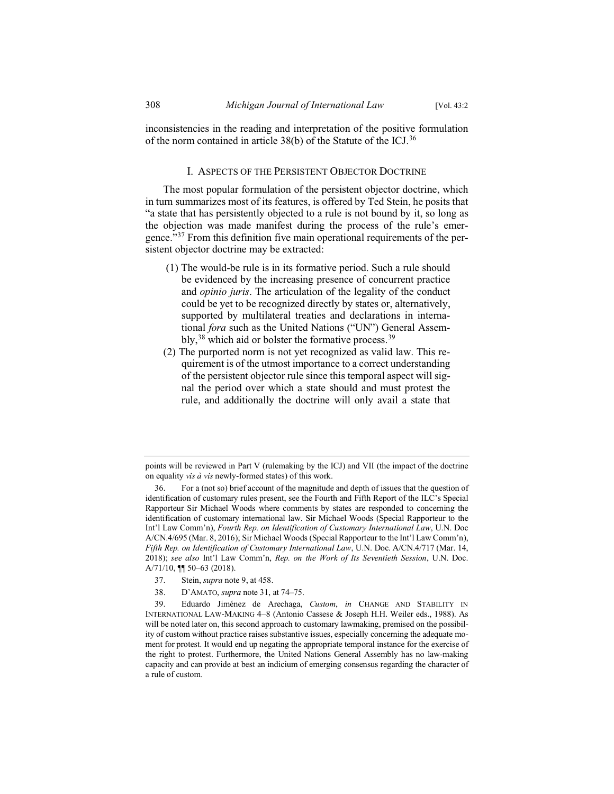inconsistencies in the reading and interpretation of the positive formulation of the norm contained in article 38(b) of the Statute of the ICJ.<sup>36</sup>

## I. ASPECTS OF THE PERSISTENT OBJECTOR DOCTRINE

The most popular formulation of the persistent objector doctrine, which in turn summarizes most of its features, is offered by Ted Stein, he posits that "a state that has persistently objected to a rule is not bound by it, so long as the objection was made manifest during the process of the rule's emergence."<sup>37</sup> From this definition five main operational requirements of the persistent objector doctrine may be extracted:

- (1) The would-be rule is in its formative period. Such a rule should be evidenced by the increasing presence of concurrent practice and *opinio juris*. The articulation of the legality of the conduct could be yet to be recognized directly by states or, alternatively, supported by multilateral treaties and declarations in international *fora* such as the United Nations ("UN") General Assembly,  $38$  which aid or bolster the formative process.  $39$
- (2) The purported norm is not yet recognized as valid law. This requirement is of the utmost importance to a correct understanding of the persistent objector rule since this temporal aspect will signal the period over which a state should and must protest the rule, and additionally the doctrine will only avail a state that

points will be reviewed in Part V (rulemaking by the ICJ) and VII (the impact of the doctrine on equality *vis à vis* newly-formed states) of this work.

<sup>36.</sup> For a (not so) brief account of the magnitude and depth of issues that the question of identification of customary rules present, see the Fourth and Fifth Report of the ILC's Special Rapporteur Sir Michael Woods where comments by states are responded to concerning the identification of customary international law. Sir Michael Woods (Special Rapporteur to the Int'l Law Comm'n), *Fourth Rep. on Identification of Customary International Law*, U.N. Doc A/CN.4/695 (Mar. 8, 2016); Sir Michael Woods (Special Rapporteur to the Int'l Law Comm'n), *Fifth Rep. on Identification of Customary International Law*, U.N. Doc. A/CN.4/717 (Mar. 14, 2018); *see also* Int'l Law Comm'n, *Rep. on the Work of Its Seventieth Session*, U.N. Doc. A/71/10, ¶¶ 50–63 (2018).

<sup>37.</sup> Stein, *supra* note 9, at 458.

<sup>38.</sup> D'AMATO, *supra* note 31, at 74–75.

<sup>39.</sup> Eduardo Jiménez de Arechaga, *Custom*, *in* CHANGE AND STABILITY IN INTERNATIONAL LAW-MAKING 4–8 (Antonio Cassese & Joseph H.H. Weiler eds., 1988). As will be noted later on, this second approach to customary lawmaking, premised on the possibility of custom without practice raises substantive issues, especially concerning the adequate moment for protest. It would end up negating the appropriate temporal instance for the exercise of the right to protest. Furthermore, the United Nations General Assembly has no law-making capacity and can provide at best an indicium of emerging consensus regarding the character of a rule of custom.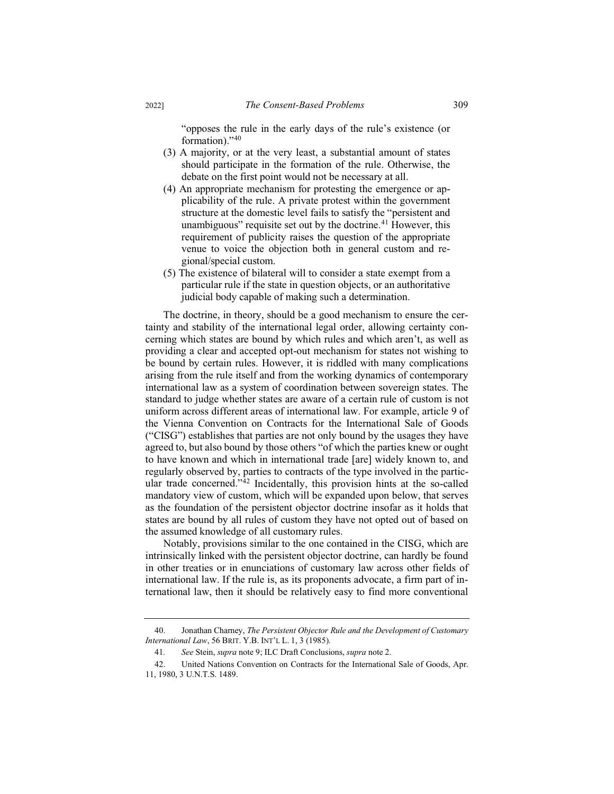"opposes the rule in the early days of the rule's existence (or formation)."<sup>40</sup>

- (3) A majority, or at the very least, a substantial amount of states should participate in the formation of the rule. Otherwise, the debate on the first point would not be necessary at all.
- (4) An appropriate mechanism for protesting the emergence or applicability of the rule. A private protest within the government structure at the domestic level fails to satisfy the "persistent and unambiguous" requisite set out by the doctrine.<sup>41</sup> However, this requirement of publicity raises the question of the appropriate venue to voice the objection both in general custom and regional/special custom.
- (5) The existence of bilateral will to consider a state exempt from a particular rule if the state in question objects, or an authoritative judicial body capable of making such a determination.

The doctrine, in theory, should be a good mechanism to ensure the certainty and stability of the international legal order, allowing certainty concerning which states are bound by which rules and which aren't, as well as providing a clear and accepted opt-out mechanism for states not wishing to be bound by certain rules. However, it is riddled with many complications arising from the rule itself and from the working dynamics of contemporary international law as a system of coordination between sovereign states. The standard to judge whether states are aware of a certain rule of custom is not uniform across different areas of international law. For example, article 9 of the Vienna Convention on Contracts for the International Sale of Goods ("CISG") establishes that parties are not only bound by the usages they have agreed to, but also bound by those others "of which the parties knew or ought to have known and which in international trade [are] widely known to, and regularly observed by, parties to contracts of the type involved in the particular trade concerned."<sup>42</sup> Incidentally, this provision hints at the so-called mandatory view of custom, which will be expanded upon below, that serves as the foundation of the persistent objector doctrine insofar as it holds that states are bound by all rules of custom they have not opted out of based on the assumed knowledge of all customary rules.

Notably, provisions similar to the one contained in the CISG, which are intrinsically linked with the persistent objector doctrine, can hardly be found in other treaties or in enunciations of customary law across other fields of international law. If the rule is, as its proponents advocate, a firm part of international law, then it should be relatively easy to find more conventional

<sup>40.</sup> Jonathan Charney, *The Persistent Objector Rule and the Development of Customary International Law*, 56 BRIT. Y.B. INT'L L. 1, 3 (1985).

<sup>41</sup>*. See* Stein, *supra* note 9; ILC Draft Conclusions, *supra* note 2.

<sup>42.</sup> United Nations Convention on Contracts for the International Sale of Goods, Apr. 11, 1980, 3 U.N.T.S. 1489.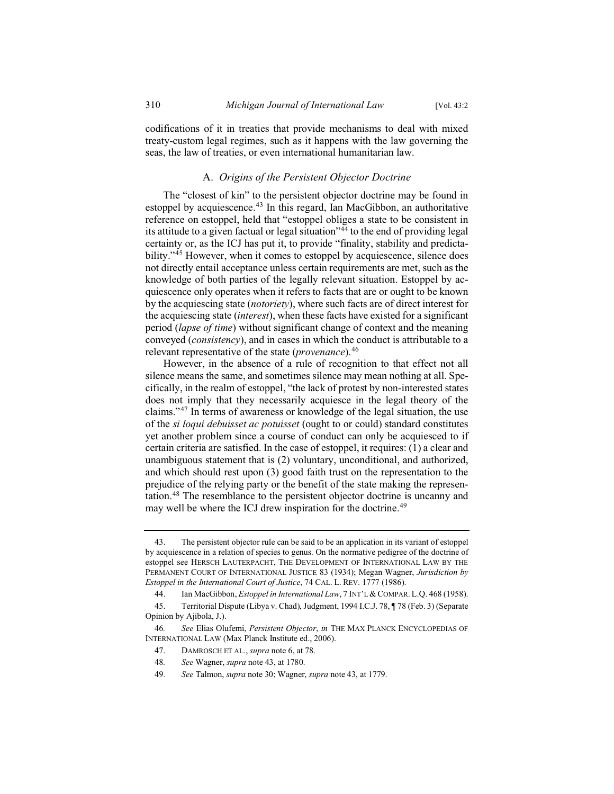codifications of it in treaties that provide mechanisms to deal with mixed treaty-custom legal regimes, such as it happens with the law governing the seas, the law of treaties, or even international humanitarian law.

## A. *Origins of the Persistent Objector Doctrine*

The "closest of kin" to the persistent objector doctrine may be found in estoppel by acquiescence.<sup>43</sup> In this regard, Ian MacGibbon, an authoritative reference on estoppel, held that "estoppel obliges a state to be consistent in its attitude to a given factual or legal situation<sup> $34$ </sup> to the end of providing legal certainty or, as the ICJ has put it, to provide "finality, stability and predictability."<sup>45</sup> However, when it comes to estoppel by acquiescence, silence does not directly entail acceptance unless certain requirements are met, such as the knowledge of both parties of the legally relevant situation. Estoppel by acquiescence only operates when it refers to facts that are or ought to be known by the acquiescing state (*notoriety*), where such facts are of direct interest for the acquiescing state (*interest*), when these facts have existed for a significant period (*lapse of time*) without significant change of context and the meaning conveyed (*consistency*), and in cases in which the conduct is attributable to a relevant representative of the state (*provenance*).<sup>46</sup>

However, in the absence of a rule of recognition to that effect not all silence means the same, and sometimes silence may mean nothing at all. Specifically, in the realm of estoppel, "the lack of protest by non-interested states does not imply that they necessarily acquiesce in the legal theory of the claims."<sup>47</sup> In terms of awareness or knowledge of the legal situation, the use of the *si loqui debuisset ac potuisset* (ought to or could) standard constitutes yet another problem since a course of conduct can only be acquiesced to if certain criteria are satisfied. In the case of estoppel, it requires: (1) a clear and unambiguous statement that is (2) voluntary, unconditional, and authorized, and which should rest upon (3) good faith trust on the representation to the prejudice of the relying party or the benefit of the state making the representation.<sup>48</sup> The resemblance to the persistent objector doctrine is uncanny and may well be where the ICJ drew inspiration for the doctrine.<sup>49</sup>

- 47. DAMROSCH ET AL., *supra* note 6, at 78.
- 48*. See* Wagner, *supra* note 43, at 1780.
- 49*. See* Talmon, *supra* note 30; Wagner, *supra* note 43, at 1779.

<sup>43.</sup> The persistent objector rule can be said to be an application in its variant of estoppel by acquiescence in a relation of species to genus. On the normative pedigree of the doctrine of estoppel see HERSCH LAUTERPACHT, THE DEVELOPMENT OF INTERNATIONAL LAW BY THE PERMANENT COURT OF INTERNATIONAL JUSTICE 83 (1934); Megan Wagner, *Jurisdiction by Estoppel in the International Court of Justice*, 74 CAL. L. REV. 1777 (1986).

<sup>44.</sup> Ian MacGibbon, *Estoppel in International Law*, 7 INT'L& COMPAR. L.Q. 468 (1958).

<sup>45.</sup> Territorial Dispute (Libya v. Chad), Judgment, 1994 I.C.J. 78, ¶ 78 (Feb. 3) (Separate Opinion by Ajibola, J.).

<sup>46</sup>*. See* Elias Olufemi, *Persistent Objector*, *in* THE MAX PLANCK ENCYCLOPEDIAS OF INTERNATIONAL LAW (Max Planck Institute ed., 2006).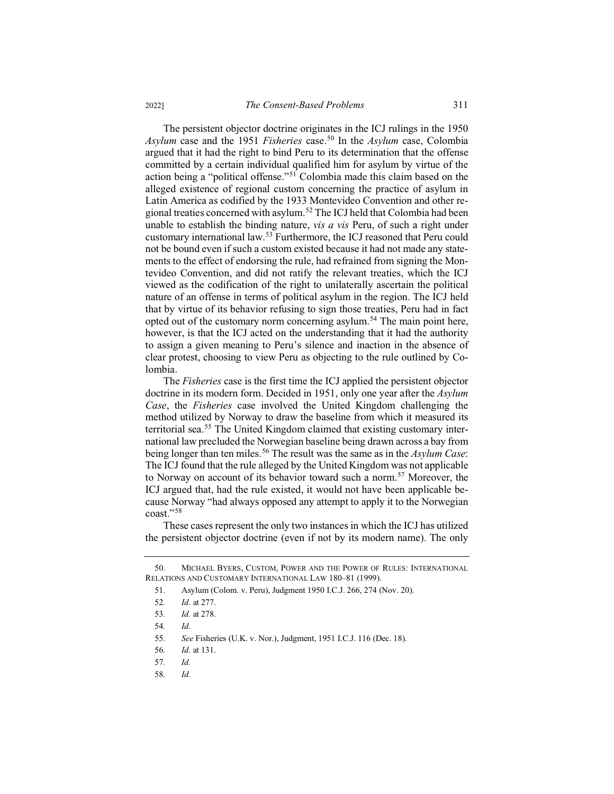The persistent objector doctrine originates in the ICJ rulings in the 1950 *Asylum* case and the 1951 *Fisheries* case.<sup>50</sup> In the *Asylum* case, Colombia argued that it had the right to bind Peru to its determination that the offense committed by a certain individual qualified him for asylum by virtue of the action being a "political offense."<sup>51</sup> Colombia made this claim based on the alleged existence of regional custom concerning the practice of asylum in Latin America as codified by the 1933 Montevideo Convention and other regional treaties concerned with asylum.<sup>52</sup> The ICJ held that Colombia had been unable to establish the binding nature, *vis a vis* Peru, of such a right under customary international law.<sup>53</sup> Furthermore, the ICJ reasoned that Peru could not be bound even if such a custom existed because it had not made any statements to the effect of endorsing the rule, had refrained from signing the Montevideo Convention, and did not ratify the relevant treaties, which the ICJ viewed as the codification of the right to unilaterally ascertain the political nature of an offense in terms of political asylum in the region. The ICJ held that by virtue of its behavior refusing to sign those treaties, Peru had in fact opted out of the customary norm concerning asylum.<sup>54</sup> The main point here, however, is that the ICJ acted on the understanding that it had the authority to assign a given meaning to Peru's silence and inaction in the absence of clear protest, choosing to view Peru as objecting to the rule outlined by Colombia.

The *Fisheries* case is the first time the ICJ applied the persistent objector doctrine in its modern form. Decided in 1951, only one year after the *Asylum Case*, the *Fisheries* case involved the United Kingdom challenging the method utilized by Norway to draw the baseline from which it measured its territorial sea.<sup>55</sup> The United Kingdom claimed that existing customary international law precluded the Norwegian baseline being drawn across a bay from being longer than ten miles.<sup>56</sup> The result was the same as in the *Asylum Case*: The ICJ found that the rule alleged by the United Kingdom was not applicable to Norway on account of its behavior toward such a norm.<sup>57</sup> Moreover, the ICJ argued that, had the rule existed, it would not have been applicable because Norway "had always opposed any attempt to apply it to the Norwegian coast."<sup>58</sup>

These cases represent the only two instances in which the ICJ has utilized the persistent objector doctrine (even if not by its modern name). The only

58*. Id.*

<sup>50.</sup> MICHAEL BYERS, CUSTOM, POWER AND THE POWER OF RULES: INTERNATIONAL RELATIONS AND CUSTOMARY INTERNATIONAL LAW 180–81 (1999).

<sup>51.</sup> Asylum (Colom. v. Peru), Judgment 1950 I.C.J. 266, 274 (Nov. 20).

<sup>52</sup>*. Id*. at 277.

<sup>53</sup>*. Id.* at 278.

<sup>54</sup>*. Id.*

<sup>55</sup>*. See* Fisheries (U.K. v. Nor.), Judgment, 1951 I.C.J. 116 (Dec. 18).

<sup>56</sup>*. Id.* at 131.

<sup>57</sup>*. Id.*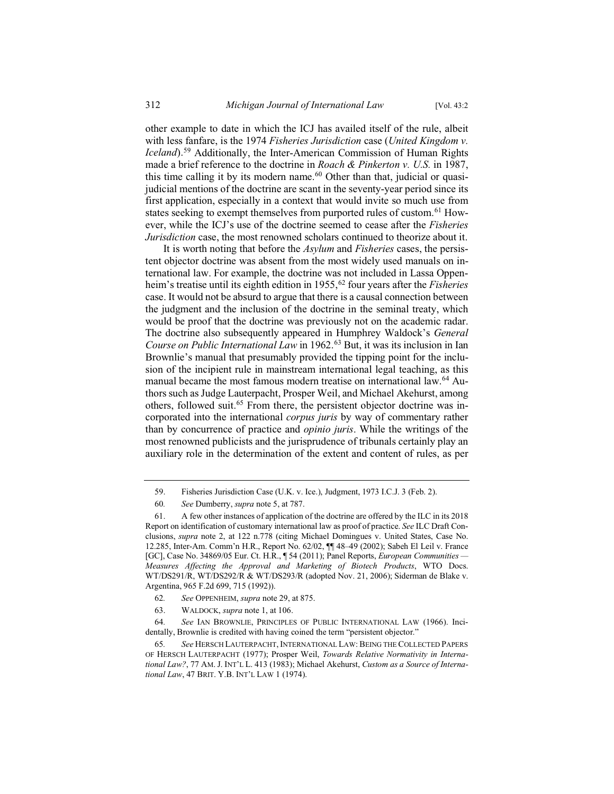other example to date in which the ICJ has availed itself of the rule, albeit with less fanfare, is the 1974 *Fisheries Jurisdiction* case (*United Kingdom v. Iceland*).<sup>59</sup> Additionally, the Inter-American Commission of Human Rights made a brief reference to the doctrine in *Roach & Pinkerton v. U.S.* in 1987, this time calling it by its modern name. $60$  Other than that, judicial or quasijudicial mentions of the doctrine are scant in the seventy-year period since its first application, especially in a context that would invite so much use from states seeking to exempt themselves from purported rules of custom.<sup>61</sup> However, while the ICJ's use of the doctrine seemed to cease after the *Fisheries Jurisdiction* case, the most renowned scholars continued to theorize about it.

It is worth noting that before the *Asylum* and *Fisheries* cases, the persistent objector doctrine was absent from the most widely used manuals on international law. For example, the doctrine was not included in Lassa Oppenheim's treatise until its eighth edition in 1955,<sup>62</sup> four years after the *Fisheries* case. It would not be absurd to argue that there is a causal connection between the judgment and the inclusion of the doctrine in the seminal treaty, which would be proof that the doctrine was previously not on the academic radar. The doctrine also subsequently appeared in Humphrey Waldock's *General Course on Public International Law* in 1962.<sup>63</sup> But, it was its inclusion in Ian Brownlie's manual that presumably provided the tipping point for the inclusion of the incipient rule in mainstream international legal teaching, as this manual became the most famous modern treatise on international law.<sup>64</sup> Authors such as Judge Lauterpacht, Prosper Weil, and Michael Akehurst, among others, followed suit.<sup>65</sup> From there, the persistent objector doctrine was incorporated into the international *corpus juris* by way of commentary rather than by concurrence of practice and *opinio juris*. While the writings of the most renowned publicists and the jurisprudence of tribunals certainly play an auxiliary role in the determination of the extent and content of rules, as per

63. WALDOCK, *supra* note 1, at 106.

64*. See* IAN BROWNLIE, PRINCIPLES OF PUBLIC INTERNATIONAL LAW (1966). Incidentally, Brownlie is credited with having coined the term "persistent objector."

65*. See* HERSCH LAUTERPACHT, INTERNATIONAL LAW: BEING THE COLLECTED PAPERS OF HERSCH LAUTERPACHT (1977); Prosper Weil, *Towards Relative Normativity in International Law?*, 77 AM. J. INT'L L. 413 (1983); Michael Akehurst, *Custom as a Source of International Law*, 47 BRIT. Y.B. INT'L LAW 1 (1974).

<sup>59.</sup> Fisheries Jurisdiction Case (U.K. v. Ice.), Judgment, 1973 I.C.J. 3 (Feb. 2).

<sup>60</sup>*. See* Dumberry, *supra* note 5, at 787.

<sup>61.</sup> A few other instances of application of the doctrine are offered by the ILC in its 2018 Report on identification of customary international law as proof of practice. *See* ILC Draft Conclusions, *supra* note 2, at 122 n.778 (citing Michael Domingues v. United States, Case No. 12.285, Inter-Am. Comm'n H.R., Report No. 62/02, ¶¶ 48–49 (2002); Sabeh El Leil v. France [GC], Case No. 34869/05 Eur. Ct. H.R., ¶ 54 (2011); Panel Reports, *European Communities — Measures Affecting the Approval and Marketing of Biotech Products*, WTO Docs. WT/DS291/R, WT/DS292/R & WT/DS293/R (adopted Nov. 21, 2006); Siderman de Blake v. Argentina, 965 F.2d 699, 715 (1992)).

<sup>62</sup>*. See* OPPENHEIM, *supra* note 29, at 875.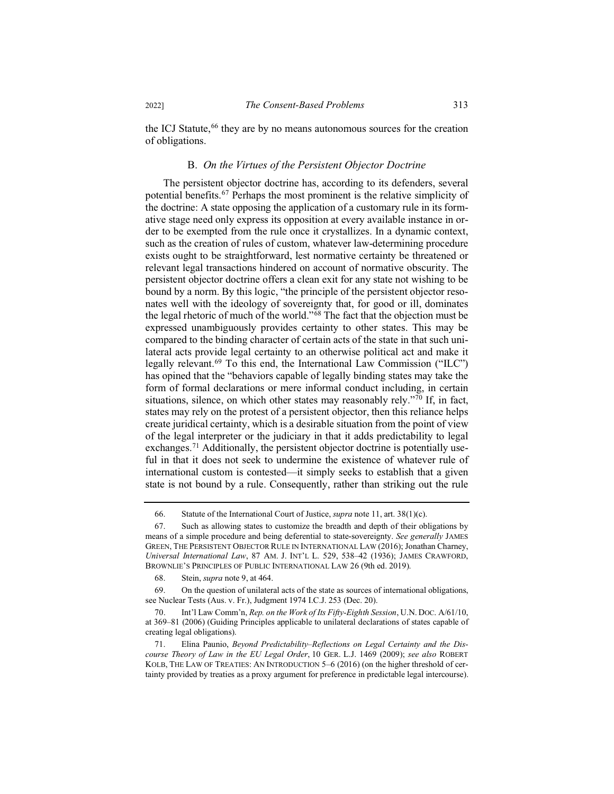the ICJ Statute,<sup>66</sup> they are by no means autonomous sources for the creation of obligations.

## B. *On the Virtues of the Persistent Objector Doctrine*

The persistent objector doctrine has, according to its defenders, several potential benefits.<sup>67</sup> Perhaps the most prominent is the relative simplicity of the doctrine: A state opposing the application of a customary rule in its formative stage need only express its opposition at every available instance in order to be exempted from the rule once it crystallizes. In a dynamic context, such as the creation of rules of custom, whatever law-determining procedure exists ought to be straightforward, lest normative certainty be threatened or relevant legal transactions hindered on account of normative obscurity. The persistent objector doctrine offers a clean exit for any state not wishing to be bound by a norm. By this logic, "the principle of the persistent objector resonates well with the ideology of sovereignty that, for good or ill, dominates the legal rhetoric of much of the world." $\delta$ <sup>8</sup> The fact that the objection must be expressed unambiguously provides certainty to other states. This may be compared to the binding character of certain acts of the state in that such unilateral acts provide legal certainty to an otherwise political act and make it legally relevant.<sup>69</sup> To this end, the International Law Commission ("ILC") has opined that the "behaviors capable of legally binding states may take the form of formal declarations or mere informal conduct including, in certain situations, silence, on which other states may reasonably rely."<sup>70</sup> If, in fact, states may rely on the protest of a persistent objector, then this reliance helps create juridical certainty, which is a desirable situation from the point of view of the legal interpreter or the judiciary in that it adds predictability to legal exchanges.<sup>71</sup> Additionally, the persistent objector doctrine is potentially useful in that it does not seek to undermine the existence of whatever rule of international custom is contested—it simply seeks to establish that a given state is not bound by a rule. Consequently, rather than striking out the rule

<sup>66.</sup> Statute of the International Court of Justice, *supra* note 11, art. 38(1)(c).

<sup>67.</sup> Such as allowing states to customize the breadth and depth of their obligations by means of a simple procedure and being deferential to state-sovereignty. *See generally* JAMES GREEN, THE PERSISTENT OBJECTOR RULE IN INTERNATIONAL LAW (2016); Jonathan Charney, *Universal International Law*, 87 AM. J. INT'L L. 529, 538–42 (1936); JAMES CRAWFORD, BROWNLIE'S PRINCIPLES OF PUBLIC INTERNATIONAL LAW 26 (9th ed. 2019).

<sup>68.</sup> Stein, *supra* note 9, at 464.

<sup>69.</sup> On the question of unilateral acts of the state as sources of international obligations, see Nuclear Tests (Aus. v. Fr.), Judgment 1974 I.C.J. 253 (Dec. 20).

<sup>70.</sup> Int'l Law Comm'n, *Rep. on the Work of Its Fifty-Eighth Session*, U.N. DOC. A/61/10, at 369–81 (2006) (Guiding Principles applicable to unilateral declarations of states capable of creating legal obligations).

<sup>71.</sup> Elina Paunio, *Beyond Predictability–Reflections on Legal Certainty and the Discourse Theory of Law in the EU Legal Order*, 10 GER. L.J. 1469 (2009); *see also* ROBERT KOLB, THE LAW OF TREATIES: AN INTRODUCTION 5–6 (2016) (on the higher threshold of certainty provided by treaties as a proxy argument for preference in predictable legal intercourse).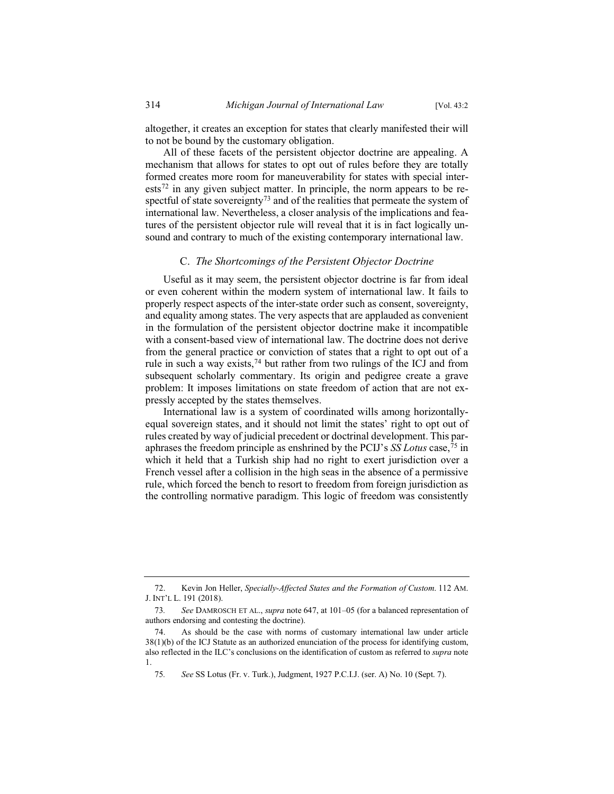altogether, it creates an exception for states that clearly manifested their will to not be bound by the customary obligation.

All of these facets of the persistent objector doctrine are appealing. A mechanism that allows for states to opt out of rules before they are totally formed creates more room for maneuverability for states with special inter- $\text{ests}^{72}$  in any given subject matter. In principle, the norm appears to be respectful of state sovereignty<sup>73</sup> and of the realities that permeate the system of international law. Nevertheless, a closer analysis of the implications and features of the persistent objector rule will reveal that it is in fact logically unsound and contrary to much of the existing contemporary international law.

#### C. *The Shortcomings of the Persistent Objector Doctrine*

Useful as it may seem, the persistent objector doctrine is far from ideal or even coherent within the modern system of international law. It fails to properly respect aspects of the inter-state order such as consent, sovereignty, and equality among states. The very aspects that are applauded as convenient in the formulation of the persistent objector doctrine make it incompatible with a consent-based view of international law. The doctrine does not derive from the general practice or conviction of states that a right to opt out of a rule in such a way exists, $74$  but rather from two rulings of the ICJ and from subsequent scholarly commentary. Its origin and pedigree create a grave problem: It imposes limitations on state freedom of action that are not expressly accepted by the states themselves.

International law is a system of coordinated wills among horizontallyequal sovereign states, and it should not limit the states' right to opt out of rules created by way of judicial precedent or doctrinal development. This paraphrases the freedom principle as enshrined by the PCIJ's *SS Lotus* case,<sup> $75$ </sup> in which it held that a Turkish ship had no right to exert jurisdiction over a French vessel after a collision in the high seas in the absence of a permissive rule, which forced the bench to resort to freedom from foreign jurisdiction as the controlling normative paradigm. This logic of freedom was consistently

<sup>72.</sup> Kevin Jon Heller, *Specially-Affected States and the Formation of Custom*. 112 AM. J. INT'L L. 191 (2018).

<sup>73</sup>*. See* DAMROSCH ET AL., *supra* note 647, at 101–05 (for a balanced representation of authors endorsing and contesting the doctrine).

<sup>74.</sup> As should be the case with norms of customary international law under article 38(1)(b) of the ICJ Statute as an authorized enunciation of the process for identifying custom, also reflected in the ILC's conclusions on the identification of custom as referred to *supra* note 1.

<sup>75</sup>*. See* SS Lotus (Fr. v. Turk.), Judgment, 1927 P.C.I.J. (ser. A) No. 10 (Sept. 7).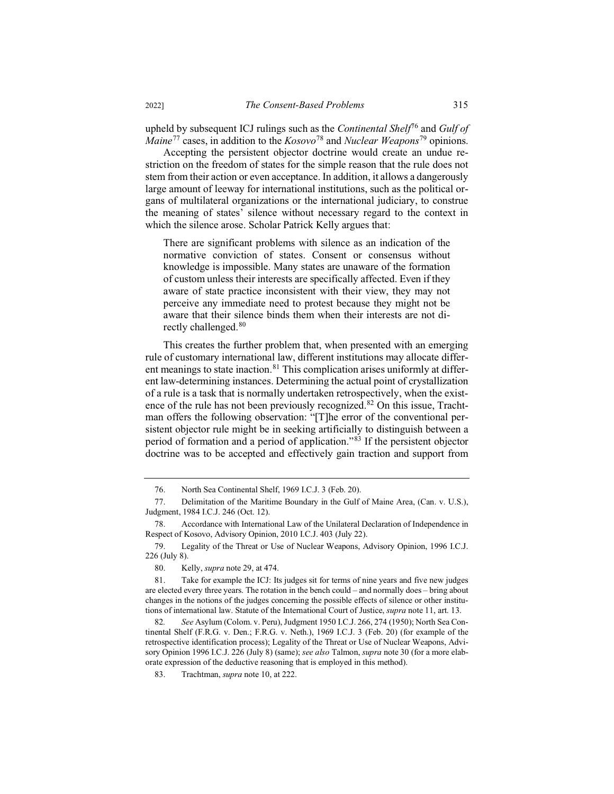upheld by subsequent ICJ rulings such as the *Continental Shelf*<sup>76</sup> and *Gulf of Maine*<sup>77</sup> cases, in addition to the *Kosovo*<sup>78</sup> and *Nuclear Weapons*<sup>79</sup> opinions.

Accepting the persistent objector doctrine would create an undue restriction on the freedom of states for the simple reason that the rule does not stem from their action or even acceptance. In addition, it allows a dangerously large amount of leeway for international institutions, such as the political organs of multilateral organizations or the international judiciary, to construe the meaning of states' silence without necessary regard to the context in which the silence arose. Scholar Patrick Kelly argues that:

There are significant problems with silence as an indication of the normative conviction of states. Consent or consensus without knowledge is impossible. Many states are unaware of the formation of custom unless their interests are specifically affected. Even if they aware of state practice inconsistent with their view, they may not perceive any immediate need to protest because they might not be aware that their silence binds them when their interests are not directly challenged.<sup>80</sup>

This creates the further problem that, when presented with an emerging rule of customary international law, different institutions may allocate different meanings to state inaction.<sup>81</sup> This complication arises uniformly at different law-determining instances. Determining the actual point of crystallization of a rule is a task that is normally undertaken retrospectively, when the existence of the rule has not been previously recognized.<sup>82</sup> On this issue, Trachtman offers the following observation: "[T]he error of the conventional persistent objector rule might be in seeking artificially to distinguish between a period of formation and a period of application."<sup>83</sup> If the persistent objector doctrine was to be accepted and effectively gain traction and support from

<sup>76.</sup> North Sea Continental Shelf, 1969 I.C.J. 3 (Feb. 20).

<sup>77.</sup> Delimitation of the Maritime Boundary in the Gulf of Maine Area, (Can. v. U.S.), Judgment, 1984 I.C.J. 246 (Oct. 12).

<sup>78.</sup> Accordance with International Law of the Unilateral Declaration of Independence in Respect of Kosovo, Advisory Opinion, 2010 I.C.J. 403 (July 22).

<sup>79.</sup> Legality of the Threat or Use of Nuclear Weapons, Advisory Opinion, 1996 I.C.J. 226 (July 8).

<sup>80.</sup> Kelly, *supra* note 29, at 474.

<sup>81.</sup> Take for example the ICJ: Its judges sit for terms of nine years and five new judges are elected every three years. The rotation in the bench could – and normally does – bring about changes in the notions of the judges concerning the possible effects of silence or other institutions of international law. Statute of the International Court of Justice, *supra* note 11, art. 13.

<sup>82</sup>*. See* Asylum (Colom. v. Peru), Judgment 1950 I.C.J. 266, 274 (1950); North Sea Continental Shelf (F.R.G. v. Den.; F.R.G. v. Neth.), 1969 I.C.J. 3 (Feb. 20) (for example of the retrospective identification process); Legality of the Threat or Use of Nuclear Weapons, Advisory Opinion 1996 I.C.J. 226 (July 8) (same); *see also* Talmon, *supra* note 30 (for a more elaborate expression of the deductive reasoning that is employed in this method).

<sup>83.</sup> Trachtman, *supra* note 10, at 222.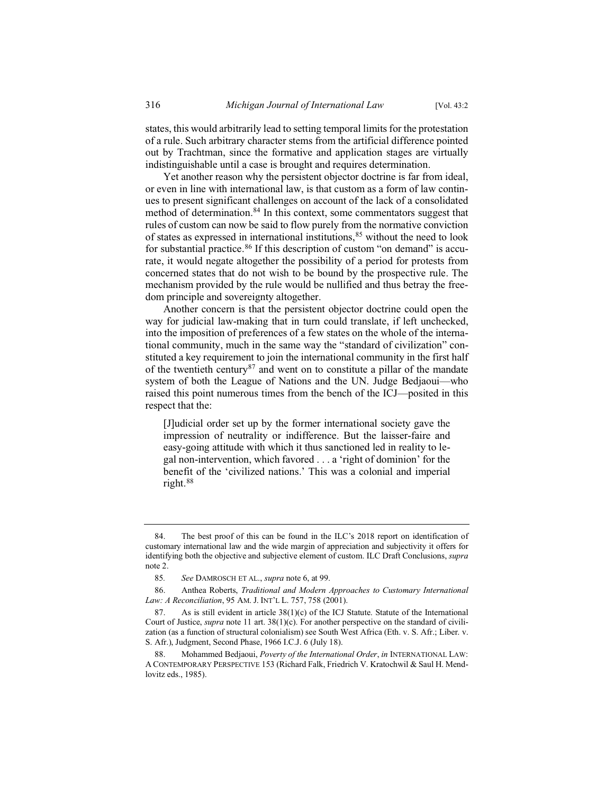states, this would arbitrarily lead to setting temporal limits for the protestation of a rule. Such arbitrary character stems from the artificial difference pointed out by Trachtman, since the formative and application stages are virtually indistinguishable until a case is brought and requires determination.

Yet another reason why the persistent objector doctrine is far from ideal, or even in line with international law, is that custom as a form of law continues to present significant challenges on account of the lack of a consolidated method of determination.<sup>84</sup> In this context, some commentators suggest that rules of custom can now be said to flow purely from the normative conviction of states as expressed in international institutions, 85 without the need to look for substantial practice.<sup>86</sup> If this description of custom "on demand" is accurate, it would negate altogether the possibility of a period for protests from concerned states that do not wish to be bound by the prospective rule. The mechanism provided by the rule would be nullified and thus betray the freedom principle and sovereignty altogether.

Another concern is that the persistent objector doctrine could open the way for judicial law-making that in turn could translate, if left unchecked, into the imposition of preferences of a few states on the whole of the international community, much in the same way the "standard of civilization" constituted a key requirement to join the international community in the first half of the twentieth century<sup>87</sup> and went on to constitute a pillar of the mandate system of both the League of Nations and the UN. Judge Bedjaoui—who raised this point numerous times from the bench of the ICJ—posited in this respect that the:

[J]udicial order set up by the former international society gave the impression of neutrality or indifference. But the laisser-faire and easy-going attitude with which it thus sanctioned led in reality to legal non-intervention, which favored . . . a 'right of dominion' for the benefit of the 'civilized nations.' This was a colonial and imperial right.<sup>88</sup>

<sup>84.</sup> The best proof of this can be found in the ILC's 2018 report on identification of customary international law and the wide margin of appreciation and subjectivity it offers for identifying both the objective and subjective element of custom. ILC Draft Conclusions, *supra*  note 2.

<sup>85</sup>*. See* DAMROSCH ET AL., *supra* note 6, at 99.

<sup>86.</sup> Anthea Roberts, *Traditional and Modern Approaches to Customary International Law: A Reconciliation*, 95 AM. J. INT'L L. 757, 758 (2001).

<sup>87.</sup> As is still evident in article  $38(1)(c)$  of the ICJ Statute. Statute of the International Court of Justice, *supra* note 11 art. 38(1)(c). For another perspective on the standard of civilization (as a function of structural colonialism) see South West Africa (Eth. v. S. Afr.; Liber. v. S. Afr.), Judgment, Second Phase, 1966 I.C.J. 6 (July 18).

<sup>88.</sup> Mohammed Bedjaoui, *Poverty of the International Order*, *in* INTERNATIONAL LAW: A CONTEMPORARY PERSPECTIVE 153 (Richard Falk, Friedrich V. Kratochwil & Saul H. Mendlovitz eds., 1985).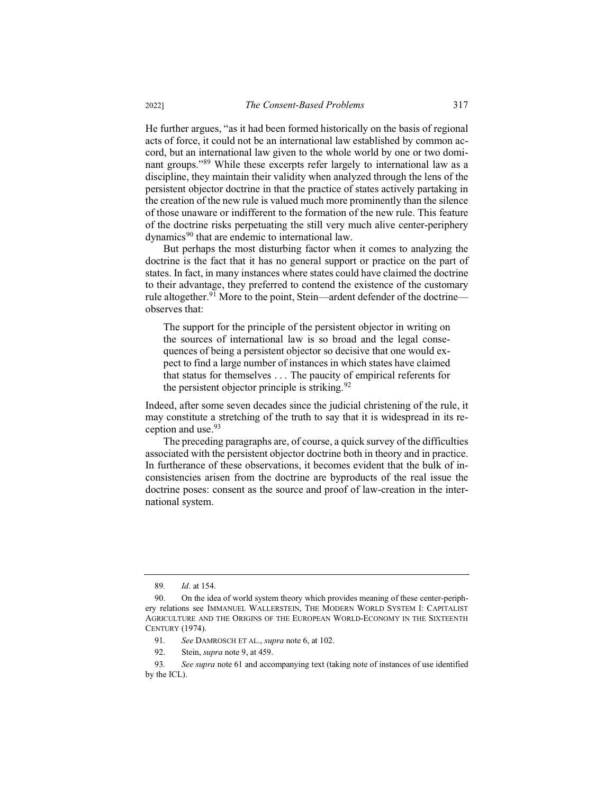He further argues, "as it had been formed historically on the basis of regional acts of force, it could not be an international law established by common accord, but an international law given to the whole world by one or two dominant groups."<sup>89</sup> While these excerpts refer largely to international law as a discipline, they maintain their validity when analyzed through the lens of the persistent objector doctrine in that the practice of states actively partaking in the creation of the new rule is valued much more prominently than the silence of those unaware or indifferent to the formation of the new rule. This feature of the doctrine risks perpetuating the still very much alive center-periphery dynamics<sup>90</sup> that are endemic to international law.

But perhaps the most disturbing factor when it comes to analyzing the doctrine is the fact that it has no general support or practice on the part of states. In fact, in many instances where states could have claimed the doctrine to their advantage, they preferred to contend the existence of the customary rule altogether.<sup>91</sup> More to the point, Stein—ardent defender of the doctrine observes that:

The support for the principle of the persistent objector in writing on the sources of international law is so broad and the legal consequences of being a persistent objector so decisive that one would expect to find a large number of instances in which states have claimed that status for themselves . . . The paucity of empirical referents for the persistent objector principle is striking.  $92$ 

Indeed, after some seven decades since the judicial christening of the rule, it may constitute a stretching of the truth to say that it is widespread in its reception and use.<sup>93</sup>

The preceding paragraphs are, of course, a quick survey of the difficulties associated with the persistent objector doctrine both in theory and in practice. In furtherance of these observations, it becomes evident that the bulk of inconsistencies arisen from the doctrine are byproducts of the real issue the doctrine poses: consent as the source and proof of law-creation in the international system.

<sup>89</sup>*. Id*. at 154.

<sup>90.</sup> On the idea of world system theory which provides meaning of these center-periphery relations see IMMANUEL WALLERSTEIN, THE MODERN WORLD SYSTEM I: CAPITALIST AGRICULTURE AND THE ORIGINS OF THE EUROPEAN WORLD-ECONOMY IN THE SIXTEENTH CENTURY (1974).

<sup>91</sup>*. See* DAMROSCH ET AL., *supra* note 6, at 102.

<sup>92.</sup> Stein, *supra* note 9, at 459.

<sup>93</sup>*. See supra* note 61 and accompanying text (taking note of instances of use identified by the ICL).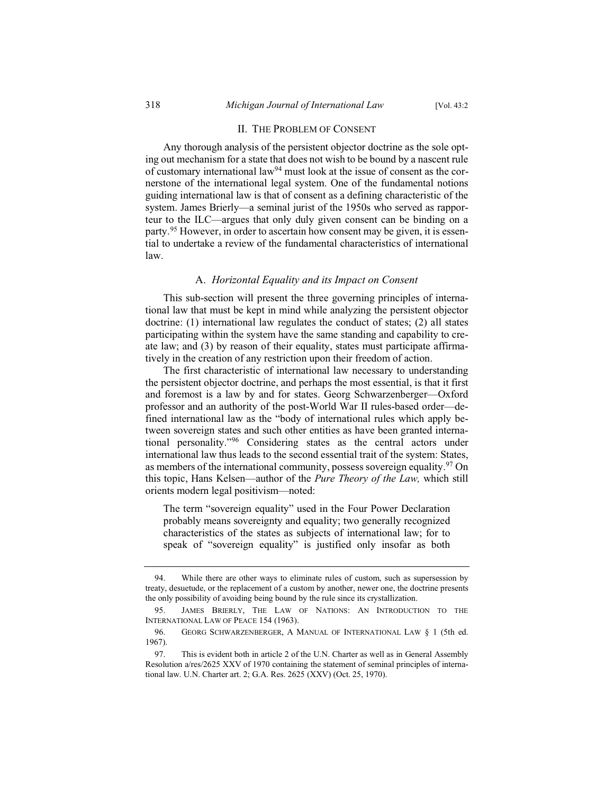## II. THE PROBLEM OF CONSENT

Any thorough analysis of the persistent objector doctrine as the sole opting out mechanism for a state that does not wish to be bound by a nascent rule of customary international law $94$  must look at the issue of consent as the cornerstone of the international legal system. One of the fundamental notions guiding international law is that of consent as a defining characteristic of the system. James Brierly—a seminal jurist of the 1950s who served as rapporteur to the ILC—argues that only duly given consent can be binding on a party.<sup>95</sup> However, in order to ascertain how consent may be given, it is essential to undertake a review of the fundamental characteristics of international law.

## A. *Horizontal Equality and its Impact on Consent*

This sub-section will present the three governing principles of international law that must be kept in mind while analyzing the persistent objector doctrine: (1) international law regulates the conduct of states; (2) all states participating within the system have the same standing and capability to create law; and (3) by reason of their equality, states must participate affirmatively in the creation of any restriction upon their freedom of action.

The first characteristic of international law necessary to understanding the persistent objector doctrine, and perhaps the most essential, is that it first and foremost is a law by and for states. Georg Schwarzenberger—Oxford professor and an authority of the post-World War II rules-based order—defined international law as the "body of international rules which apply between sovereign states and such other entities as have been granted international personality."<sup>96</sup> Considering states as the central actors under international law thus leads to the second essential trait of the system: States, as members of the international community, possess sovereign equality.<sup>97</sup> On this topic, Hans Kelsen—author of the *Pure Theory of the Law,* which still orients modern legal positivism—noted:

The term "sovereign equality" used in the Four Power Declaration probably means sovereignty and equality; two generally recognized characteristics of the states as subjects of international law; for to speak of "sovereign equality" is justified only insofar as both

<sup>94.</sup> While there are other ways to eliminate rules of custom, such as supersession by treaty, desuetude, or the replacement of a custom by another, newer one, the doctrine presents the only possibility of avoiding being bound by the rule since its crystallization.

<sup>95.</sup> JAMES BRIERLY, THE LAW OF NATIONS: AN INTRODUCTION TO THE INTERNATIONAL LAW OF PEACE 154 (1963).

<sup>96.</sup> GEORG SCHWARZENBERGER, A MANUAL OF INTERNATIONAL LAW § 1 (5th ed. 1967).

<sup>97.</sup> This is evident both in article 2 of the U.N. Charter as well as in General Assembly Resolution a/res/2625 XXV of 1970 containing the statement of seminal principles of international law. U.N. Charter art. 2; G.A. Res. 2625 (XXV) (Oct. 25, 1970).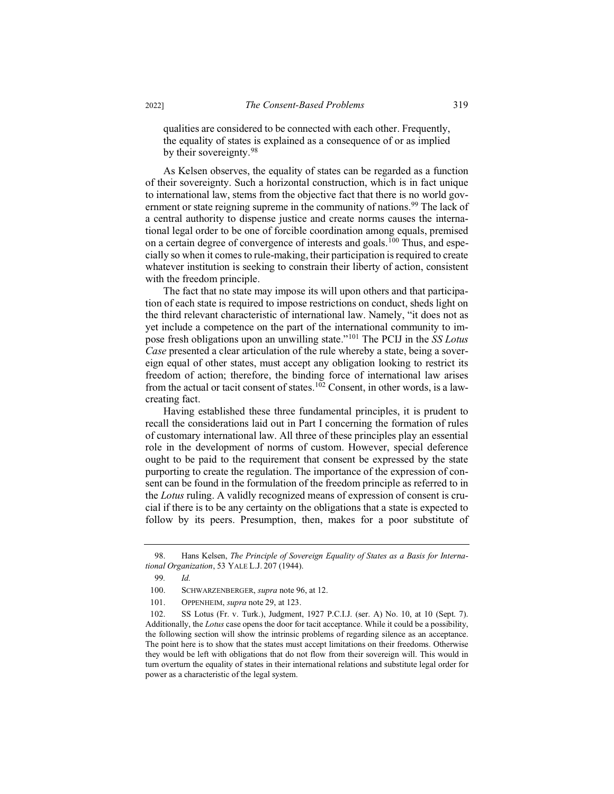qualities are considered to be connected with each other. Frequently, the equality of states is explained as a consequence of or as implied by their sovereignty.<sup>98</sup>

As Kelsen observes, the equality of states can be regarded as a function of their sovereignty. Such a horizontal construction, which is in fact unique to international law, stems from the objective fact that there is no world government or state reigning supreme in the community of nations.<sup>99</sup> The lack of a central authority to dispense justice and create norms causes the international legal order to be one of forcible coordination among equals, premised on a certain degree of convergence of interests and goals.<sup>100</sup> Thus, and especially so when it comes to rule-making, their participation is required to create whatever institution is seeking to constrain their liberty of action, consistent with the freedom principle.

The fact that no state may impose its will upon others and that participation of each state is required to impose restrictions on conduct, sheds light on the third relevant characteristic of international law. Namely, "it does not as yet include a competence on the part of the international community to impose fresh obligations upon an unwilling state."<sup>101</sup> The PCIJ in the *SS Lotus Case* presented a clear articulation of the rule whereby a state, being a sovereign equal of other states, must accept any obligation looking to restrict its freedom of action; therefore, the binding force of international law arises from the actual or tacit consent of states.<sup>102</sup> Consent, in other words, is a lawcreating fact.

Having established these three fundamental principles, it is prudent to recall the considerations laid out in Part I concerning the formation of rules of customary international law. All three of these principles play an essential role in the development of norms of custom. However, special deference ought to be paid to the requirement that consent be expressed by the state purporting to create the regulation. The importance of the expression of consent can be found in the formulation of the freedom principle as referred to in the *Lotus* ruling. A validly recognized means of expression of consent is crucial if there is to be any certainty on the obligations that a state is expected to follow by its peers. Presumption, then, makes for a poor substitute of

<sup>98.</sup> Hans Kelsen, *The Principle of Sovereign Equality of States as a Basis for International Organization*, 53 YALE L.J. 207 (1944).

<sup>99</sup>*. Id.*

<sup>100.</sup> SCHWARZENBERGER, *supra* note 96, at 12.

<sup>101.</sup> OPPENHEIM, *supra* note 29, at 123.

<sup>102.</sup> SS Lotus (Fr. v. Turk.), Judgment, 1927 P.C.I.J. (ser. A) No. 10, at 10 (Sept. 7). Additionally, the *Lotus* case opens the door for tacit acceptance. While it could be a possibility, the following section will show the intrinsic problems of regarding silence as an acceptance. The point here is to show that the states must accept limitations on their freedoms. Otherwise they would be left with obligations that do not flow from their sovereign will. This would in turn overturn the equality of states in their international relations and substitute legal order for power as a characteristic of the legal system.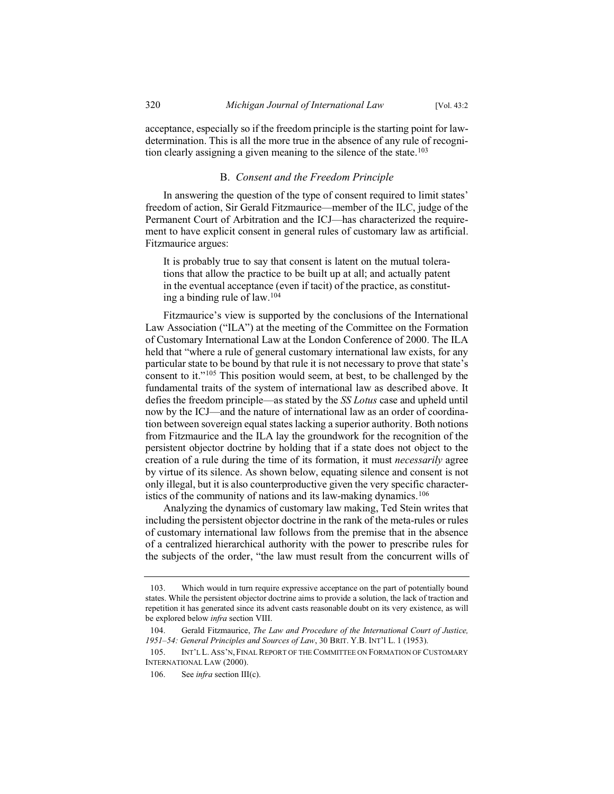acceptance, especially so if the freedom principle is the starting point for lawdetermination. This is all the more true in the absence of any rule of recognition clearly assigning a given meaning to the silence of the state.<sup>103</sup>

### B. *Consent and the Freedom Principle*

In answering the question of the type of consent required to limit states' freedom of action, Sir Gerald Fitzmaurice—member of the ILC, judge of the Permanent Court of Arbitration and the ICJ—has characterized the requirement to have explicit consent in general rules of customary law as artificial. Fitzmaurice argues:

It is probably true to say that consent is latent on the mutual tolerations that allow the practice to be built up at all; and actually patent in the eventual acceptance (even if tacit) of the practice, as constituting a binding rule of law.<sup>104</sup>

Fitzmaurice's view is supported by the conclusions of the International Law Association ("ILA") at the meeting of the Committee on the Formation of Customary International Law at the London Conference of 2000. The ILA held that "where a rule of general customary international law exists, for any particular state to be bound by that rule it is not necessary to prove that state's consent to it."<sup>105</sup> This position would seem, at best, to be challenged by the fundamental traits of the system of international law as described above. It defies the freedom principle—as stated by the *SS Lotus* case and upheld until now by the ICJ—and the nature of international law as an order of coordination between sovereign equal states lacking a superior authority. Both notions from Fitzmaurice and the ILA lay the groundwork for the recognition of the persistent objector doctrine by holding that if a state does not object to the creation of a rule during the time of its formation, it must *necessarily* agree by virtue of its silence. As shown below, equating silence and consent is not only illegal, but it is also counterproductive given the very specific characteristics of the community of nations and its law-making dynamics.<sup>106</sup>

Analyzing the dynamics of customary law making, Ted Stein writes that including the persistent objector doctrine in the rank of the meta-rules or rules of customary international law follows from the premise that in the absence of a centralized hierarchical authority with the power to prescribe rules for the subjects of the order, "the law must result from the concurrent wills of

<sup>103.</sup> Which would in turn require expressive acceptance on the part of potentially bound states. While the persistent objector doctrine aims to provide a solution, the lack of traction and repetition it has generated since its advent casts reasonable doubt on its very existence, as will be explored below *infra* section VIII.

<sup>104.</sup> Gerald Fitzmaurice, *The Law and Procedure of the International Court of Justice, 1951–54: General Principles and Sources of Law*, 30 BRIT. Y.B. INT'l L. 1 (1953).

<sup>105.</sup> INT'L L. ASS'N, FINAL REPORT OF THE COMMITTEE ON FORMATION OF CUSTOMARY INTERNATIONAL LAW (2000).

<sup>106.</sup> See *infra* section III(c).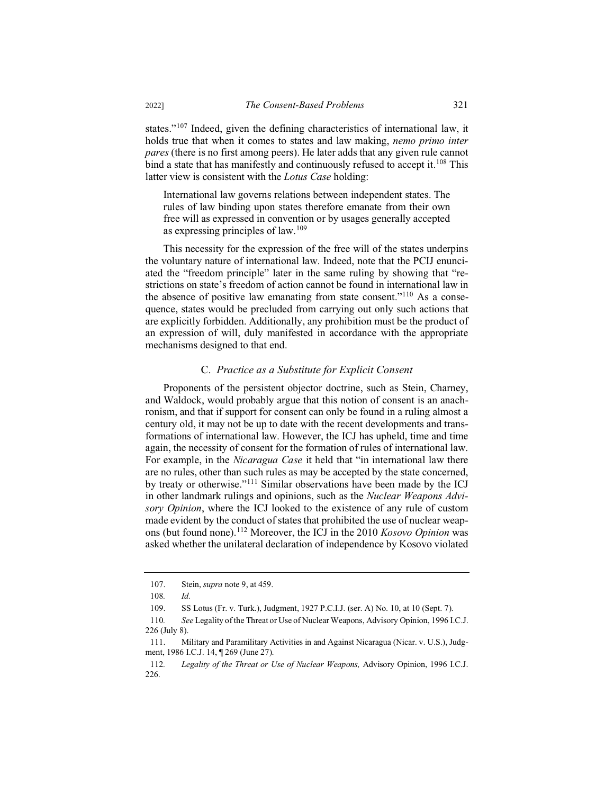states."<sup>107</sup> Indeed, given the defining characteristics of international law, it holds true that when it comes to states and law making, *nemo primo inter pares* (there is no first among peers). He later adds that any given rule cannot bind a state that has manifestly and continuously refused to accept it.<sup>108</sup> This latter view is consistent with the *Lotus Case* holding:

International law governs relations between independent states. The rules of law binding upon states therefore emanate from their own free will as expressed in convention or by usages generally accepted as expressing principles of law.<sup>109</sup>

This necessity for the expression of the free will of the states underpins the voluntary nature of international law. Indeed, note that the PCIJ enunciated the "freedom principle" later in the same ruling by showing that "restrictions on state's freedom of action cannot be found in international law in the absence of positive law emanating from state consent."<sup>110</sup> As a consequence, states would be precluded from carrying out only such actions that are explicitly forbidden. Additionally, any prohibition must be the product of an expression of will, duly manifested in accordance with the appropriate mechanisms designed to that end.

## C. *Practice as a Substitute for Explicit Consent*

Proponents of the persistent objector doctrine, such as Stein, Charney, and Waldock, would probably argue that this notion of consent is an anachronism, and that if support for consent can only be found in a ruling almost a century old, it may not be up to date with the recent developments and transformations of international law. However, the ICJ has upheld, time and time again, the necessity of consent for the formation of rules of international law. For example, in the *Nicaragua Case* it held that "in international law there are no rules, other than such rules as may be accepted by the state concerned, by treaty or otherwise."<sup>111</sup> Similar observations have been made by the ICJ in other landmark rulings and opinions, such as the *Nuclear Weapons Advisory Opinion*, where the ICJ looked to the existence of any rule of custom made evident by the conduct of states that prohibited the use of nuclear weapons (but found none).<sup>112</sup> Moreover, the ICJ in the 2010 *Kosovo Opinion* was asked whether the unilateral declaration of independence by Kosovo violated

<sup>107.</sup> Stein, *supra* note 9, at 459.

<sup>108</sup>*. Id.*

<sup>109.</sup> SS Lotus (Fr. v. Turk.), Judgment, 1927 P.C.I.J. (ser. A) No. 10, at 10 (Sept. 7).

<sup>110</sup>*. See* Legality of the Threat or Use of Nuclear Weapons, Advisory Opinion, 1996 I.C.J. 226 (July 8).

<sup>111.</sup> Military and Paramilitary Activities in and Against Nicaragua (Nicar. v. U.S.), Judgment, 1986 I.C.J. 14, ¶ 269 (June 27).

<sup>112</sup>*. Legality of the Threat or Use of Nuclear Weapons,* Advisory Opinion, 1996 I.C.J. 226.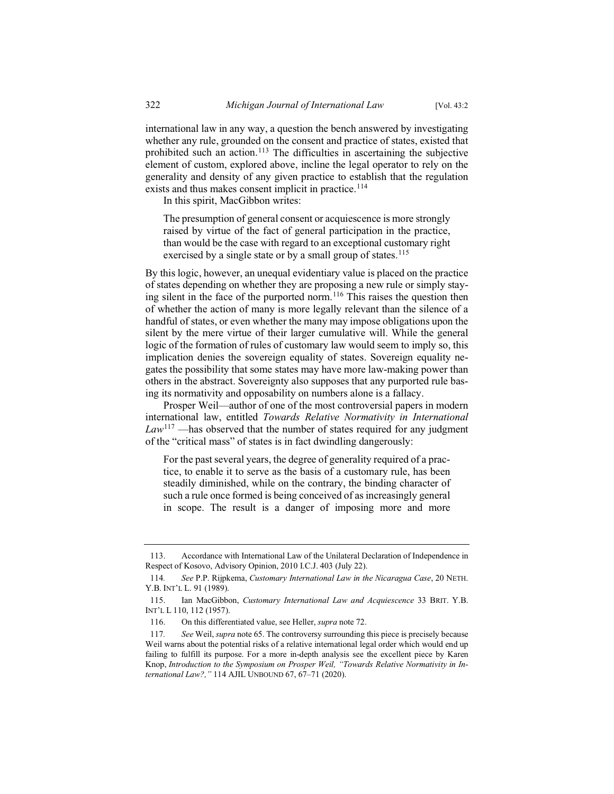international law in any way, a question the bench answered by investigating whether any rule, grounded on the consent and practice of states, existed that prohibited such an action.<sup>113</sup> The difficulties in ascertaining the subjective element of custom, explored above, incline the legal operator to rely on the generality and density of any given practice to establish that the regulation exists and thus makes consent implicit in practice.<sup>114</sup>

In this spirit, MacGibbon writes:

The presumption of general consent or acquiescence is more strongly raised by virtue of the fact of general participation in the practice, than would be the case with regard to an exceptional customary right exercised by a single state or by a small group of states.<sup>115</sup>

By this logic, however, an unequal evidentiary value is placed on the practice of states depending on whether they are proposing a new rule or simply staying silent in the face of the purported norm.<sup>116</sup> This raises the question then of whether the action of many is more legally relevant than the silence of a handful of states, or even whether the many may impose obligations upon the silent by the mere virtue of their larger cumulative will. While the general logic of the formation of rules of customary law would seem to imply so, this implication denies the sovereign equality of states. Sovereign equality negates the possibility that some states may have more law-making power than others in the abstract. Sovereignty also supposes that any purported rule basing its normativity and opposability on numbers alone is a fallacy.

Prosper Weil—author of one of the most controversial papers in modern international law, entitled *Towards Relative Normativity in International Law*<sup>117</sup> —has observed that the number of states required for any judgment of the "critical mass" of states is in fact dwindling dangerously:

For the past several years, the degree of generality required of a practice, to enable it to serve as the basis of a customary rule, has been steadily diminished, while on the contrary, the binding character of such a rule once formed is being conceived of as increasingly general in scope. The result is a danger of imposing more and more

<sup>113.</sup> Accordance with International Law of the Unilateral Declaration of Independence in Respect of Kosovo, Advisory Opinion, 2010 I.C.J. 403 (July 22).

<sup>114</sup>*. See* P.P. Rijpkema, *Customary International Law in the Nicaragua Case*, 20 NETH. Y.B. INT'L L. 91 (1989).

<sup>115.</sup> Ian MacGibbon, *Customary International Law and Acquiescence* 33 BRIT. Y.B. INT'L L 110, 112 (1957).

<sup>116.</sup> On this differentiated value, see Heller, *supra* note 72.

<sup>117</sup>*. See* Weil, *supra* note 65. The controversy surrounding this piece is precisely because Weil warns about the potential risks of a relative international legal order which would end up failing to fulfill its purpose. For a more in-depth analysis see the excellent piece by Karen Knop, *Introduction to the Symposium on Prosper Weil, "Towards Relative Normativity in International Law?,"* 114 AJIL UNBOUND 67, 67–71 (2020).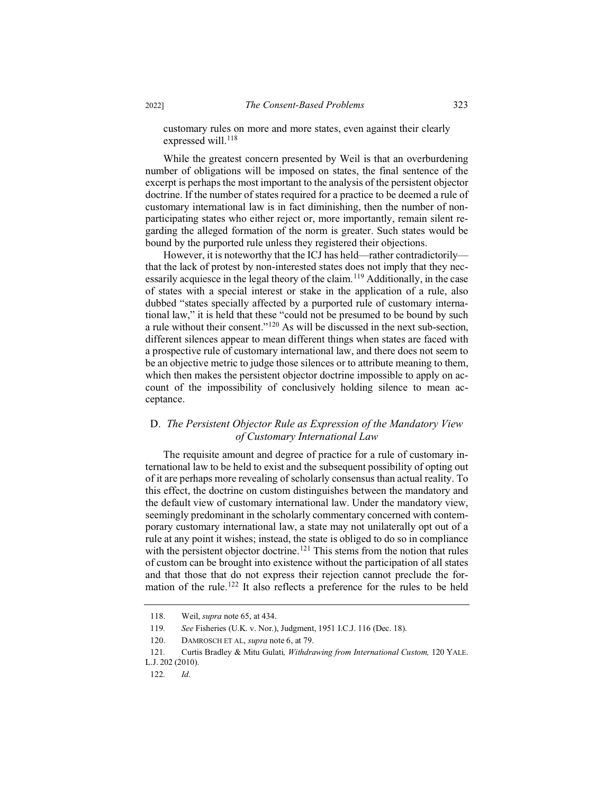customary rules on more and more states, even against their clearly expressed will.<sup>118</sup>

While the greatest concern presented by Weil is that an overburdening number of obligations will be imposed on states, the final sentence of the excerpt is perhaps the most important to the analysis of the persistent objector doctrine. If the number of states required for a practice to be deemed a rule of customary international law is in fact diminishing, then the number of nonparticipating states who either reject or, more importantly, remain silent regarding the alleged formation of the norm is greater. Such states would be bound by the purported rule unless they registered their objections.

However, it is noteworthy that the ICJ has held—rather contradictorily that the lack of protest by non-interested states does not imply that they necessarily acquiesce in the legal theory of the claim.<sup>119</sup> Additionally, in the case of states with a special interest or stake in the application of a rule, also dubbed "states specially affected by a purported rule of customary international law," it is held that these "could not be presumed to be bound by such a rule without their consent."<sup>120</sup> As will be discussed in the next sub-section, different silences appear to mean different things when states are faced with a prospective rule of customary international law, and there does not seem to be an objective metric to judge those silences or to attribute meaning to them, which then makes the persistent objector doctrine impossible to apply on account of the impossibility of conclusively holding silence to mean acceptance.

## D. *The Persistent Objector Rule as Expression of the Mandatory View of Customary International Law*

The requisite amount and degree of practice for a rule of customary international law to be held to exist and the subsequent possibility of opting out of it are perhaps more revealing of scholarly consensus than actual reality. To this effect, the doctrine on custom distinguishes between the mandatory and the default view of customary international law. Under the mandatory view, seemingly predominant in the scholarly commentary concerned with contemporary customary international law, a state may not unilaterally opt out of a rule at any point it wishes; instead, the state is obliged to do so in compliance with the persistent objector doctrine.<sup>121</sup> This stems from the notion that rules of custom can be brought into existence without the participation of all states and that those that do not express their rejection cannot preclude the formation of the rule.<sup>122</sup> It also reflects a preference for the rules to be held

122*. Id.*

<sup>118.</sup> Weil, *supra* note 65, at 434.

<sup>119</sup>*. See* Fisheries (U.K. v. Nor.), Judgment, 1951 I.C.J. 116 (Dec. 18).

<sup>120.</sup> DAMROSCH ET AL, *supra* note 6, at 79.

<sup>121</sup>*.* Curtis Bradley & Mitu Gulati*, Withdrawing from International Custom,* 120 YALE. L.J. 202 (2010).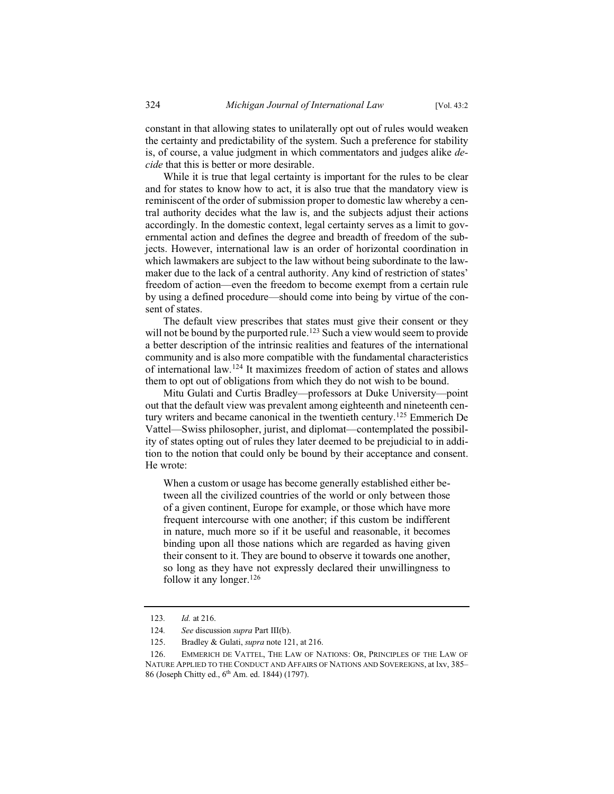constant in that allowing states to unilaterally opt out of rules would weaken the certainty and predictability of the system. Such a preference for stability is, of course, a value judgment in which commentators and judges alike *decide* that this is better or more desirable.

While it is true that legal certainty is important for the rules to be clear and for states to know how to act, it is also true that the mandatory view is reminiscent of the order of submission proper to domestic law whereby a central authority decides what the law is, and the subjects adjust their actions accordingly. In the domestic context, legal certainty serves as a limit to governmental action and defines the degree and breadth of freedom of the subjects. However, international law is an order of horizontal coordination in which lawmakers are subject to the law without being subordinate to the lawmaker due to the lack of a central authority. Any kind of restriction of states' freedom of action—even the freedom to become exempt from a certain rule by using a defined procedure—should come into being by virtue of the consent of states.

The default view prescribes that states must give their consent or they will not be bound by the purported rule.<sup>123</sup> Such a view would seem to provide a better description of the intrinsic realities and features of the international community and is also more compatible with the fundamental characteristics of international law.<sup>124</sup> It maximizes freedom of action of states and allows them to opt out of obligations from which they do not wish to be bound.

Mitu Gulati and Curtis Bradley—professors at Duke University—point out that the default view was prevalent among eighteenth and nineteenth century writers and became canonical in the twentieth century.<sup>125</sup> Emmerich De Vattel—Swiss philosopher, jurist, and diplomat—contemplated the possibility of states opting out of rules they later deemed to be prejudicial to in addition to the notion that could only be bound by their acceptance and consent. He wrote:

When a custom or usage has become generally established either between all the civilized countries of the world or only between those of a given continent, Europe for example, or those which have more frequent intercourse with one another; if this custom be indifferent in nature, much more so if it be useful and reasonable, it becomes binding upon all those nations which are regarded as having given their consent to it. They are bound to observe it towards one another, so long as they have not expressly declared their unwillingness to follow it any longer.<sup>126</sup>

<sup>123</sup>*. Id.* at 216.

<sup>124</sup>*. See* discussion *supra* Part III(b).

<sup>125.</sup> Bradley & Gulati, *supra* note 121, at 216.

<sup>126.</sup> EMMERICH DE VATTEL, THE LAW OF NATIONS: OR, PRINCIPLES OF THE LAW OF NATURE APPLIED TO THE CONDUCT AND AFFAIRS OF NATIONS AND SOVEREIGNS, at lxv, 385-86 (Joseph Chitty ed., 6th Am. ed. 1844) (1797).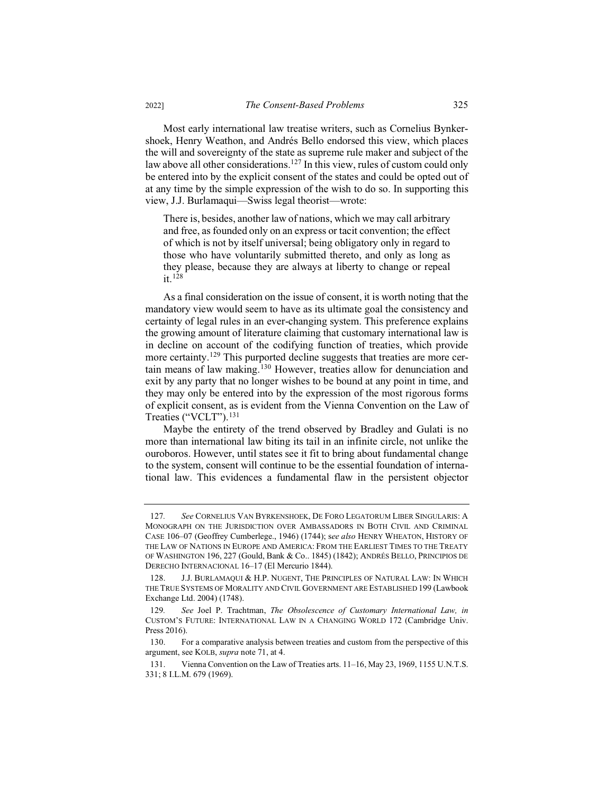Most early international law treatise writers, such as Cornelius Bynkershoek, Henry Weathon, and Andrés Bello endorsed this view, which places the will and sovereignty of the state as supreme rule maker and subject of the law above all other considerations.<sup>127</sup> In this view, rules of custom could only be entered into by the explicit consent of the states and could be opted out of at any time by the simple expression of the wish to do so. In supporting this view, J.J. Burlamaqui—Swiss legal theorist—wrote:

There is, besides, another law of nations, which we may call arbitrary and free, as founded only on an express or tacit convention; the effect of which is not by itself universal; being obligatory only in regard to those who have voluntarily submitted thereto, and only as long as they please, because they are always at liberty to change or repeal it.<sup>128</sup>

As a final consideration on the issue of consent, it is worth noting that the mandatory view would seem to have as its ultimate goal the consistency and certainty of legal rules in an ever-changing system. This preference explains the growing amount of literature claiming that customary international law is in decline on account of the codifying function of treaties, which provide more certainty.<sup>129</sup> This purported decline suggests that treaties are more certain means of law making.<sup>130</sup> However, treaties allow for denunciation and exit by any party that no longer wishes to be bound at any point in time, and they may only be entered into by the expression of the most rigorous forms of explicit consent, as is evident from the Vienna Convention on the Law of Treaties ("VCLT").<sup>131</sup>

Maybe the entirety of the trend observed by Bradley and Gulati is no more than international law biting its tail in an infinite circle, not unlike the ouroboros. However, until states see it fit to bring about fundamental change to the system, consent will continue to be the essential foundation of international law. This evidences a fundamental flaw in the persistent objector

<sup>127</sup>*. See* CORNELIUS VAN BYRKENSHOEK, DE FORO LEGATORUM LIBER SINGULARIS: A MONOGRAPH ON THE JURISDICTION OVER AMBASSADORS IN BOTH CIVIL AND CRIMINAL CASE 106–07 (Geoffrey Cumberlege., 1946) (1744); s*ee also* HENRY WHEATON, HISTORY OF THE LAW OF NATIONS IN EUROPE AND AMERICA: FROM THE EARLIEST TIMES TO THE TREATY OF WASHINGTON 196, 227 (Gould, Bank & Co.. 1845) (1842); ANDRÉS BELLO, PRINCIPIOS DE DERECHO INTERNACIONAL 16–17 (El Mercurio 1844).

<sup>128.</sup> J.J. BURLAMAQUI & H.P. NUGENT, THE PRINCIPLES OF NATURAL LAW: IN WHICH THE TRUE SYSTEMS OF MORALITY AND CIVIL GOVERNMENT ARE ESTABLISHED 199 (Lawbook Exchange Ltd. 2004) (1748).

<sup>129</sup>*. See* Joel P. Trachtman, *The Obsolescence of Customary International Law, in*  CUSTOM'S FUTURE: INTERNATIONAL LAW IN A CHANGING WORLD 172 (Cambridge Univ. Press 2016).

<sup>130.</sup> For a comparative analysis between treaties and custom from the perspective of this argument, see KOLB, *supra* note 71, at 4.

<sup>131.</sup> Vienna Convention on the Law of Treaties arts. 11–16, May 23, 1969, 1155 U.N.T.S. 331; 8 I.L.M. 679 (1969).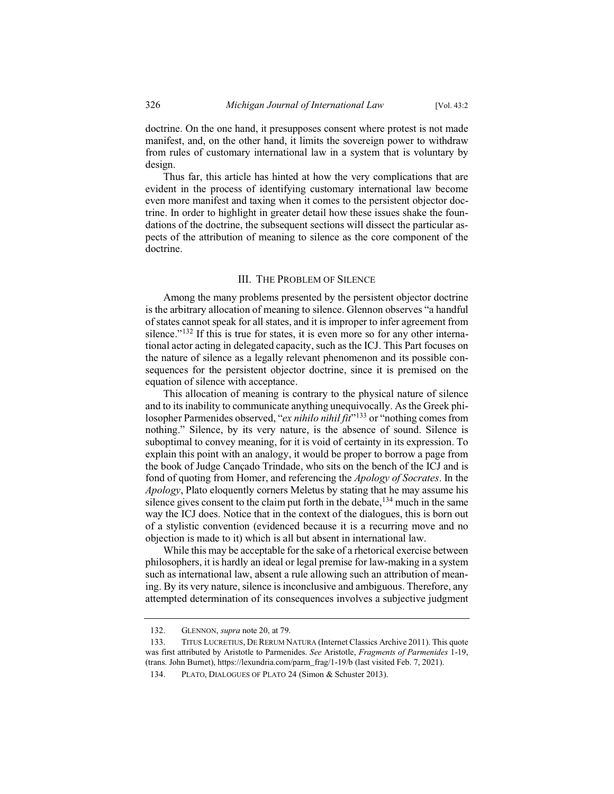doctrine. On the one hand, it presupposes consent where protest is not made manifest, and, on the other hand, it limits the sovereign power to withdraw from rules of customary international law in a system that is voluntary by design.

Thus far, this article has hinted at how the very complications that are evident in the process of identifying customary international law become even more manifest and taxing when it comes to the persistent objector doctrine. In order to highlight in greater detail how these issues shake the foundations of the doctrine, the subsequent sections will dissect the particular aspects of the attribution of meaning to silence as the core component of the doctrine.

#### III. THE PROBLEM OF SILENCE

Among the many problems presented by the persistent objector doctrine is the arbitrary allocation of meaning to silence. Glennon observes "a handful of states cannot speak for all states, and it is improper to infer agreement from silence." $132$  If this is true for states, it is even more so for any other international actor acting in delegated capacity, such as the ICJ. This Part focuses on the nature of silence as a legally relevant phenomenon and its possible consequences for the persistent objector doctrine, since it is premised on the equation of silence with acceptance.

This allocation of meaning is contrary to the physical nature of silence and to its inability to communicate anything unequivocally. As the Greek philosopher Parmenides observed, "*ex nihilo nihil fit*"<sup>133</sup> or "nothing comes from nothing." Silence, by its very nature, is the absence of sound. Silence is suboptimal to convey meaning, for it is void of certainty in its expression. To explain this point with an analogy, it would be proper to borrow a page from the book of Judge Cançado Trindade, who sits on the bench of the ICJ and is fond of quoting from Homer, and referencing the *Apology of Socrates*. In the *Apology*, Plato eloquently corners Meletus by stating that he may assume his silence gives consent to the claim put forth in the debate,  $134$  much in the same way the ICJ does. Notice that in the context of the dialogues, this is born out of a stylistic convention (evidenced because it is a recurring move and no objection is made to it) which is all but absent in international law.

While this may be acceptable for the sake of a rhetorical exercise between philosophers, it is hardly an ideal or legal premise for law-making in a system such as international law, absent a rule allowing such an attribution of meaning. By its very nature, silence is inconclusive and ambiguous. Therefore, any attempted determination of its consequences involves a subjective judgment

<sup>132.</sup> GLENNON, *supra* note 20, at 79.

<sup>133.</sup> TITUS LUCRETIUS, DERERUM NATURA (Internet Classics Archive 2011). This quote was first attributed by Aristotle to Parmenides. *See* Aristotle, *Fragments of Parmenides* 1-19, (trans. John Burnet), https://lexundria.com/parm\_frag/1-19/b (last visited Feb. 7, 2021).

<sup>134.</sup> PLATO, DIALOGUES OF PLATO 24 (Simon & Schuster 2013).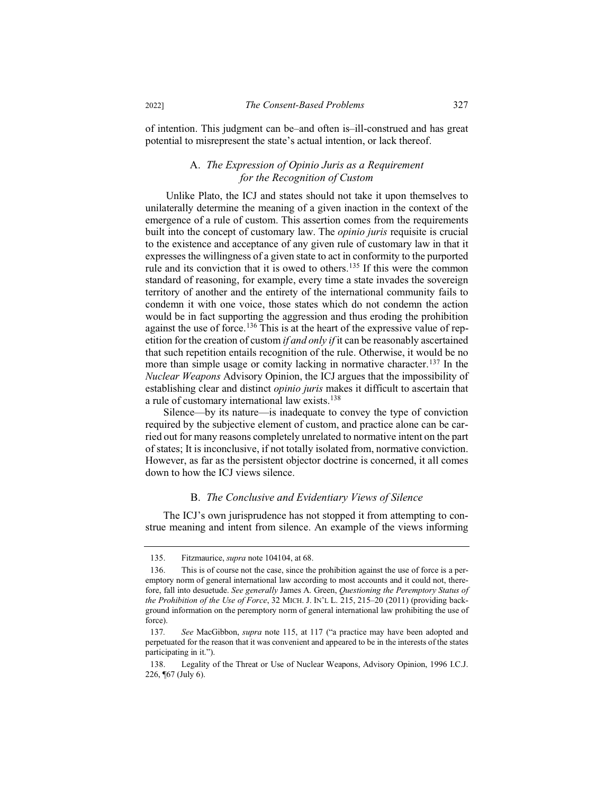of intention. This judgment can be–and often is–ill-construed and has great potential to misrepresent the state's actual intention, or lack thereof.

## A. *The Expression of Opinio Juris as a Requirement for the Recognition of Custom*

Unlike Plato, the ICJ and states should not take it upon themselves to unilaterally determine the meaning of a given inaction in the context of the emergence of a rule of custom. This assertion comes from the requirements built into the concept of customary law. The *opinio juris* requisite is crucial to the existence and acceptance of any given rule of customary law in that it expresses the willingness of a given state to act in conformity to the purported rule and its conviction that it is owed to others.<sup>135</sup> If this were the common standard of reasoning, for example, every time a state invades the sovereign territory of another and the entirety of the international community fails to condemn it with one voice, those states which do not condemn the action would be in fact supporting the aggression and thus eroding the prohibition against the use of force.<sup>136</sup> This is at the heart of the expressive value of repetition for the creation of custom *if and only if* it can be reasonably ascertained that such repetition entails recognition of the rule. Otherwise, it would be no more than simple usage or comity lacking in normative character.<sup>137</sup> In the *Nuclear Weapons* Advisory Opinion, the ICJ argues that the impossibility of establishing clear and distinct *opinio juris* makes it difficult to ascertain that a rule of customary international law exists.<sup>138</sup>

Silence—by its nature—is inadequate to convey the type of conviction required by the subjective element of custom, and practice alone can be carried out for many reasons completely unrelated to normative intent on the part of states; It is inconclusive, if not totally isolated from, normative conviction. However, as far as the persistent objector doctrine is concerned, it all comes down to how the ICJ views silence.

## B. *The Conclusive and Evidentiary Views of Silence*

The ICJ's own jurisprudence has not stopped it from attempting to construe meaning and intent from silence. An example of the views informing

<sup>135.</sup> Fitzmaurice, *supra* note 104104, at 68.

<sup>136.</sup> This is of course not the case, since the prohibition against the use of force is a peremptory norm of general international law according to most accounts and it could not, therefore, fall into desuetude. *See generally* James A. Green, *Questioning the Peremptory Status of the Prohibition of the Use of Force*, 32 MICH. J. IN'L L. 215, 215–20 (2011) (providing background information on the peremptory norm of general international law prohibiting the use of force).

<sup>137</sup>*. See* MacGibbon, *supra* note 115, at 117 ("a practice may have been adopted and perpetuated for the reason that it was convenient and appeared to be in the interests of the states participating in it.").

<sup>138.</sup> Legality of the Threat or Use of Nuclear Weapons, Advisory Opinion, 1996 I.C.J. 226, ¶67 (July 6).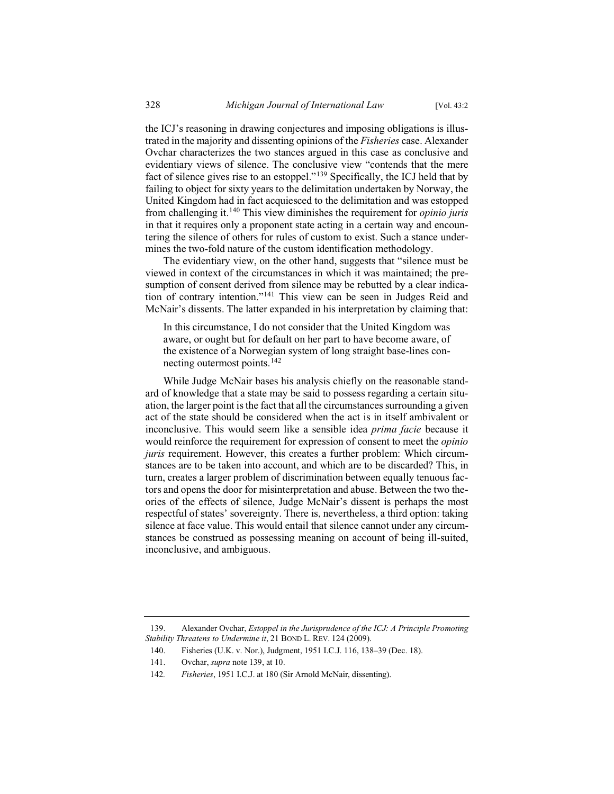the ICJ's reasoning in drawing conjectures and imposing obligations is illustrated in the majority and dissenting opinions of the *Fisheries* case. Alexander Ovchar characterizes the two stances argued in this case as conclusive and evidentiary views of silence. The conclusive view "contends that the mere fact of silence gives rise to an estoppel."<sup>139</sup> Specifically, the ICJ held that by failing to object for sixty years to the delimitation undertaken by Norway, the United Kingdom had in fact acquiesced to the delimitation and was estopped from challenging it.<sup>140</sup> This view diminishes the requirement for *opinio juris* in that it requires only a proponent state acting in a certain way and encountering the silence of others for rules of custom to exist. Such a stance undermines the two-fold nature of the custom identification methodology.

The evidentiary view, on the other hand, suggests that "silence must be viewed in context of the circumstances in which it was maintained; the presumption of consent derived from silence may be rebutted by a clear indication of contrary intention."<sup>141</sup> This view can be seen in Judges Reid and McNair's dissents. The latter expanded in his interpretation by claiming that:

In this circumstance, I do not consider that the United Kingdom was aware, or ought but for default on her part to have become aware, of the existence of a Norwegian system of long straight base-lines connecting outermost points.<sup>142</sup>

While Judge McNair bases his analysis chiefly on the reasonable standard of knowledge that a state may be said to possess regarding a certain situation, the larger point is the fact that all the circumstances surrounding a given act of the state should be considered when the act is in itself ambivalent or inconclusive. This would seem like a sensible idea *prima facie* because it would reinforce the requirement for expression of consent to meet the *opinio juris* requirement. However, this creates a further problem: Which circumstances are to be taken into account, and which are to be discarded? This, in turn, creates a larger problem of discrimination between equally tenuous factors and opens the door for misinterpretation and abuse. Between the two theories of the effects of silence, Judge McNair's dissent is perhaps the most respectful of states' sovereignty. There is, nevertheless, a third option: taking silence at face value. This would entail that silence cannot under any circumstances be construed as possessing meaning on account of being ill-suited, inconclusive, and ambiguous.

<sup>139.</sup> Alexander Ovchar, *Estoppel in the Jurisprudence of the ICJ: A Principle Promoting Stability Threatens to Undermine it*, 21 BOND L. REV. 124 (2009).

<sup>140.</sup> Fisheries (U.K. v. Nor.), Judgment, 1951 I.C.J. 116, 138–39 (Dec. 18).

<sup>141.</sup> Ovchar, *supra* note 139, at 10.

<sup>142</sup>*. Fisheries*, 1951 I.C.J. at 180 (Sir Arnold McNair, dissenting).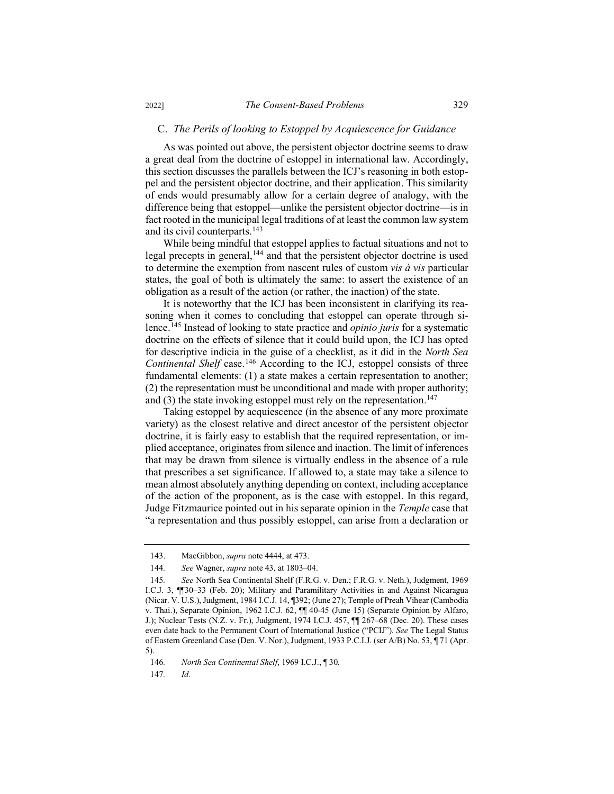#### C. *The Perils of looking to Estoppel by Acquiescence for Guidance*

As was pointed out above, the persistent objector doctrine seems to draw a great deal from the doctrine of estoppel in international law. Accordingly, this section discusses the parallels between the ICJ's reasoning in both estoppel and the persistent objector doctrine, and their application. This similarity of ends would presumably allow for a certain degree of analogy, with the difference being that estoppel—unlike the persistent objector doctrine—is in fact rooted in the municipal legal traditions of at least the common law system and its civil counterparts.<sup>143</sup>

While being mindful that estoppel applies to factual situations and not to legal precepts in general,<sup>144</sup> and that the persistent objector doctrine is used to determine the exemption from nascent rules of custom *vis à vis* particular states, the goal of both is ultimately the same: to assert the existence of an obligation as a result of the action (or rather, the inaction) of the state.

It is noteworthy that the ICJ has been inconsistent in clarifying its reasoning when it comes to concluding that estoppel can operate through silence.<sup>145</sup> Instead of looking to state practice and *opinio juris* for a systematic doctrine on the effects of silence that it could build upon, the ICJ has opted for descriptive indicia in the guise of a checklist, as it did in the *North Sea Continental Shelf* case.<sup>146</sup> According to the ICJ, estoppel consists of three fundamental elements: (1) a state makes a certain representation to another; (2) the representation must be unconditional and made with proper authority; and (3) the state invoking estoppel must rely on the representation.<sup>147</sup>

Taking estoppel by acquiescence (in the absence of any more proximate variety) as the closest relative and direct ancestor of the persistent objector doctrine, it is fairly easy to establish that the required representation, or implied acceptance, originates from silence and inaction. The limit of inferences that may be drawn from silence is virtually endless in the absence of a rule that prescribes a set significance. If allowed to, a state may take a silence to mean almost absolutely anything depending on context, including acceptance of the action of the proponent, as is the case with estoppel. In this regard, Judge Fitzmaurice pointed out in his separate opinion in the *Temple* case that "a representation and thus possibly estoppel, can arise from a declaration or

147*. Id.*

<sup>143.</sup> MacGibbon, *supra* note 4444, at 473.

<sup>144</sup>*. See* Wagner, *supra* note 43, at 1803–04.

<sup>145</sup>*. See* North Sea Continental Shelf (F.R.G. v. Den.; F.R.G. v. Neth.), Judgment, 1969 I.C.J. 3, ¶¶30–33 (Feb. 20); Military and Paramilitary Activities in and Against Nicaragua (Nicar. V. U.S.), Judgment, 1984 I.C.J. 14, ¶392; (June 27); Temple of Preah Vihear (Cambodia v. Thai.), Separate Opinion, 1962 I.C.J. 62, ¶¶ 40-45 (June 15) (Separate Opinion by Alfaro, J.); Nuclear Tests (N.Z. v. Fr.), Judgment, 1974 I.C.J. 457, ¶¶ 267–68 (Dec. 20). These cases even date back to the Permanent Court of International Justice ("PCIJ"). *See* The Legal Status of Eastern Greenland Case (Den. V. Nor.), Judgment, 1933 P.C.I.J. (ser A/B) No. 53, ¶ 71 (Apr. 5).

<sup>146</sup>*. North Sea Continental Shelf*, 1969 I.C.J., ¶ 30*.*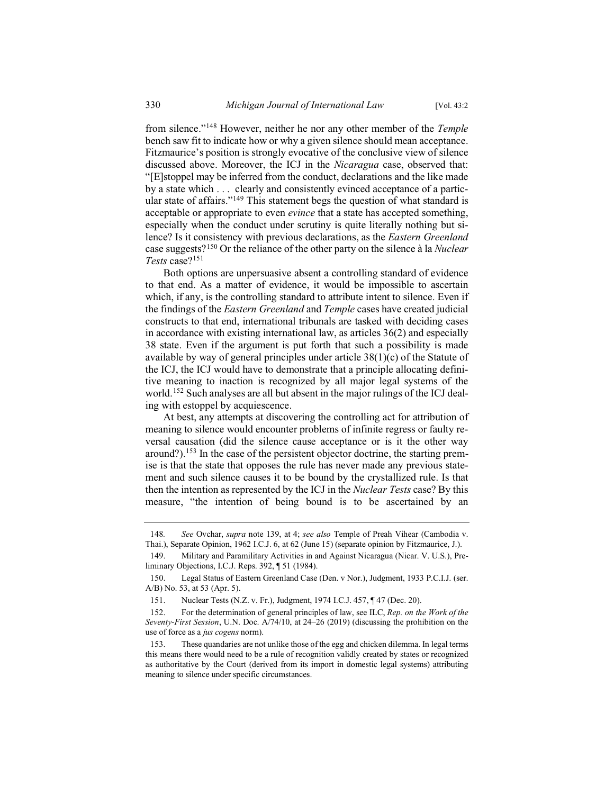from silence."<sup>148</sup> However, neither he nor any other member of the *Temple* bench saw fit to indicate how or why a given silence should mean acceptance. Fitzmaurice's position is strongly evocative of the conclusive view of silence discussed above. Moreover, the ICJ in the *Nicaragua* case, observed that: "[E]stoppel may be inferred from the conduct, declarations and the like made by a state which . . . clearly and consistently evinced acceptance of a particular state of affairs."<sup>149</sup> This statement begs the question of what standard is acceptable or appropriate to even *evince* that a state has accepted something, especially when the conduct under scrutiny is quite literally nothing but silence? Is it consistency with previous declarations, as the *Eastern Greenland*  case suggests?<sup>150</sup> Or the reliance of the other party on the silence à la *Nuclear Tests* case?<sup>151</sup>

Both options are unpersuasive absent a controlling standard of evidence to that end. As a matter of evidence, it would be impossible to ascertain which, if any, is the controlling standard to attribute intent to silence. Even if the findings of the *Eastern Greenland* and *Temple* cases have created judicial constructs to that end, international tribunals are tasked with deciding cases in accordance with existing international law, as articles 36(2) and especially 38 state. Even if the argument is put forth that such a possibility is made available by way of general principles under article 38(1)(c) of the Statute of the ICJ, the ICJ would have to demonstrate that a principle allocating definitive meaning to inaction is recognized by all major legal systems of the world.<sup>152</sup> Such analyses are all but absent in the major rulings of the ICJ dealing with estoppel by acquiescence.

At best, any attempts at discovering the controlling act for attribution of meaning to silence would encounter problems of infinite regress or faulty reversal causation (did the silence cause acceptance or is it the other way around?).<sup>153</sup> In the case of the persistent objector doctrine, the starting premise is that the state that opposes the rule has never made any previous statement and such silence causes it to be bound by the crystallized rule. Is that then the intention as represented by the ICJ in the *Nuclear Tests* case? By this measure, "the intention of being bound is to be ascertained by an

<sup>148</sup>*. See* Ovchar, *supra* note 139, at 4; *see also* Temple of Preah Vihear (Cambodia v. Thai.), Separate Opinion, 1962 I.C.J. 6, at 62 (June 15) (separate opinion by Fitzmaurice, J.).

<sup>149.</sup> Military and Paramilitary Activities in and Against Nicaragua (Nicar. V. U.S.), Preliminary Objections, I.C.J. Reps. 392, ¶ 51 (1984).

<sup>150.</sup> Legal Status of Eastern Greenland Case (Den. v Nor.), Judgment, 1933 P.C.I.J. (ser. A/B) No. 53, at 53 (Apr. 5).

<sup>151.</sup> Nuclear Tests (N.Z. v. Fr.), Judgment, 1974 I.C.J. 457, ¶ 47 (Dec. 20).

<sup>152.</sup> For the determination of general principles of law, see ILC, *Rep. on the Work of the Seventy-First Session*, U.N. Doc. A/74/10, at 24–26 (2019) (discussing the prohibition on the use of force as a *jus cogens* norm).

<sup>153.</sup> These quandaries are not unlike those of the egg and chicken dilemma. In legal terms this means there would need to be a rule of recognition validly created by states or recognized as authoritative by the Court (derived from its import in domestic legal systems) attributing meaning to silence under specific circumstances.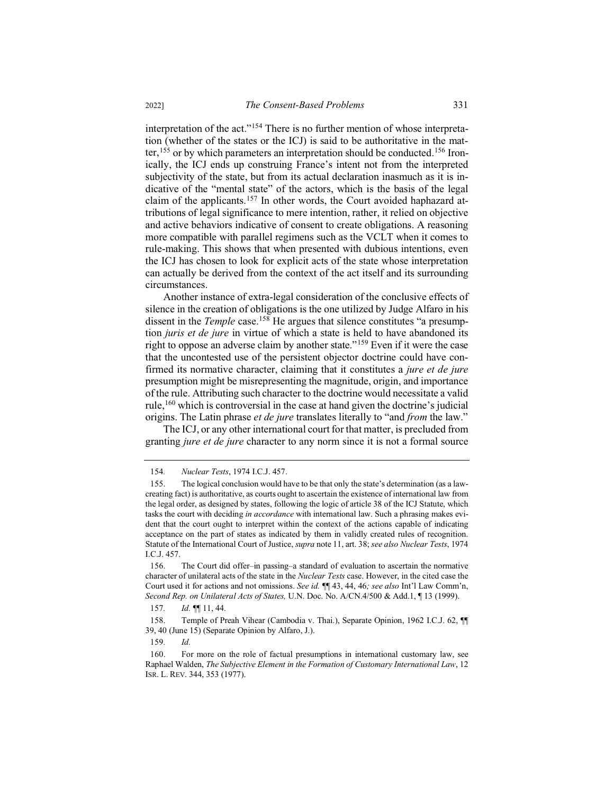interpretation of the act."<sup>154</sup> There is no further mention of whose interpretation (whether of the states or the ICJ) is said to be authoritative in the matter,<sup>155</sup> or by which parameters an interpretation should be conducted.<sup>156</sup> Ironically, the ICJ ends up construing France's intent not from the interpreted subjectivity of the state, but from its actual declaration inasmuch as it is indicative of the "mental state" of the actors, which is the basis of the legal claim of the applicants.<sup>157</sup> In other words, the Court avoided haphazard attributions of legal significance to mere intention, rather, it relied on objective and active behaviors indicative of consent to create obligations. A reasoning more compatible with parallel regimens such as the VCLT when it comes to rule-making. This shows that when presented with dubious intentions, even the ICJ has chosen to look for explicit acts of the state whose interpretation can actually be derived from the context of the act itself and its surrounding circumstances.

Another instance of extra-legal consideration of the conclusive effects of silence in the creation of obligations is the one utilized by Judge Alfaro in his dissent in the *Temple* case.<sup>158</sup> He argues that silence constitutes "a presumption *juris et de jure* in virtue of which a state is held to have abandoned its right to oppose an adverse claim by another state."<sup>159</sup> Even if it were the case that the uncontested use of the persistent objector doctrine could have confirmed its normative character, claiming that it constitutes a *jure et de jure* presumption might be misrepresenting the magnitude, origin, and importance of the rule. Attributing such character to the doctrine would necessitate a valid rule,<sup>160</sup> which is controversial in the case at hand given the doctrine's judicial origins. The Latin phrase *et de jure* translates literally to "and *from* the law."

The ICJ, or any other international court for that matter, is precluded from granting *jure et de jure* character to any norm since it is not a formal source

157*. Id.* ¶¶ 11, 44*.*

158. Temple of Preah Vihear (Cambodia v. Thai.), Separate Opinion, 1962 I.C.J. 62, ¶¶ 39, 40 (June 15) (Separate Opinion by Alfaro, J.).

159*. Id.*

<sup>154</sup>*. Nuclear Tests*, 1974 I.C.J. 457.

<sup>155.</sup> The logical conclusion would have to be that only the state's determination (as a lawcreating fact) is authoritative, as courts ought to ascertain the existence of international law from the legal order, as designed by states, following the logic of article 38 of the ICJ Statute, which tasks the court with deciding *in accordance* with international law. Such a phrasing makes evident that the court ought to interpret within the context of the actions capable of indicating acceptance on the part of states as indicated by them in validly created rules of recognition. Statute of the International Court of Justice, *supra* note 11, art. 38; *see also Nuclear Tests*, 1974 I.C.J. 457.

<sup>156.</sup> The Court did offer–in passing–a standard of evaluation to ascertain the normative character of unilateral acts of the state in the *Nuclear Tests* case. However, in the cited case the Court used it for actions and not omissions. *See id.* ¶¶ 43, 44, 46*; see also* Int'l Law Comm'n, *Second Rep. on Unilateral Acts of States,* U.N. Doc. No. A/CN.4/500 & Add.1, ¶ 13 (1999).

<sup>160.</sup> For more on the role of factual presumptions in international customary law, see Raphael Walden, *The Subjective Element in the Formation of Customary International Law*, 12 ISR. L. REV. 344, 353 (1977).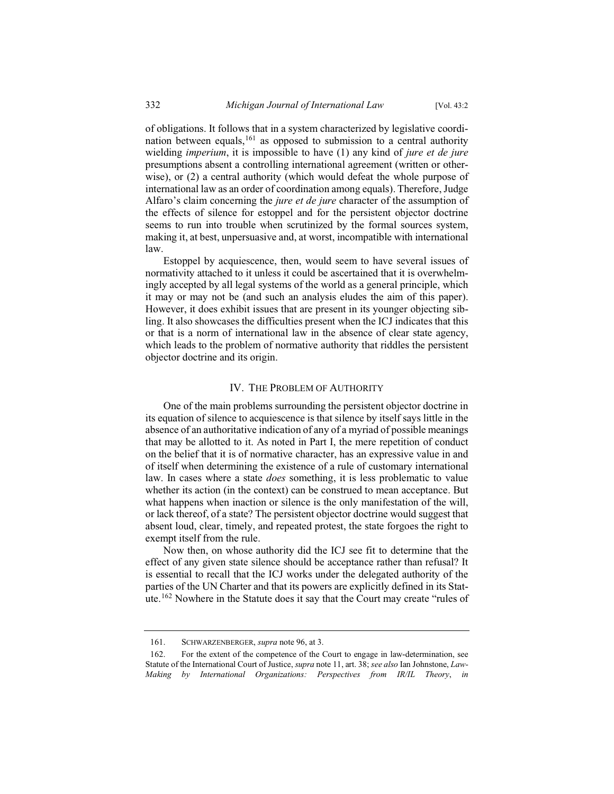of obligations. It follows that in a system characterized by legislative coordination between equals,<sup>161</sup> as opposed to submission to a central authority wielding *imperium*, it is impossible to have (1) any kind of *jure et de jure* presumptions absent a controlling international agreement (written or otherwise), or (2) a central authority (which would defeat the whole purpose of international law as an order of coordination among equals). Therefore, Judge Alfaro's claim concerning the *jure et de jure* character of the assumption of the effects of silence for estoppel and for the persistent objector doctrine seems to run into trouble when scrutinized by the formal sources system, making it, at best, unpersuasive and, at worst, incompatible with international law.

Estoppel by acquiescence, then, would seem to have several issues of normativity attached to it unless it could be ascertained that it is overwhelmingly accepted by all legal systems of the world as a general principle, which it may or may not be (and such an analysis eludes the aim of this paper). However, it does exhibit issues that are present in its younger objecting sibling. It also showcases the difficulties present when the ICJ indicates that this or that is a norm of international law in the absence of clear state agency, which leads to the problem of normative authority that riddles the persistent objector doctrine and its origin.

#### IV. THE PROBLEM OF AUTHORITY

One of the main problems surrounding the persistent objector doctrine in its equation of silence to acquiescence is that silence by itself says little in the absence of an authoritative indication of any of a myriad of possible meanings that may be allotted to it. As noted in Part I, the mere repetition of conduct on the belief that it is of normative character, has an expressive value in and of itself when determining the existence of a rule of customary international law. In cases where a state *does* something, it is less problematic to value whether its action (in the context) can be construed to mean acceptance. But what happens when inaction or silence is the only manifestation of the will, or lack thereof, of a state? The persistent objector doctrine would suggest that absent loud, clear, timely, and repeated protest, the state forgoes the right to exempt itself from the rule.

Now then, on whose authority did the ICJ see fit to determine that the effect of any given state silence should be acceptance rather than refusal? It is essential to recall that the ICJ works under the delegated authority of the parties of the UN Charter and that its powers are explicitly defined in its Statute.<sup>162</sup> Nowhere in the Statute does it say that the Court may create "rules of

<sup>161.</sup> SCHWARZENBERGER, *supra* note 96, at 3.

<sup>162.</sup> For the extent of the competence of the Court to engage in law-determination, see Statute of the International Court of Justice, *supra* note 11, art. 38; *see also* Ian Johnstone, *Law-Making by International Organizations: Perspectives from IR/IL Theory*, *in*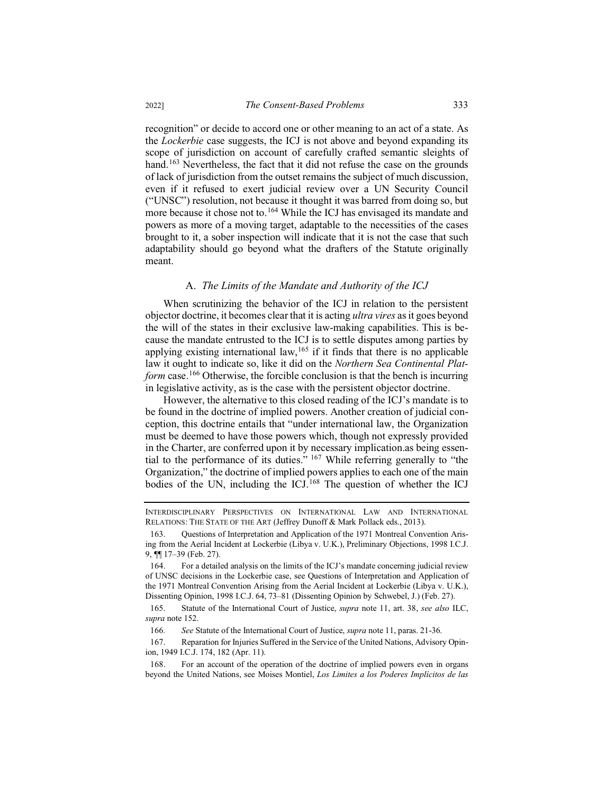recognition" or decide to accord one or other meaning to an act of a state. As the *Lockerbie* case suggests, the ICJ is not above and beyond expanding its scope of jurisdiction on account of carefully crafted semantic sleights of hand.<sup>163</sup> Nevertheless, the fact that it did not refuse the case on the grounds of lack of jurisdiction from the outset remains the subject of much discussion, even if it refused to exert judicial review over a UN Security Council ("UNSC") resolution, not because it thought it was barred from doing so, but more because it chose not to.<sup>164</sup> While the ICJ has envisaged its mandate and powers as more of a moving target, adaptable to the necessities of the cases brought to it, a sober inspection will indicate that it is not the case that such adaptability should go beyond what the drafters of the Statute originally meant.

#### A. *The Limits of the Mandate and Authority of the ICJ*

When scrutinizing the behavior of the ICJ in relation to the persistent objector doctrine, it becomes clear that it is acting *ultra vires* as it goes beyond the will of the states in their exclusive law-making capabilities. This is because the mandate entrusted to the ICJ is to settle disputes among parties by applying existing international law,  $165$  if it finds that there is no applicable law it ought to indicate so, like it did on the *Northern Sea Continental Platform* case.<sup>166</sup> Otherwise, the forcible conclusion is that the bench is incurring in legislative activity, as is the case with the persistent objector doctrine.

However, the alternative to this closed reading of the ICJ's mandate is to be found in the doctrine of implied powers. Another creation of judicial conception, this doctrine entails that "under international law, the Organization must be deemed to have those powers which, though not expressly provided in the Charter, are conferred upon it by necessary implication.as being essential to the performance of its duties." <sup>167</sup> While referring generally to "the Organization," the doctrine of implied powers applies to each one of the main bodies of the UN, including the ICJ. $168$  The question of whether the ICJ

167. Reparation for Injuries Suffered in the Service of the United Nations, Advisory Opinion, 1949 I.C.J. 174, 182 (Apr. 11).

INTERDISCIPLINARY PERSPECTIVES ON INTERNATIONAL LAW AND INTERNATIONAL RELATIONS: THE STATE OF THE ART (Jeffrey Dunoff & Mark Pollack eds., 2013).

<sup>163.</sup> Questions of Interpretation and Application of the 1971 Montreal Convention Arising from the Aerial Incident at Lockerbie (Libya v. U.K.), Preliminary Objections, 1998 I.C.J. 9, ¶¶ 17–39 (Feb. 27).

<sup>164.</sup> For a detailed analysis on the limits of the ICJ's mandate concerning judicial review of UNSC decisions in the Lockerbie case, see Questions of Interpretation and Application of the 1971 Montreal Convention Arising from the Aerial Incident at Lockerbie (Libya v. U.K.), Dissenting Opinion, 1998 I.C.J. 64, 73–81 (Dissenting Opinion by Schwebel, J.) (Feb. 27).

<sup>165.</sup> Statute of the International Court of Justice, *supra* note 11, art. 38, *see also* ILC, *supra* note 152.

<sup>166</sup>*. See* Statute of the International Court of Justice, *supra* note 11, paras. 21-36.

<sup>168.</sup> For an account of the operation of the doctrine of implied powers even in organs beyond the United Nations, see Moises Montiel, *Los Limites a los Poderes Implícitos de las*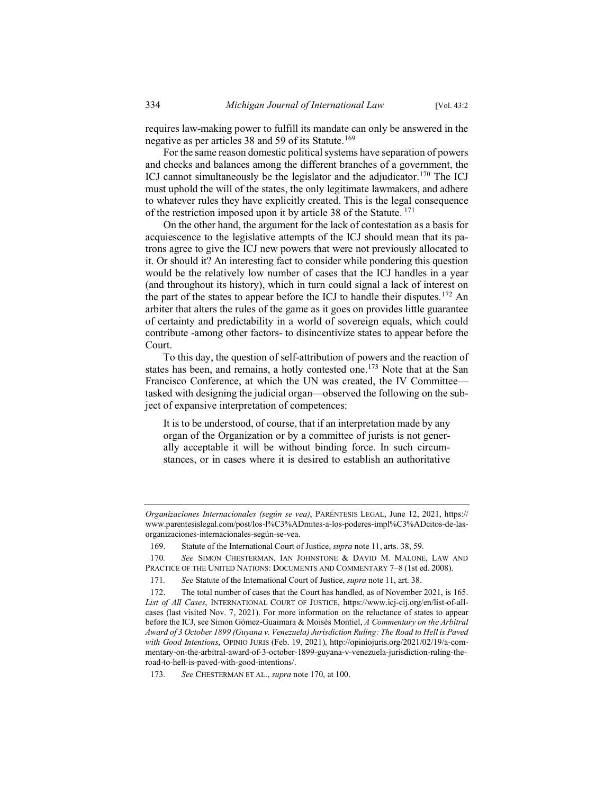requires law-making power to fulfill its mandate can only be answered in the negative as per articles 38 and 59 of its Statute.<sup>169</sup>

For the same reason domestic political systems have separation of powers and checks and balances among the different branches of a government, the ICJ cannot simultaneously be the legislator and the adjudicator.<sup>170</sup> The ICJ must uphold the will of the states, the only legitimate lawmakers, and adhere to whatever rules they have explicitly created. This is the legal consequence of the restriction imposed upon it by article 38 of the Statute. <sup>171</sup>

On the other hand, the argument for the lack of contestation as a basis for acquiescence to the legislative attempts of the ICJ should mean that its patrons agree to give the ICJ new powers that were not previously allocated to it. Or should it? An interesting fact to consider while pondering this question would be the relatively low number of cases that the ICJ handles in a year (and throughout its history), which in turn could signal a lack of interest on the part of the states to appear before the ICJ to handle their disputes.<sup>172</sup> An arbiter that alters the rules of the game as it goes on provides little guarantee of certainty and predictability in a world of sovereign equals, which could contribute -among other factors- to disincentivize states to appear before the Court.

To this day, the question of self-attribution of powers and the reaction of states has been, and remains, a hotly contested one.<sup>173</sup> Note that at the San Francisco Conference, at which the UN was created, the IV Committee tasked with designing the judicial organ—observed the following on the subject of expansive interpretation of competences:

It is to be understood, of course, that if an interpretation made by any organ of the Organization or by a committee of jurists is not generally acceptable it will be without binding force. In such circumstances, or in cases where it is desired to establish an authoritative

*Organizaciones Internacionales (según se vea)*, PARÉNTESIS LEGAL, June 12, 2021, https:// www.parentesislegal.com/post/los-l%C3%ADmites-a-los-poderes-impl%C3%ADcitos-de-lasorganizaciones-internacionales-según-se-vea.

<sup>169.</sup> Statute of the International Court of Justice, *supra* note 11, arts. 38, 59.

<sup>170</sup>*. See* SIMON CHESTERMAN, IAN JOHNSTONE & DAVID M. MALONE, LAW AND PRACTICE OF THE UNITED NATIONS: DOCUMENTS AND COMMENTARY 7–8 (1st ed. 2008).

<sup>171</sup>*. See* Statute of the International Court of Justice, *supra* note 11, art. 38.

<sup>172.</sup> The total number of cases that the Court has handled, as of November 2021, is 165. *List of All Cases*, INTERNATIONAL COURT OF JUSTICE, https://www.icj-cij.org/en/list-of-allcases (last visited Nov. 7, 2021). For more information on the reluctance of states to appear before the ICJ, see Simon Gómez-Guaimara & Moisés Montiel, *A Commentary on the Arbitral Award of 3 October 1899 (Guyana v. Venezuela) Jurisdiction Ruling: The Road to Hell is Paved with Good Intentions*, OPINIO JURIS (Feb. 19, 2021), http://opiniojuris.org/2021/02/19/a-commentary-on-the-arbitral-award-of-3-october-1899-guyana-v-venezuela-jurisdiction-ruling-theroad-to-hell-is-paved-with-good-intentions/.

<sup>173</sup>*. See* CHESTERMAN ET AL., *supra* note 170, at 100.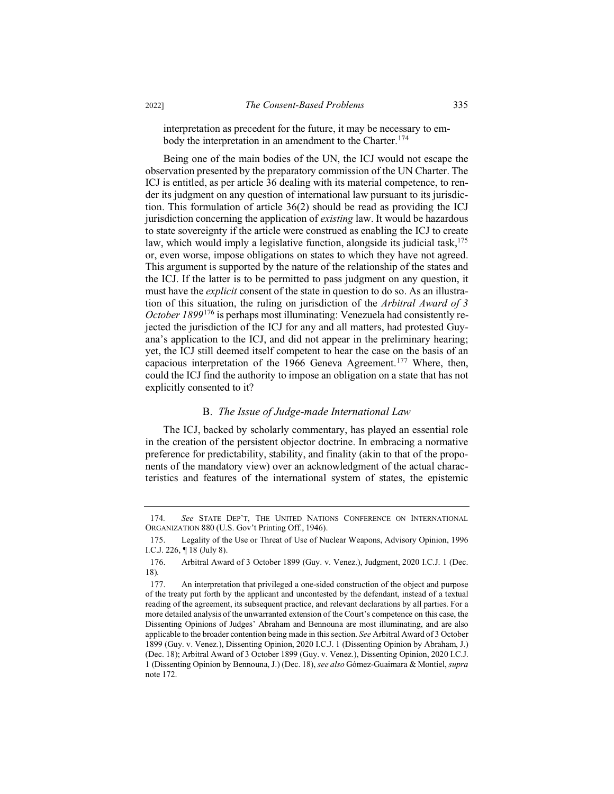interpretation as precedent for the future, it may be necessary to embody the interpretation in an amendment to the Charter.<sup>174</sup>

Being one of the main bodies of the UN, the ICJ would not escape the observation presented by the preparatory commission of the UN Charter. The ICJ is entitled, as per article 36 dealing with its material competence, to render its judgment on any question of international law pursuant to its jurisdiction. This formulation of article 36(2) should be read as providing the ICJ jurisdiction concerning the application of *existing* law. It would be hazardous to state sovereignty if the article were construed as enabling the ICJ to create law, which would imply a legislative function, alongside its judicial task,<sup>175</sup> or, even worse, impose obligations on states to which they have not agreed. This argument is supported by the nature of the relationship of the states and the ICJ. If the latter is to be permitted to pass judgment on any question, it must have the *explicit* consent of the state in question to do so. As an illustration of this situation, the ruling on jurisdiction of the *Arbitral Award of 3 October 1899*<sup>176</sup> is perhaps most illuminating: Venezuela had consistently rejected the jurisdiction of the ICJ for any and all matters, had protested Guyana's application to the ICJ, and did not appear in the preliminary hearing; yet, the ICJ still deemed itself competent to hear the case on the basis of an capacious interpretation of the 1966 Geneva Agreement.<sup>177</sup> Where, then, could the ICJ find the authority to impose an obligation on a state that has not explicitly consented to it?

## B. *The Issue of Judge-made International Law*

The ICJ, backed by scholarly commentary, has played an essential role in the creation of the persistent objector doctrine. In embracing a normative preference for predictability, stability, and finality (akin to that of the proponents of the mandatory view) over an acknowledgment of the actual characteristics and features of the international system of states, the epistemic

<sup>174</sup>*. See* STATE DEP'T, THE UNITED NATIONS CONFERENCE ON INTERNATIONAL ORGANIZATION 880 (U.S. Gov't Printing Off., 1946).

<sup>175.</sup> Legality of the Use or Threat of Use of Nuclear Weapons, Advisory Opinion, 1996 I.C.J. 226, ¶ 18 (July 8).

<sup>176.</sup> Arbitral Award of 3 October 1899 (Guy. v. Venez.), Judgment, 2020 I.C.J. 1 (Dec. 18).

<sup>177.</sup> An interpretation that privileged a one-sided construction of the object and purpose of the treaty put forth by the applicant and uncontested by the defendant, instead of a textual reading of the agreement, its subsequent practice, and relevant declarations by all parties. For a more detailed analysis of the unwarranted extension of the Court's competence on this case, the Dissenting Opinions of Judges' Abraham and Bennouna are most illuminating, and are also applicable to the broader contention being made in this section. *See* Arbitral Award of 3 October 1899 (Guy. v. Venez.), Dissenting Opinion, 2020 I.C.J. 1 (Dissenting Opinion by Abraham, J.) (Dec. 18); Arbitral Award of 3 October 1899 (Guy. v. Venez.), Dissenting Opinion, 2020 I.C.J. 1 (Dissenting Opinion by Bennouna, J.) (Dec. 18), *see also* Gómez-Guaimara & Montiel, *supra* note 172.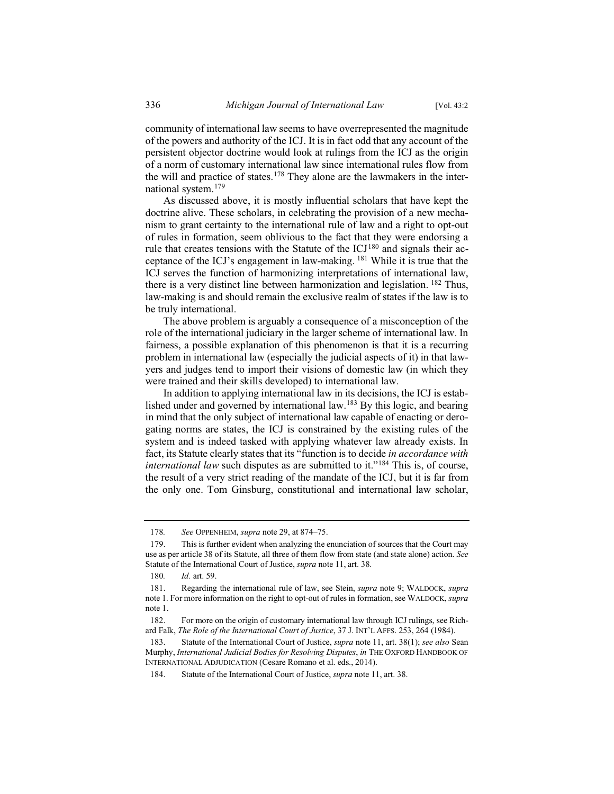community of international law seems to have overrepresented the magnitude of the powers and authority of the ICJ. It is in fact odd that any account of the persistent objector doctrine would look at rulings from the ICJ as the origin of a norm of customary international law since international rules flow from the will and practice of states.<sup>178</sup> They alone are the lawmakers in the international system.<sup>179</sup>

As discussed above, it is mostly influential scholars that have kept the doctrine alive. These scholars, in celebrating the provision of a new mechanism to grant certainty to the international rule of law and a right to opt-out of rules in formation, seem oblivious to the fact that they were endorsing a rule that creates tensions with the Statute of the ICJ<sup>180</sup> and signals their acceptance of the ICJ's engagement in law-making. <sup>181</sup> While it is true that the ICJ serves the function of harmonizing interpretations of international law, there is a very distinct line between harmonization and legislation. <sup>182</sup> Thus, law-making is and should remain the exclusive realm of states if the law is to be truly international.

The above problem is arguably a consequence of a misconception of the role of the international judiciary in the larger scheme of international law. In fairness, a possible explanation of this phenomenon is that it is a recurring problem in international law (especially the judicial aspects of it) in that lawyers and judges tend to import their visions of domestic law (in which they were trained and their skills developed) to international law.

In addition to applying international law in its decisions, the ICJ is established under and governed by international law.<sup>183</sup> By this logic, and bearing in mind that the only subject of international law capable of enacting or derogating norms are states, the ICJ is constrained by the existing rules of the system and is indeed tasked with applying whatever law already exists. In fact, its Statute clearly states that its "function is to decide *in accordance with international law* such disputes as are submitted to it."<sup>184</sup> This is, of course, the result of a very strict reading of the mandate of the ICJ, but it is far from the only one. Tom Ginsburg, constitutional and international law scholar,

<sup>178</sup>*. See* OPPENHEIM, *supra* note 29, at 874–75.

<sup>179.</sup> This is further evident when analyzing the enunciation of sources that the Court may use as per article 38 of its Statute, all three of them flow from state (and state alone) action. *See*  Statute of the International Court of Justice, *supra* note 11, art. 38.

<sup>180</sup>*. Id.* art. 59.

<sup>181.</sup> Regarding the international rule of law, see Stein, *supra* note 9; WALDOCK, *supra*  note 1. For more information on the right to opt-out of rules in formation, see WALDOCK, *supra*  note 1.

<sup>182.</sup> For more on the origin of customary international law through ICJ rulings, see Richard Falk, *The Role of the International Court of Justice*, 37 J. INT'L AFFS. 253, 264 (1984).

<sup>183.</sup> Statute of the International Court of Justice, *supra* note 11, art. 38(1); *see also* Sean Murphy, *International Judicial Bodies for Resolving Disputes*, *in* THE OXFORD HANDBOOK OF INTERNATIONAL ADJUDICATION (Cesare Romano et al. eds., 2014).

<sup>184.</sup> Statute of the International Court of Justice, *supra* note 11, art. 38.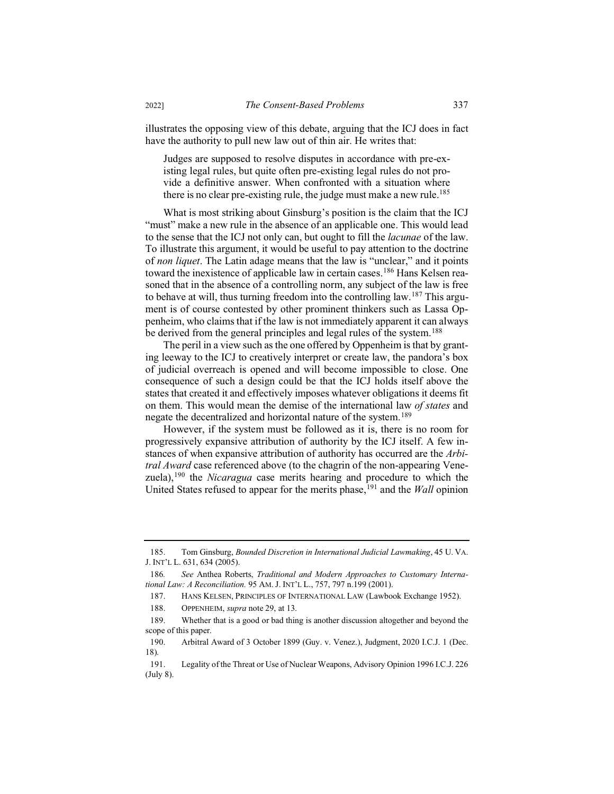illustrates the opposing view of this debate, arguing that the ICJ does in fact have the authority to pull new law out of thin air. He writes that:

Judges are supposed to resolve disputes in accordance with pre-existing legal rules, but quite often pre-existing legal rules do not provide a definitive answer. When confronted with a situation where there is no clear pre-existing rule, the judge must make a new rule.<sup>185</sup>

What is most striking about Ginsburg's position is the claim that the ICJ "must" make a new rule in the absence of an applicable one. This would lead to the sense that the ICJ not only can, but ought to fill the *lacunae* of the law. To illustrate this argument, it would be useful to pay attention to the doctrine of *non liquet*. The Latin adage means that the law is "unclear," and it points toward the inexistence of applicable law in certain cases.<sup>186</sup> Hans Kelsen reasoned that in the absence of a controlling norm, any subject of the law is free to behave at will, thus turning freedom into the controlling law.<sup>187</sup> This argument is of course contested by other prominent thinkers such as Lassa Oppenheim, who claims that if the law is not immediately apparent it can always be derived from the general principles and legal rules of the system.<sup>188</sup>

The peril in a view such as the one offered by Oppenheim is that by granting leeway to the ICJ to creatively interpret or create law, the pandora's box of judicial overreach is opened and will become impossible to close. One consequence of such a design could be that the ICJ holds itself above the states that created it and effectively imposes whatever obligations it deems fit on them. This would mean the demise of the international law *of states* and negate the decentralized and horizontal nature of the system.<sup>189</sup>

However, if the system must be followed as it is, there is no room for progressively expansive attribution of authority by the ICJ itself. A few instances of when expansive attribution of authority has occurred are the *Arbitral Award* case referenced above (to the chagrin of the non-appearing Venezuela),<sup>190</sup> the *Nicaragua* case merits hearing and procedure to which the United States refused to appear for the merits phase,<sup>191</sup> and the *Wall* opinion

188. OPPENHEIM, *supra* note 29, at 13.

<sup>185.</sup> Tom Ginsburg, *Bounded Discretion in International Judicial Lawmaking*, 45 U. VA. J. INT'L L. 631, 634 (2005).

<sup>186</sup>*. See* Anthea Roberts, *Traditional and Modern Approaches to Customary International Law: A Reconciliation.* 95 AM. J. INT'L L., 757, 797 n.199 (2001).

<sup>187.</sup> HANS KELSEN, PRINCIPLES OF INTERNATIONAL LAW (Lawbook Exchange 1952).

<sup>189.</sup> Whether that is a good or bad thing is another discussion altogether and beyond the scope of this paper.

<sup>190.</sup> Arbitral Award of 3 October 1899 (Guy. v. Venez.), Judgment, 2020 I.C.J. 1 (Dec. 18).

<sup>191.</sup> Legality of the Threat or Use of Nuclear Weapons, Advisory Opinion 1996 I.C.J. 226 (July 8).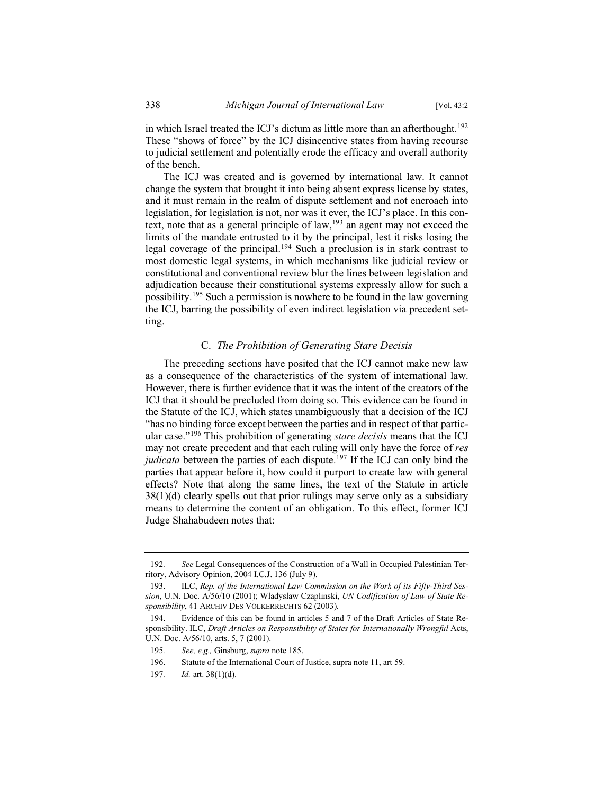in which Israel treated the ICJ's dictum as little more than an afterthought.<sup>192</sup> These "shows of force" by the ICJ disincentive states from having recourse to judicial settlement and potentially erode the efficacy and overall authority of the bench.

The ICJ was created and is governed by international law. It cannot change the system that brought it into being absent express license by states, and it must remain in the realm of dispute settlement and not encroach into legislation, for legislation is not, nor was it ever, the ICJ's place. In this context, note that as a general principle of law,<sup>193</sup> an agent may not exceed the limits of the mandate entrusted to it by the principal, lest it risks losing the legal coverage of the principal.<sup>194</sup> Such a preclusion is in stark contrast to most domestic legal systems, in which mechanisms like judicial review or constitutional and conventional review blur the lines between legislation and adjudication because their constitutional systems expressly allow for such a possibility.<sup>195</sup> Such a permission is nowhere to be found in the law governing the ICJ, barring the possibility of even indirect legislation via precedent setting.

## C. *The Prohibition of Generating Stare Decisis*

The preceding sections have posited that the ICJ cannot make new law as a consequence of the characteristics of the system of international law. However, there is further evidence that it was the intent of the creators of the ICJ that it should be precluded from doing so. This evidence can be found in the Statute of the ICJ, which states unambiguously that a decision of the ICJ "has no binding force except between the parties and in respect of that particular case."<sup>196</sup> This prohibition of generating *stare decisis* means that the ICJ may not create precedent and that each ruling will only have the force of *res judicata* between the parties of each dispute.<sup>197</sup> If the ICJ can only bind the parties that appear before it, how could it purport to create law with general effects? Note that along the same lines, the text of the Statute in article 38(1)(d) clearly spells out that prior rulings may serve only as a subsidiary means to determine the content of an obligation. To this effect, former ICJ Judge Shahabudeen notes that:

<sup>192</sup>*. See* Legal Consequences of the Construction of a Wall in Occupied Palestinian Territory, Advisory Opinion, 2004 I.C.J. 136 (July 9).

<sup>193.</sup> ILC, *Rep. of the International Law Commission on the Work of its Fifty-Third Session*, U.N. Doc. A/56/10 (2001); Wladyslaw Czaplinski, *UN Codification of Law of State Responsibility*, 41 ARCHIV DES VÖLKERRECHTS 62 (2003).

<sup>194.</sup> Evidence of this can be found in articles 5 and 7 of the Draft Articles of State Responsibility. ILC, *Draft Articles on Responsibility of States for Internationally Wrongful Acts*, U.N. Doc. A/56/10, arts. 5, 7 (2001).

<sup>195</sup>*. See, e.g.,* Ginsburg, *supra* note 185.

<sup>196.</sup> Statute of the International Court of Justice, supra note 11, art 59.

<sup>197</sup>*. Id.* art. 38(1)(d).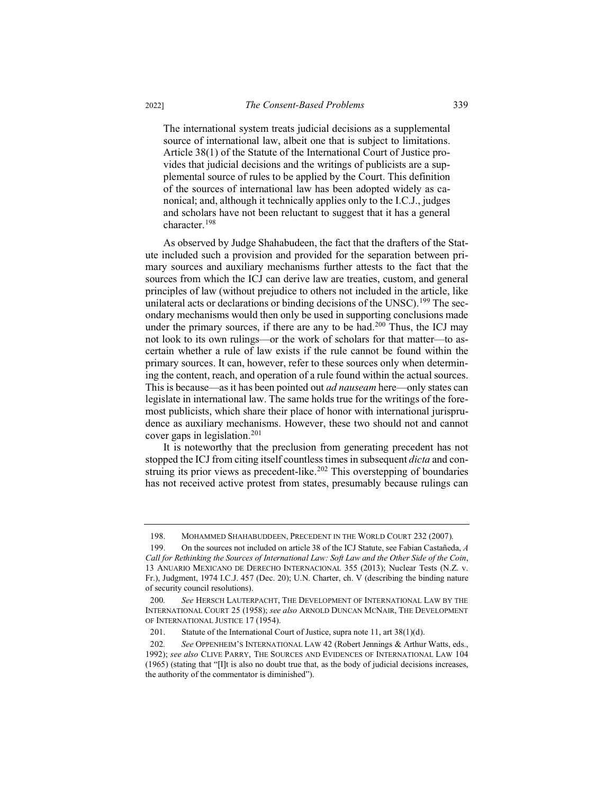The international system treats judicial decisions as a supplemental source of international law, albeit one that is subject to limitations. Article 38(1) of the Statute of the International Court of Justice provides that judicial decisions and the writings of publicists are a supplemental source of rules to be applied by the Court. This definition of the sources of international law has been adopted widely as canonical; and, although it technically applies only to the I.C.J., judges and scholars have not been reluctant to suggest that it has a general character.<sup>198</sup>

As observed by Judge Shahabudeen, the fact that the drafters of the Statute included such a provision and provided for the separation between primary sources and auxiliary mechanisms further attests to the fact that the sources from which the ICJ can derive law are treaties, custom, and general principles of law (without prejudice to others not included in the article, like unilateral acts or declarations or binding decisions of the UNSC).<sup>199</sup> The secondary mechanisms would then only be used in supporting conclusions made under the primary sources, if there are any to be had.<sup>200</sup> Thus, the ICJ may not look to its own rulings—or the work of scholars for that matter—to ascertain whether a rule of law exists if the rule cannot be found within the primary sources. It can, however, refer to these sources only when determining the content, reach, and operation of a rule found within the actual sources. This is because—as it has been pointed out *ad nauseam* here—only states can legislate in international law. The same holds true for the writings of the foremost publicists, which share their place of honor with international jurisprudence as auxiliary mechanisms. However, these two should not and cannot cover gaps in legislation.<sup>201</sup>

It is noteworthy that the preclusion from generating precedent has not stopped the ICJ from citing itself countless times in subsequent *dicta* and construing its prior views as precedent-like.<sup>202</sup> This overstepping of boundaries has not received active protest from states, presumably because rulings can

<sup>198.</sup> MOHAMMED SHAHABUDDEEN, PRECEDENT IN THE WORLD COURT 232 (2007).

<sup>199.</sup> On the sources not included on article 38 of the ICJ Statute, see Fabian Castañeda, *A Call for Rethinking the Sources of International Law: Soft Law and the Other Side of the Coin*, 13 ANUARIO MEXICANO DE DERECHO INTERNACIONAL 355 (2013); Nuclear Tests (N.Z. v. Fr.), Judgment, 1974 I.C.J. 457 (Dec. 20); U.N. Charter, ch. V (describing the binding nature of security council resolutions).

<sup>200</sup>*. See* HERSCH LAUTERPACHT, THE DEVELOPMENT OF INTERNATIONAL LAW BY THE INTERNATIONAL COURT 25 (1958); *see also* ARNOLD DUNCAN MCNAIR, THE DEVELOPMENT OF INTERNATIONAL JUSTICE 17 (1954).

<sup>201.</sup> Statute of the International Court of Justice, supra note 11, art 38(1)(d).

<sup>202</sup>*. See* OPPENHEIM'S INTERNATIONAL LAW 42 (Robert Jennings & Arthur Watts, eds., 1992); *see also* CLIVE PARRY, THE SOURCES AND EVIDENCES OF INTERNATIONAL LAW 104 (1965) (stating that "[I]t is also no doubt true that, as the body of judicial decisions increases, the authority of the commentator is diminished").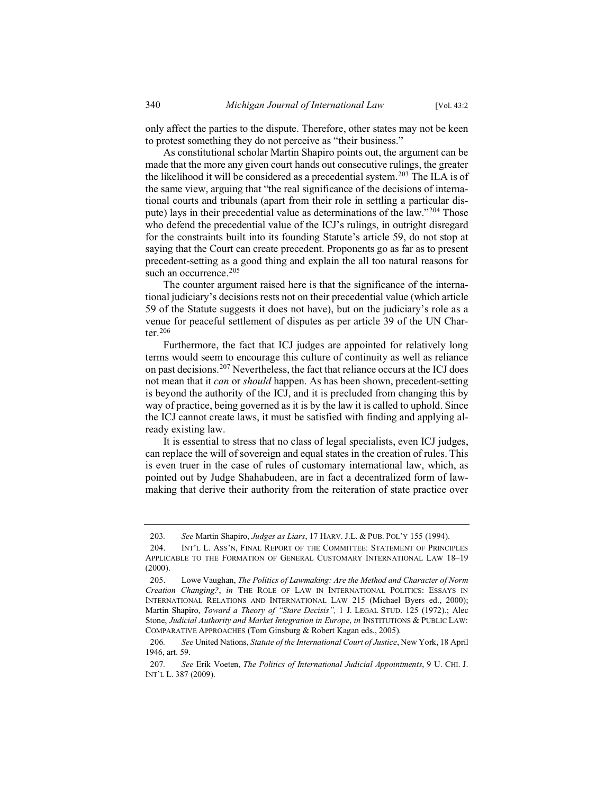only affect the parties to the dispute. Therefore, other states may not be keen to protest something they do not perceive as "their business."

As constitutional scholar Martin Shapiro points out, the argument can be made that the more any given court hands out consecutive rulings, the greater the likelihood it will be considered as a precedential system.<sup>203</sup> The ILA is of the same view, arguing that "the real significance of the decisions of international courts and tribunals (apart from their role in settling a particular dispute) lays in their precedential value as determinations of the law."<sup>204</sup> Those who defend the precedential value of the ICJ's rulings, in outright disregard for the constraints built into its founding Statute's article 59, do not stop at saying that the Court can create precedent. Proponents go as far as to present precedent-setting as a good thing and explain the all too natural reasons for such an occurrence.<sup>205</sup>

The counter argument raised here is that the significance of the international judiciary's decisions rests not on their precedential value (which article 59 of the Statute suggests it does not have), but on the judiciary's role as a venue for peaceful settlement of disputes as per article 39 of the UN Charter.<sup>206</sup>

Furthermore, the fact that ICJ judges are appointed for relatively long terms would seem to encourage this culture of continuity as well as reliance on past decisions.<sup>207</sup> Nevertheless, the fact that reliance occurs at the ICJ does not mean that it *can* or *should* happen. As has been shown, precedent-setting is beyond the authority of the ICJ, and it is precluded from changing this by way of practice, being governed as it is by the law it is called to uphold. Since the ICJ cannot create laws, it must be satisfied with finding and applying already existing law.

It is essential to stress that no class of legal specialists, even ICJ judges, can replace the will of sovereign and equal states in the creation of rules. This is even truer in the case of rules of customary international law, which, as pointed out by Judge Shahabudeen, are in fact a decentralized form of lawmaking that derive their authority from the reiteration of state practice over

<sup>203</sup>*. See* Martin Shapiro, *Judges as Liars*, 17 HARV. J.L. & PUB. POL'Y 155 (1994).

<sup>204.</sup> INT'L L. ASS'N, FINAL REPORT OF THE COMMITTEE: STATEMENT OF PRINCIPLES APPLICABLE TO THE FORMATION OF GENERAL CUSTOMARY INTERNATIONAL LAW 18–19 (2000).

<sup>205.</sup> Lowe Vaughan, *The Politics of Lawmaking: Are the Method and Character of Norm Creation Changing?*, *in* THE ROLE OF LAW IN INTERNATIONAL POLITICS: ESSAYS IN INTERNATIONAL RELATIONS AND INTERNATIONAL LAW 215 (Michael Byers ed., 2000); Martin Shapiro, *Toward a Theory of "Stare Decisis",* 1 J. LEGAL STUD. 125 (1972).; Alec Stone, *Judicial Authority and Market Integration in Europe*, *in* INSTITUTIONS & PUBLIC LAW: COMPARATIVE APPROACHES (Tom Ginsburg & Robert Kagan eds., 2005).

<sup>206</sup>*. See* United Nations, *Statute of the International Court of Justice*, New York, 18 April 1946, art. 59.

<sup>207</sup>*. See* Erik Voeten, *The Politics of International Judicial Appointments*, 9 U. CHI. J. INT'L L. 387 (2009).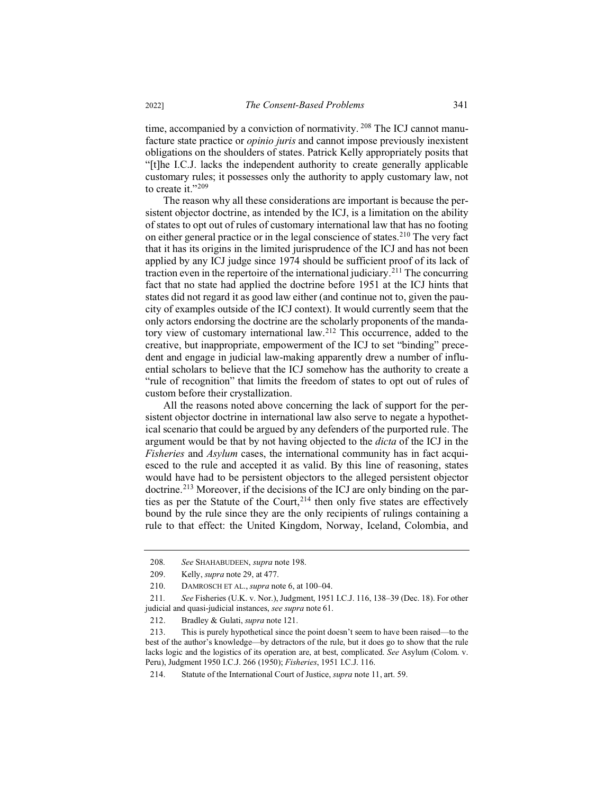time, accompanied by a conviction of normativity. <sup>208</sup> The ICJ cannot manufacture state practice or *opinio juris* and cannot impose previously inexistent obligations on the shoulders of states. Patrick Kelly appropriately posits that "[t]he I.C.J. lacks the independent authority to create generally applicable customary rules; it possesses only the authority to apply customary law, not to create it."<sup>209</sup>

The reason why all these considerations are important is because the persistent objector doctrine, as intended by the ICJ, is a limitation on the ability of states to opt out of rules of customary international law that has no footing on either general practice or in the legal conscience of states.<sup>210</sup> The very fact that it has its origins in the limited jurisprudence of the ICJ and has not been applied by any ICJ judge since 1974 should be sufficient proof of its lack of traction even in the repertoire of the international judiciary.<sup>211</sup> The concurring fact that no state had applied the doctrine before 1951 at the ICJ hints that states did not regard it as good law either (and continue not to, given the paucity of examples outside of the ICJ context). It would currently seem that the only actors endorsing the doctrine are the scholarly proponents of the mandatory view of customary international law.<sup>212</sup> This occurrence, added to the creative, but inappropriate, empowerment of the ICJ to set "binding" precedent and engage in judicial law-making apparently drew a number of influential scholars to believe that the ICJ somehow has the authority to create a "rule of recognition" that limits the freedom of states to opt out of rules of custom before their crystallization.

All the reasons noted above concerning the lack of support for the persistent objector doctrine in international law also serve to negate a hypothetical scenario that could be argued by any defenders of the purported rule. The argument would be that by not having objected to the *dicta* of the ICJ in the *Fisheries* and *Asylum* cases, the international community has in fact acquiesced to the rule and accepted it as valid. By this line of reasoning, states would have had to be persistent objectors to the alleged persistent objector doctrine.<sup>213</sup> Moreover, if the decisions of the ICJ are only binding on the parties as per the Statute of the Court,<sup>214</sup> then only five states are effectively bound by the rule since they are the only recipients of rulings containing a rule to that effect: the United Kingdom, Norway, Iceland, Colombia, and

<sup>208</sup>*. See* SHAHABUDEEN, *supra* note 198.

<sup>209.</sup> Kelly, *supra* note 29, at 477.

<sup>210.</sup> DAMROSCH ET AL., *supra* note 6, at 100–04.

<sup>211</sup>*. See* Fisheries (U.K. v. Nor.), Judgment, 1951 I.C.J. 116, 138–39 (Dec. 18). For other judicial and quasi-judicial instances, *see supra* note 61.

<sup>212.</sup> Bradley & Gulati, *supra* note 121.

<sup>213.</sup> This is purely hypothetical since the point doesn't seem to have been raised—to the best of the author's knowledge—by detractors of the rule, but it does go to show that the rule lacks logic and the logistics of its operation are, at best, complicated. *See* Asylum (Colom. v. Peru), Judgment 1950 I.C.J. 266 (1950); *Fisheries*, 1951 I.C.J. 116.

<sup>214.</sup> Statute of the International Court of Justice, *supra* note 11, art. 59.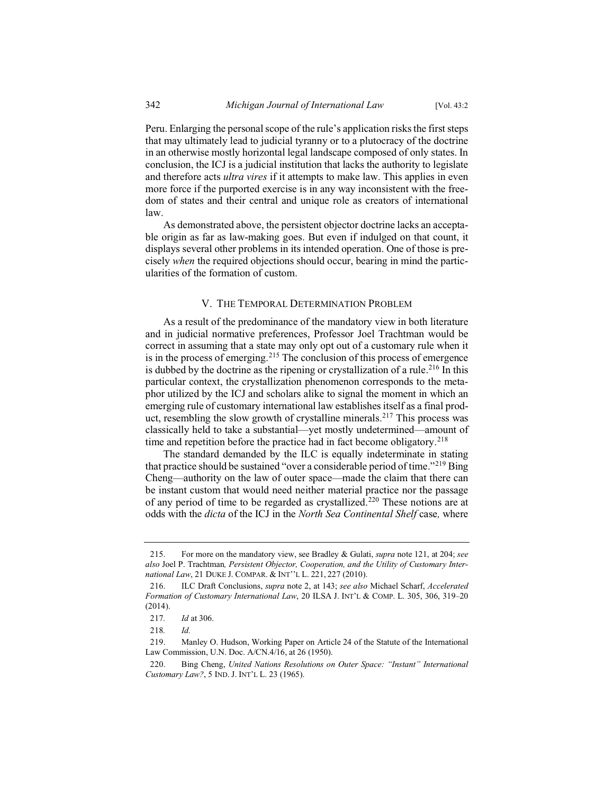Peru. Enlarging the personal scope of the rule's application risks the first steps that may ultimately lead to judicial tyranny or to a plutocracy of the doctrine in an otherwise mostly horizontal legal landscape composed of only states. In conclusion, the ICJ is a judicial institution that lacks the authority to legislate and therefore acts *ultra vires* if it attempts to make law. This applies in even more force if the purported exercise is in any way inconsistent with the freedom of states and their central and unique role as creators of international law.

As demonstrated above, the persistent objector doctrine lacks an acceptable origin as far as law-making goes. But even if indulged on that count, it displays several other problems in its intended operation. One of those is precisely *when* the required objections should occur, bearing in mind the particularities of the formation of custom.

## V. THE TEMPORAL DETERMINATION PROBLEM

As a result of the predominance of the mandatory view in both literature and in judicial normative preferences, Professor Joel Trachtman would be correct in assuming that a state may only opt out of a customary rule when it is in the process of emerging.<sup>215</sup> The conclusion of this process of emergence is dubbed by the doctrine as the ripening or crystallization of a rule.<sup>216</sup> In this particular context, the crystallization phenomenon corresponds to the metaphor utilized by the ICJ and scholars alike to signal the moment in which an emerging rule of customary international law establishes itself as a final product, resembling the slow growth of crystalline minerals.<sup>217</sup> This process was classically held to take a substantial—yet mostly undetermined—amount of time and repetition before the practice had in fact become obligatory.<sup>218</sup>

The standard demanded by the ILC is equally indeterminate in stating that practice should be sustained "over a considerable period of time."<sup>219</sup> Bing Cheng—authority on the law of outer space—made the claim that there can be instant custom that would need neither material practice nor the passage of any period of time to be regarded as crystallized.<sup>220</sup> These notions are at odds with the *dicta* of the ICJ in the *North Sea Continental Shelf* case*,* where

<sup>215.</sup> For more on the mandatory view, see Bradley & Gulati, *supra* note 121, at 204; *see also* Joel P. Trachtman*, Persistent Objector, Cooperation, and the Utility of Customary International Law*, 21 DUKE J. COMPAR.&INT''L L. 221, 227 (2010).

<sup>216.</sup> ILC Draft Conclusions, *supra* note 2, at 143; *see also* Michael Scharf, *Accelerated Formation of Customary International Law*, 20 ILSA J. INT'L & COMP. L. 305, 306, 319–20 (2014).

<sup>217</sup>*. Id* at 306.

<sup>218</sup>*. Id.* 

<sup>219.</sup> Manley O. Hudson, Working Paper on Article 24 of the Statute of the International Law Commission, U.N. Doc. A/CN.4/16, at 26 (1950).

<sup>220.</sup> Bing Cheng, *United Nations Resolutions on Outer Space: "Instant" International Customary Law?*, 5 IND. J. INT'L L. 23 (1965).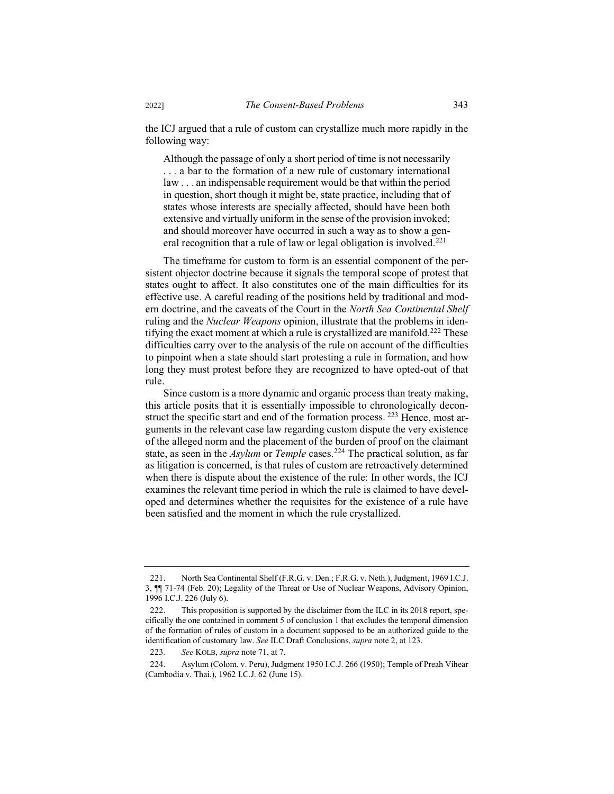the ICJ argued that a rule of custom can crystallize much more rapidly in the following way:

Although the passage of only a short period of time is not necessarily . . . a bar to the formation of a new rule of customary international law . . . an indispensable requirement would be that within the period in question, short though it might be, state practice, including that of states whose interests are specially affected, should have been both extensive and virtually uniform in the sense of the provision invoked; and should moreover have occurred in such a way as to show a general recognition that a rule of law or legal obligation is involved.<sup>221</sup>

The timeframe for custom to form is an essential component of the persistent objector doctrine because it signals the temporal scope of protest that states ought to affect. It also constitutes one of the main difficulties for its effective use. A careful reading of the positions held by traditional and modern doctrine, and the caveats of the Court in the *North Sea Continental Shelf* ruling and the *Nuclear Weapons* opinion, illustrate that the problems in identifying the exact moment at which a rule is crystallized are manifold.<sup>222</sup> These difficulties carry over to the analysis of the rule on account of the difficulties to pinpoint when a state should start protesting a rule in formation, and how long they must protest before they are recognized to have opted-out of that rule.

Since custom is a more dynamic and organic process than treaty making, this article posits that it is essentially impossible to chronologically deconstruct the specific start and end of the formation process. <sup>223</sup> Hence, most arguments in the relevant case law regarding custom dispute the very existence of the alleged norm and the placement of the burden of proof on the claimant state, as seen in the *Asylum* or *Temple* cases.<sup>224</sup> The practical solution, as far as litigation is concerned, is that rules of custom are retroactively determined when there is dispute about the existence of the rule: In other words, the ICJ examines the relevant time period in which the rule is claimed to have developed and determines whether the requisites for the existence of a rule have been satisfied and the moment in which the rule crystallized.

<sup>221.</sup> North Sea Continental Shelf (F.R.G. v. Den.; F.R.G. v. Neth.), Judgment, 1969 I.C.J. 3, ¶¶ 71-74 (Feb. 20); Legality of the Threat or Use of Nuclear Weapons, Advisory Opinion, 1996 I.C.J. 226 (July 6).

<sup>222.</sup> This proposition is supported by the disclaimer from the ILC in its 2018 report, specifically the one contained in comment 5 of conclusion 1 that excludes the temporal dimension of the formation of rules of custom in a document supposed to be an authorized guide to the identification of customary law. *See* ILC Draft Conclusions, *supra* note 2, at 123.

<sup>223</sup>*. See* KOLB, *supra* note 71, at 7.

<sup>224.</sup> Asylum (Colom. v. Peru), Judgment 1950 I.C.J. 266 (1950); Temple of Preah Vihear (Cambodia v. Thai.), 1962 I.C.J. 62 (June 15).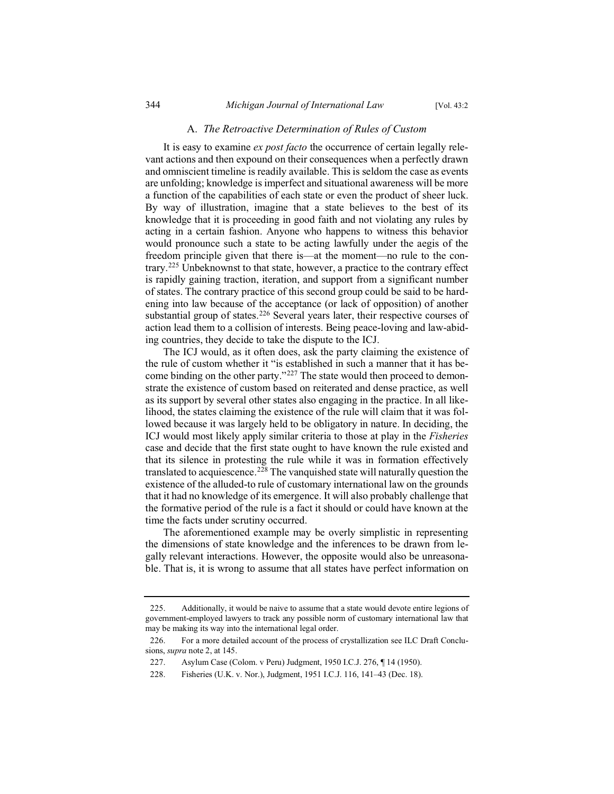#### A. *The Retroactive Determination of Rules of Custom*

It is easy to examine *ex post facto* the occurrence of certain legally relevant actions and then expound on their consequences when a perfectly drawn and omniscient timeline is readily available. This is seldom the case as events are unfolding; knowledge is imperfect and situational awareness will be more a function of the capabilities of each state or even the product of sheer luck. By way of illustration, imagine that a state believes to the best of its knowledge that it is proceeding in good faith and not violating any rules by acting in a certain fashion. Anyone who happens to witness this behavior would pronounce such a state to be acting lawfully under the aegis of the freedom principle given that there is—at the moment—no rule to the contrary.<sup>225</sup> Unbeknownst to that state, however, a practice to the contrary effect is rapidly gaining traction, iteration, and support from a significant number of states. The contrary practice of this second group could be said to be hardening into law because of the acceptance (or lack of opposition) of another substantial group of states.<sup>226</sup> Several years later, their respective courses of action lead them to a collision of interests. Being peace-loving and law-abiding countries, they decide to take the dispute to the ICJ.

The ICJ would, as it often does, ask the party claiming the existence of the rule of custom whether it "is established in such a manner that it has become binding on the other party."<sup>227</sup> The state would then proceed to demonstrate the existence of custom based on reiterated and dense practice, as well as its support by several other states also engaging in the practice. In all likelihood, the states claiming the existence of the rule will claim that it was followed because it was largely held to be obligatory in nature. In deciding, the ICJ would most likely apply similar criteria to those at play in the *Fisheries*  case and decide that the first state ought to have known the rule existed and that its silence in protesting the rule while it was in formation effectively translated to acquiescence.<sup>228</sup> The vanquished state will naturally question the existence of the alluded-to rule of customary international law on the grounds that it had no knowledge of its emergence. It will also probably challenge that the formative period of the rule is a fact it should or could have known at the time the facts under scrutiny occurred.

The aforementioned example may be overly simplistic in representing the dimensions of state knowledge and the inferences to be drawn from legally relevant interactions. However, the opposite would also be unreasonable. That is, it is wrong to assume that all states have perfect information on

<sup>225.</sup> Additionally, it would be naive to assume that a state would devote entire legions of government-employed lawyers to track any possible norm of customary international law that may be making its way into the international legal order.

<sup>226.</sup> For a more detailed account of the process of crystallization see ILC Draft Conclusions, *supra* note 2, at 145.

<sup>227.</sup> Asylum Case (Colom. v Peru) Judgment, 1950 I.C.J. 276, ¶ 14 (1950).

<sup>228.</sup> Fisheries (U.K. v. Nor.), Judgment, 1951 I.C.J. 116, 141–43 (Dec. 18).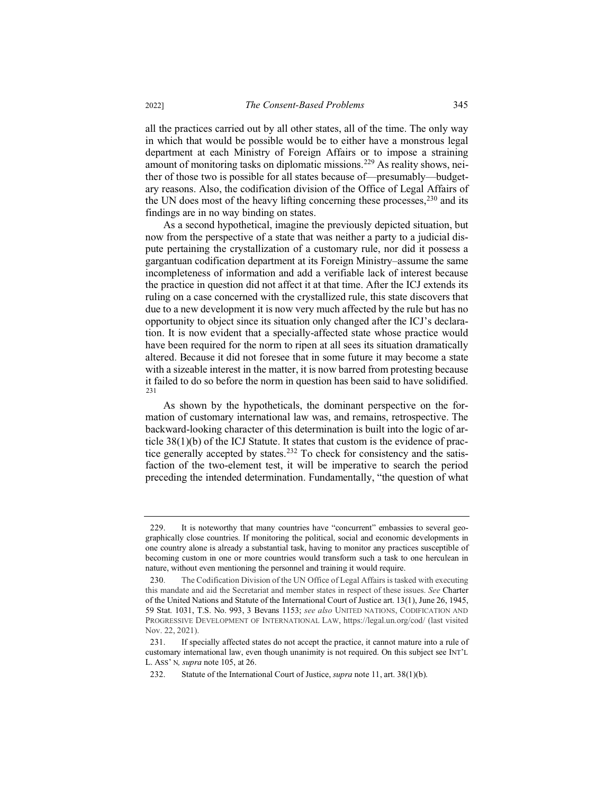all the practices carried out by all other states, all of the time. The only way in which that would be possible would be to either have a monstrous legal department at each Ministry of Foreign Affairs or to impose a straining amount of monitoring tasks on diplomatic missions.<sup>229</sup> As reality shows, neither of those two is possible for all states because of—presumably—budgetary reasons. Also, the codification division of the Office of Legal Affairs of the UN does most of the heavy lifting concerning these processes,  $230$  and its findings are in no way binding on states.

As a second hypothetical, imagine the previously depicted situation, but now from the perspective of a state that was neither a party to a judicial dispute pertaining the crystallization of a customary rule, nor did it possess a gargantuan codification department at its Foreign Ministry–assume the same incompleteness of information and add a verifiable lack of interest because the practice in question did not affect it at that time. After the ICJ extends its ruling on a case concerned with the crystallized rule, this state discovers that due to a new development it is now very much affected by the rule but has no opportunity to object since its situation only changed after the ICJ's declaration. It is now evident that a specially-affected state whose practice would have been required for the norm to ripen at all sees its situation dramatically altered. Because it did not foresee that in some future it may become a state with a sizeable interest in the matter, it is now barred from protesting because it failed to do so before the norm in question has been said to have solidified. 231

As shown by the hypotheticals, the dominant perspective on the formation of customary international law was, and remains, retrospective. The backward-looking character of this determination is built into the logic of article 38(1)(b) of the ICJ Statute. It states that custom is the evidence of practice generally accepted by states.<sup>232</sup> To check for consistency and the satisfaction of the two-element test, it will be imperative to search the period preceding the intended determination. Fundamentally, "the question of what

<sup>229.</sup> It is noteworthy that many countries have "concurrent" embassies to several geographically close countries. If monitoring the political, social and economic developments in one country alone is already a substantial task, having to monitor any practices susceptible of becoming custom in one or more countries would transform such a task to one herculean in nature, without even mentioning the personnel and training it would require.

<sup>230.</sup> The Codification Division of the UN Office of Legal Affairs is tasked with executing this mandate and aid the Secretariat and member states in respect of these issues. *See* Charter of the United Nations and Statute of the International Court of Justice art. 13(1), June 26, 1945, 59 Stat. 1031, T.S. No. 993, 3 Bevans 1153; *see also* UNITED NATIONS, CODIFICATION AND PROGRESSIVE DEVELOPMENT OF INTERNATIONAL LAW, https://legal.un.org/cod/ (last visited Nov. 22, 2021).

<sup>231.</sup> If specially affected states do not accept the practice, it cannot mature into a rule of customary international law, even though unanimity is not required. On this subject see INT'L L. ASS' N*, supra* note 105, at 26.

<sup>232.</sup> Statute of the International Court of Justice, *supra* note 11, art. 38(1)(b).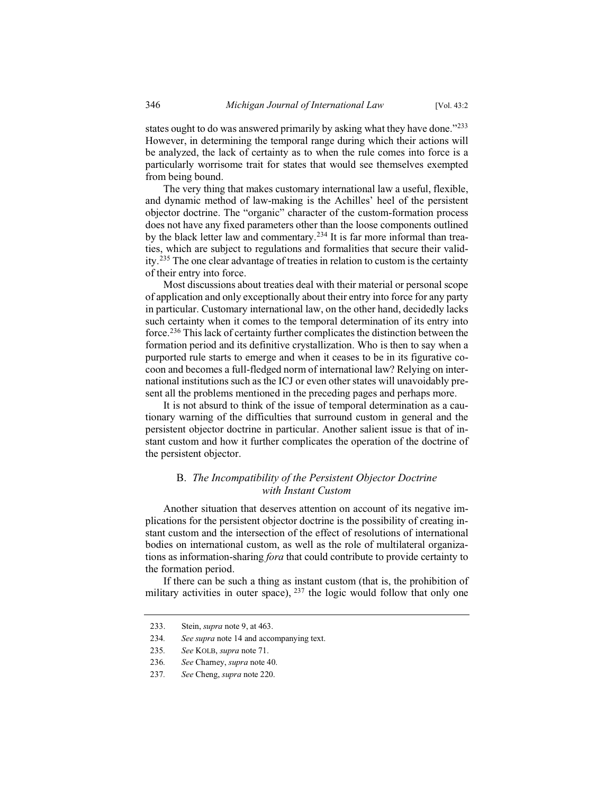states ought to do was answered primarily by asking what they have done."<sup>233</sup> However, in determining the temporal range during which their actions will be analyzed, the lack of certainty as to when the rule comes into force is a particularly worrisome trait for states that would see themselves exempted from being bound.

The very thing that makes customary international law a useful, flexible, and dynamic method of law-making is the Achilles' heel of the persistent objector doctrine. The "organic" character of the custom-formation process does not have any fixed parameters other than the loose components outlined by the black letter law and commentary.<sup>234</sup> It is far more informal than treaties, which are subject to regulations and formalities that secure their validity.<sup>235</sup> The one clear advantage of treaties in relation to custom is the certainty of their entry into force.

Most discussions about treaties deal with their material or personal scope of application and only exceptionally about their entry into force for any party in particular. Customary international law, on the other hand, decidedly lacks such certainty when it comes to the temporal determination of its entry into force.<sup>236</sup> This lack of certainty further complicates the distinction between the formation period and its definitive crystallization. Who is then to say when a purported rule starts to emerge and when it ceases to be in its figurative cocoon and becomes a full-fledged norm of international law? Relying on international institutions such as the ICJ or even other states will unavoidably present all the problems mentioned in the preceding pages and perhaps more.

It is not absurd to think of the issue of temporal determination as a cautionary warning of the difficulties that surround custom in general and the persistent objector doctrine in particular. Another salient issue is that of instant custom and how it further complicates the operation of the doctrine of the persistent objector.

## B. *The Incompatibility of the Persistent Objector Doctrine with Instant Custom*

Another situation that deserves attention on account of its negative implications for the persistent objector doctrine is the possibility of creating instant custom and the intersection of the effect of resolutions of international bodies on international custom, as well as the role of multilateral organizations as information-sharing *fora* that could contribute to provide certainty to the formation period.

If there can be such a thing as instant custom (that is, the prohibition of military activities in outer space),  $237$  the logic would follow that only one

<sup>233.</sup> Stein, *supra* note 9, at 463.

<sup>234</sup>*. See supra* note 14 and accompanying text.

<sup>235</sup>*. See* KOLB, *supra* note 71.

<sup>236</sup>*. See* Charney, *supra* note 40.

<sup>237</sup>*. See* Cheng, *supra* note 220.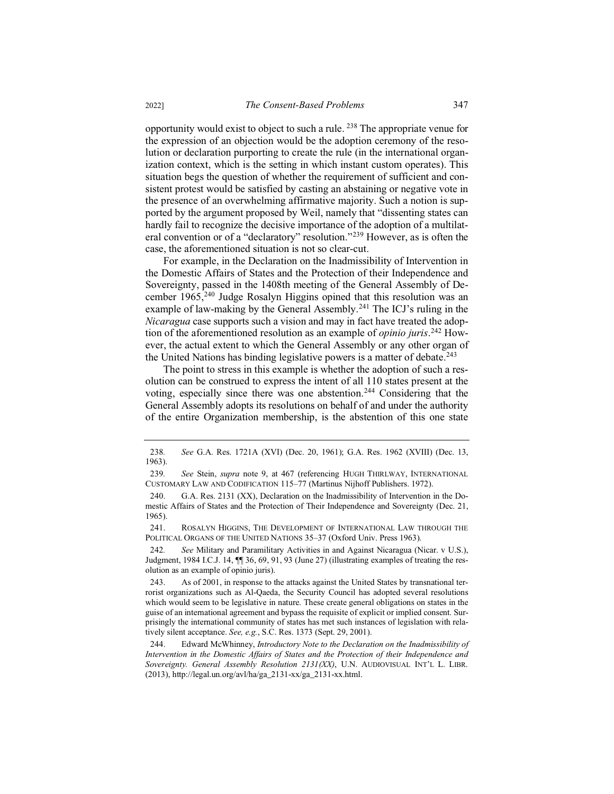opportunity would exist to object to such a rule. <sup>238</sup> The appropriate venue for the expression of an objection would be the adoption ceremony of the resolution or declaration purporting to create the rule (in the international organization context, which is the setting in which instant custom operates). This situation begs the question of whether the requirement of sufficient and consistent protest would be satisfied by casting an abstaining or negative vote in the presence of an overwhelming affirmative majority. Such a notion is supported by the argument proposed by Weil, namely that "dissenting states can hardly fail to recognize the decisive importance of the adoption of a multilateral convention or of a "declaratory" resolution."<sup>239</sup> However, as is often the case, the aforementioned situation is not so clear-cut.

For example, in the Declaration on the Inadmissibility of Intervention in the Domestic Affairs of States and the Protection of their Independence and Sovereignty, passed in the 1408th meeting of the General Assembly of December 1965,<sup>240</sup> Judge Rosalyn Higgins opined that this resolution was an example of law-making by the General Assembly.<sup>241</sup> The ICJ's ruling in the *Nicaragua* case supports such a vision and may in fact have treated the adoption of the aforementioned resolution as an example of *opinio juris*. <sup>242</sup> However, the actual extent to which the General Assembly or any other organ of the United Nations has binding legislative powers is a matter of debate.<sup>243</sup>

The point to stress in this example is whether the adoption of such a resolution can be construed to express the intent of all 110 states present at the voting, especially since there was one abstention.<sup>244</sup> Considering that the General Assembly adopts its resolutions on behalf of and under the authority of the entire Organization membership, is the abstention of this one state

<sup>238</sup>*. See* G.A. Res. 1721A (XVI) (Dec. 20, 1961); G.A. Res. 1962 (XVIII) (Dec. 13, 1963).

<sup>239</sup>*. See* Stein, *supra* note 9, at 467 (referencing HUGH THIRLWAY, INTERNATIONAL CUSTOMARY LAW AND CODIFICATION 115–77 (Martinus Nijhoff Publishers. 1972).

<sup>240.</sup> G.A. Res. 2131 (XX), Declaration on the Inadmissibility of Intervention in the Domestic Affairs of States and the Protection of Their Independence and Sovereignty (Dec. 21, 1965).

<sup>241.</sup> ROSALYN HIGGINS, THE DEVELOPMENT OF INTERNATIONAL LAW THROUGH THE POLITICAL ORGANS OF THE UNITED NATIONS 35–37 (Oxford Univ. Press 1963).

<sup>242</sup>*. See* Military and Paramilitary Activities in and Against Nicaragua (Nicar. v U.S.), Judgment, 1984 I.C.J. 14,  $\P$  36, 69, 91, 93 (June 27) (illustrating examples of treating the resolution as an example of opinio juris).

<sup>243.</sup> As of 2001, in response to the attacks against the United States by transnational terrorist organizations such as Al-Qaeda, the Security Council has adopted several resolutions which would seem to be legislative in nature. These create general obligations on states in the guise of an international agreement and bypass the requisite of explicit or implied consent. Surprisingly the international community of states has met such instances of legislation with relatively silent acceptance. *See, e.g.*, S.C. Res. 1373 (Sept. 29, 2001).

<sup>244.</sup> Edward McWhinney, *Introductory Note to the Declaration on the Inadmissibility of Intervention in the Domestic Affairs of States and the Protection of their Independence and Sovereignty. General Assembly Resolution 2131(XX)*, U.N. AUDIOVISUAL INT'L L. LIBR. (2013), http://legal.un.org/avl/ha/ga\_2131-xx/ga\_2131-xx.html.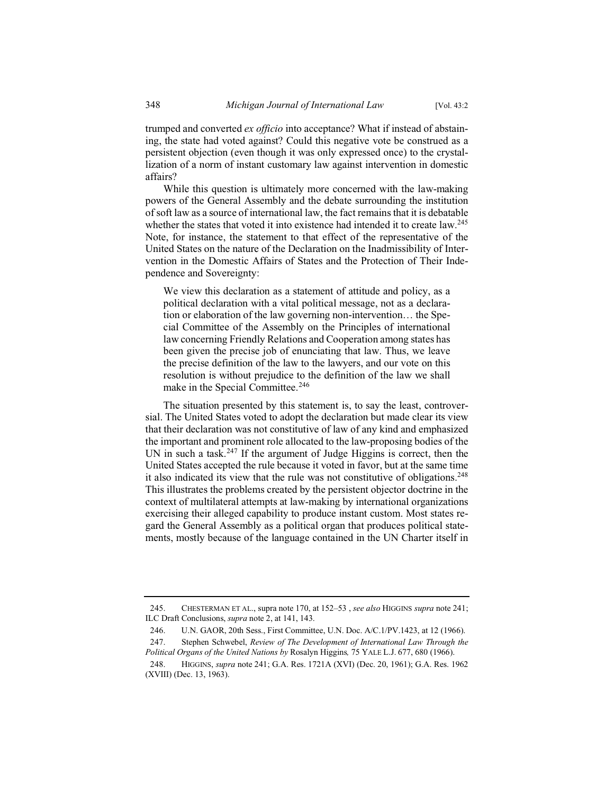trumped and converted *ex officio* into acceptance? What if instead of abstaining, the state had voted against? Could this negative vote be construed as a persistent objection (even though it was only expressed once) to the crystallization of a norm of instant customary law against intervention in domestic affairs?

While this question is ultimately more concerned with the law-making powers of the General Assembly and the debate surrounding the institution of soft law as a source of international law, the fact remains that it is debatable whether the states that voted it into existence had intended it to create law.<sup>245</sup> Note, for instance, the statement to that effect of the representative of the United States on the nature of the Declaration on the Inadmissibility of Intervention in the Domestic Affairs of States and the Protection of Their Independence and Sovereignty:

We view this declaration as a statement of attitude and policy, as a political declaration with a vital political message, not as a declaration or elaboration of the law governing non-intervention… the Special Committee of the Assembly on the Principles of international law concerning Friendly Relations and Cooperation among states has been given the precise job of enunciating that law. Thus, we leave the precise definition of the law to the lawyers, and our vote on this resolution is without prejudice to the definition of the law we shall make in the Special Committee.<sup>246</sup>

The situation presented by this statement is, to say the least, controversial. The United States voted to adopt the declaration but made clear its view that their declaration was not constitutive of law of any kind and emphasized the important and prominent role allocated to the law-proposing bodies of the UN in such a task.<sup>247</sup> If the argument of Judge Higgins is correct, then the United States accepted the rule because it voted in favor, but at the same time it also indicated its view that the rule was not constitutive of obligations.<sup>248</sup> This illustrates the problems created by the persistent objector doctrine in the context of multilateral attempts at law-making by international organizations exercising their alleged capability to produce instant custom. Most states regard the General Assembly as a political organ that produces political statements, mostly because of the language contained in the UN Charter itself in

<sup>245.</sup> CHESTERMAN ET AL., supra note 170, at 152–53 , *see also* HIGGINS *supra* note 241; ILC Draft Conclusions, *supra* note 2, at 141, 143.

<sup>246.</sup> U.N. GAOR, 20th Sess., First Committee, U.N. Doc. A/C.1/PV.1423, at 12 (1966).

<sup>247.</sup> Stephen Schwebel, *Review of The Development of International Law Through the Political Organs of the United Nations by* Rosalyn Higgins*,* 75 YALE L.J. 677, 680 (1966).

<sup>248.</sup> HIGGINS, *supra* note 241; G.A. Res. 1721A (XVI) (Dec. 20, 1961); G.A. Res. 1962 (XVIII) (Dec. 13, 1963).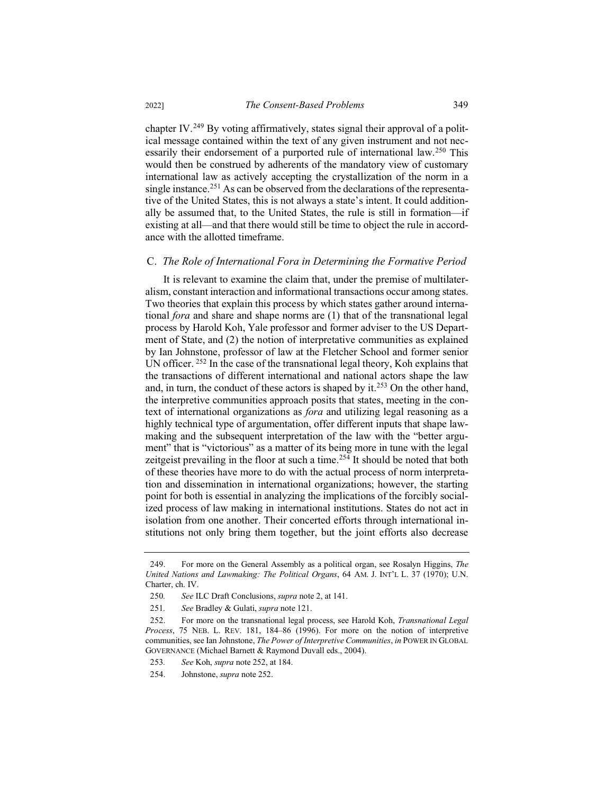chapter IV.<sup>249</sup> By voting affirmatively, states signal their approval of a political message contained within the text of any given instrument and not necessarily their endorsement of a purported rule of international law.<sup>250</sup> This would then be construed by adherents of the mandatory view of customary international law as actively accepting the crystallization of the norm in a single instance.<sup>251</sup> As can be observed from the declarations of the representative of the United States, this is not always a state's intent. It could additionally be assumed that, to the United States, the rule is still in formation—if existing at all—and that there would still be time to object the rule in accordance with the allotted timeframe.

#### C. *The Role of International Fora in Determining the Formative Period*

It is relevant to examine the claim that, under the premise of multilateralism, constant interaction and informational transactions occur among states. Two theories that explain this process by which states gather around international *fora* and share and shape norms are (1) that of the transnational legal process by Harold Koh, Yale professor and former adviser to the US Department of State, and (2) the notion of interpretative communities as explained by Ian Johnstone, professor of law at the Fletcher School and former senior UN officer. <sup>252</sup> In the case of the transnational legal theory, Koh explains that the transactions of different international and national actors shape the law and, in turn, the conduct of these actors is shaped by it.<sup>253</sup> On the other hand, the interpretive communities approach posits that states, meeting in the context of international organizations as *fora* and utilizing legal reasoning as a highly technical type of argumentation, offer different inputs that shape lawmaking and the subsequent interpretation of the law with the "better argument" that is "victorious" as a matter of its being more in tune with the legal zeitgeist prevailing in the floor at such a time.<sup>254</sup> It should be noted that both of these theories have more to do with the actual process of norm interpretation and dissemination in international organizations; however, the starting point for both is essential in analyzing the implications of the forcibly socialized process of law making in international institutions. States do not act in isolation from one another. Their concerted efforts through international institutions not only bring them together, but the joint efforts also decrease

<sup>249.</sup> For more on the General Assembly as a political organ, see Rosalyn Higgins, *The United Nations and Lawmaking: The Political Organs*, 64 AM. J. INT'L L. 37 (1970); U.N. Charter, ch. IV.

<sup>250</sup>*. See* ILC Draft Conclusions, *supra* note 2, at 141.

<sup>251</sup>*. See* Bradley & Gulati, *supra* note 121.

<sup>252.</sup> For more on the transnational legal process, see Harold Koh, *Transnational Legal Process*, 75 NEB. L. REV. 181, 184–86 (1996). For more on the notion of interpretive communities, see Ian Johnstone, *The Power of Interpretive Communities*, *in* POWER IN GLOBAL GOVERNANCE (Michael Barnett & Raymond Duvall eds., 2004).

<sup>253</sup>*. See* Koh, *supra* note 252, at 184.

<sup>254.</sup> Johnstone, *supra* note 252.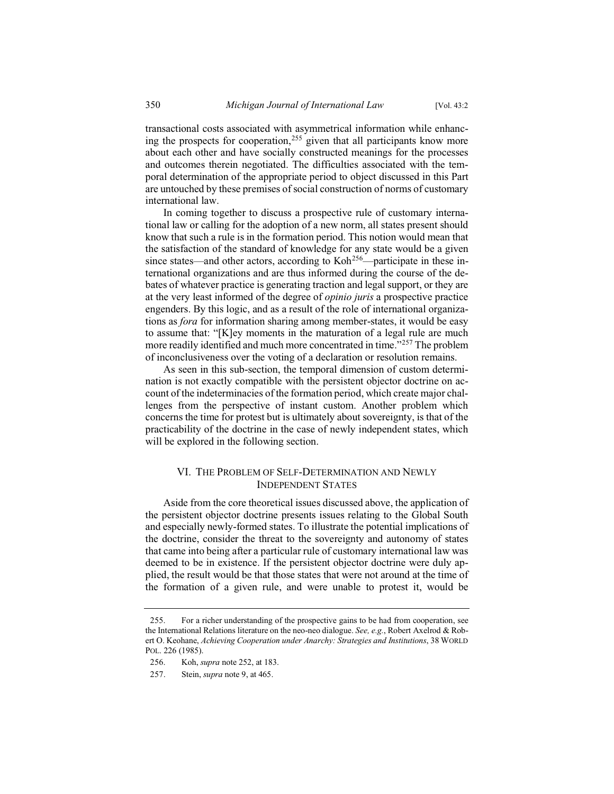transactional costs associated with asymmetrical information while enhancing the prospects for cooperation,<sup>255</sup> given that all participants know more about each other and have socially constructed meanings for the processes and outcomes therein negotiated. The difficulties associated with the temporal determination of the appropriate period to object discussed in this Part are untouched by these premises of social construction of norms of customary international law.

In coming together to discuss a prospective rule of customary international law or calling for the adoption of a new norm, all states present should know that such a rule is in the formation period. This notion would mean that the satisfaction of the standard of knowledge for any state would be a given since states—and other actors, according to Koh<sup>256</sup>—participate in these international organizations and are thus informed during the course of the debates of whatever practice is generating traction and legal support, or they are at the very least informed of the degree of *opinio juris* a prospective practice engenders. By this logic, and as a result of the role of international organizations as *fora* for information sharing among member-states, it would be easy to assume that: "[K]ey moments in the maturation of a legal rule are much more readily identified and much more concentrated in time."257 The problem of inconclusiveness over the voting of a declaration or resolution remains.

As seen in this sub-section, the temporal dimension of custom determination is not exactly compatible with the persistent objector doctrine on account of the indeterminacies of the formation period, which create major challenges from the perspective of instant custom. Another problem which concerns the time for protest but is ultimately about sovereignty, is that of the practicability of the doctrine in the case of newly independent states, which will be explored in the following section.

## VI. THE PROBLEM OF SELF-DETERMINATION AND NEWLY INDEPENDENT STATES

Aside from the core theoretical issues discussed above, the application of the persistent objector doctrine presents issues relating to the Global South and especially newly-formed states. To illustrate the potential implications of the doctrine, consider the threat to the sovereignty and autonomy of states that came into being after a particular rule of customary international law was deemed to be in existence. If the persistent objector doctrine were duly applied, the result would be that those states that were not around at the time of the formation of a given rule, and were unable to protest it, would be

<sup>255.</sup> For a richer understanding of the prospective gains to be had from cooperation, see the International Relations literature on the neo-neo dialogue. *See, e.g.*, Robert Axelrod & Robert O. Keohane, *Achieving Cooperation under Anarchy: Strategies and Institutions*, 38 WORLD POL. 226 (1985).

<sup>256.</sup> Koh, *supra* note 252, at 183.

<sup>257.</sup> Stein, *supra* note 9, at 465.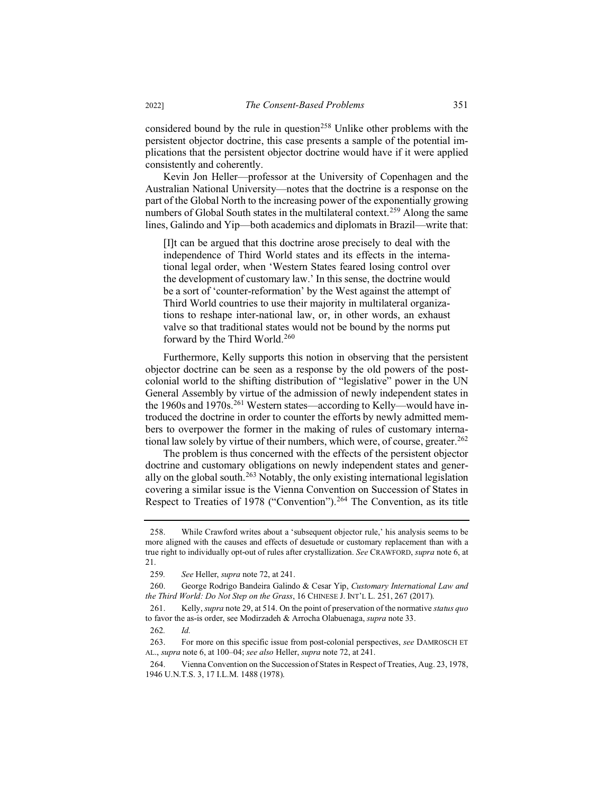considered bound by the rule in question<sup>258</sup> Unlike other problems with the persistent objector doctrine, this case presents a sample of the potential implications that the persistent objector doctrine would have if it were applied consistently and coherently.

Kevin Jon Heller—professor at the University of Copenhagen and the Australian National University—notes that the doctrine is a response on the part of the Global North to the increasing power of the exponentially growing numbers of Global South states in the multilateral context.<sup>259</sup> Along the same lines, Galindo and Yip—both academics and diplomats in Brazil—write that:

[I]t can be argued that this doctrine arose precisely to deal with the independence of Third World states and its effects in the international legal order, when 'Western States feared losing control over the development of customary law.' In this sense, the doctrine would be a sort of 'counter-reformation' by the West against the attempt of Third World countries to use their majority in multilateral organizations to reshape inter-national law, or, in other words, an exhaust valve so that traditional states would not be bound by the norms put forward by the Third World.<sup>260</sup>

Furthermore, Kelly supports this notion in observing that the persistent objector doctrine can be seen as a response by the old powers of the postcolonial world to the shifting distribution of "legislative" power in the UN General Assembly by virtue of the admission of newly independent states in the 1960s and 1970s.<sup>261</sup> Western states—according to Kelly—would have introduced the doctrine in order to counter the efforts by newly admitted members to overpower the former in the making of rules of customary international law solely by virtue of their numbers, which were, of course, greater.<sup>262</sup>

The problem is thus concerned with the effects of the persistent objector doctrine and customary obligations on newly independent states and generally on the global south.<sup>263</sup> Notably, the only existing international legislation covering a similar issue is the Vienna Convention on Succession of States in Respect to Treaties of 1978 ("Convention").<sup>264</sup> The Convention, as its title

<sup>258.</sup> While Crawford writes about a 'subsequent objector rule,' his analysis seems to be more aligned with the causes and effects of desuetude or customary replacement than with a true right to individually opt-out of rules after crystallization. *See* CRAWFORD, *supra* note 6, at 21.

<sup>259</sup>*. See* Heller, *supra* note 72, at 241.

<sup>260.</sup> George Rodrigo Bandeira Galindo & Cesar Yip, *Customary International Law and the Third World: Do Not Step on the Grass*, 16 CHINESE J. INT'L L. 251, 267 (2017).

<sup>261.</sup> Kelly, *supra* note 29, at 514. On the point of preservation of the normative *status quo* to favor the as-is order, see Modirzadeh & Arrocha Olabuenaga, *supra* note 33.

<sup>262</sup>*. Id.*

<sup>263.</sup> For more on this specific issue from post-colonial perspectives, *see* DAMROSCH ET AL., *supra* note 6, at 100–04; *see also* Heller, *supra* note 72, at 241.

<sup>264.</sup> Vienna Convention on the Succession of States in Respect of Treaties, Aug. 23, 1978, 1946 U.N.T.S. 3, 17 I.L.M. 1488 (1978).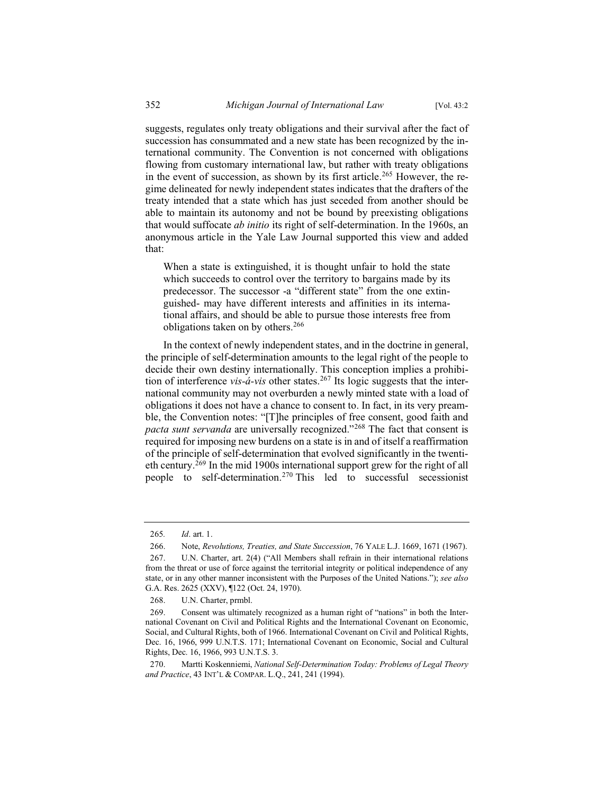suggests, regulates only treaty obligations and their survival after the fact of succession has consummated and a new state has been recognized by the international community. The Convention is not concerned with obligations flowing from customary international law, but rather with treaty obligations in the event of succession, as shown by its first article.<sup>265</sup> However, the regime delineated for newly independent states indicates that the drafters of the treaty intended that a state which has just seceded from another should be able to maintain its autonomy and not be bound by preexisting obligations that would suffocate *ab initio* its right of self-determination. In the 1960s, an anonymous article in the Yale Law Journal supported this view and added that:

When a state is extinguished, it is thought unfair to hold the state which succeeds to control over the territory to bargains made by its predecessor. The successor -a "different state" from the one extinguished- may have different interests and affinities in its international affairs, and should be able to pursue those interests free from obligations taken on by others.<sup>266</sup>

In the context of newly independent states, and in the doctrine in general, the principle of self-determination amounts to the legal right of the people to decide their own destiny internationally. This conception implies a prohibition of interference *vis-á-vis* other states.<sup>267</sup> Its logic suggests that the international community may not overburden a newly minted state with a load of obligations it does not have a chance to consent to. In fact, in its very preamble, the Convention notes: "[T]he principles of free consent, good faith and *pacta sunt servanda* are universally recognized."<sup>268</sup> The fact that consent is required for imposing new burdens on a state is in and of itself a reaffirmation of the principle of self-determination that evolved significantly in the twentieth century.<sup>269</sup> In the mid 1900s international support grew for the right of all people to self-determination.<sup>270</sup> This led to successful secessionist

<sup>265</sup>*. Id*. art. 1.

<sup>266.</sup> Note, *Revolutions, Treaties, and State Succession*, 76 YALE L.J. 1669, 1671 (1967).

<sup>267.</sup> U.N. Charter, art. 2(4) ("All Members shall refrain in their international relations from the threat or use of force against the territorial integrity or political independence of any state, or in any other manner inconsistent with the Purposes of the United Nations."); *see also*  G.A. Res. 2625 (XXV), ¶122 (Oct. 24, 1970).

<sup>268.</sup> U.N. Charter, prmbl.

<sup>269.</sup> Consent was ultimately recognized as a human right of "nations" in both the International Covenant on Civil and Political Rights and the International Covenant on Economic, Social, and Cultural Rights, both of 1966. International Covenant on Civil and Political Rights, Dec. 16, 1966, 999 U.N.T.S. 171; International Covenant on Economic, Social and Cultural Rights, Dec. 16, 1966, 993 U.N.T.S. 3.

<sup>270.</sup> Martti Koskenniemi, *National Self-Determination Today: Problems of Legal Theory and Practice*, 43 INT'L & COMPAR. L.Q., 241, 241 (1994).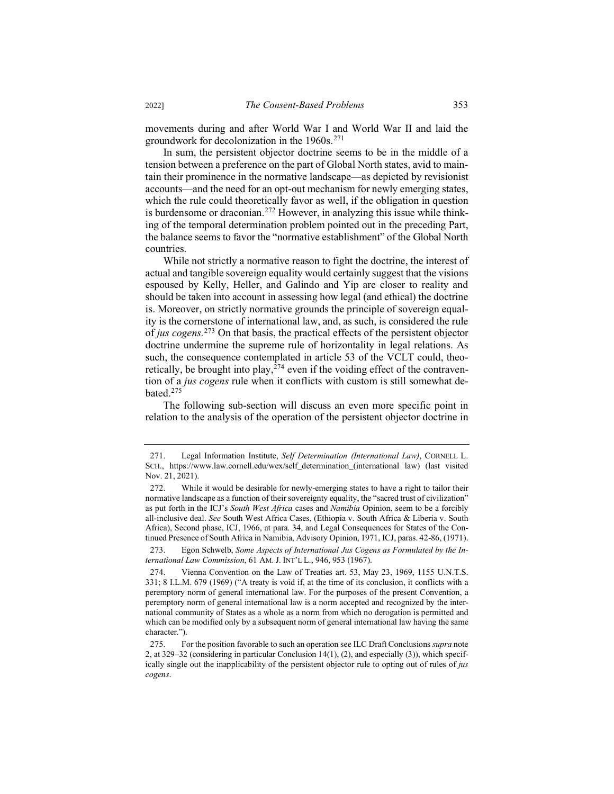movements during and after World War I and World War II and laid the groundwork for decolonization in the 1960s.<sup>271</sup>

In sum, the persistent objector doctrine seems to be in the middle of a tension between a preference on the part of Global North states, avid to maintain their prominence in the normative landscape—as depicted by revisionist accounts—and the need for an opt-out mechanism for newly emerging states, which the rule could theoretically favor as well, if the obligation in question is burdensome or draconian.<sup>272</sup> However, in analyzing this issue while thinking of the temporal determination problem pointed out in the preceding Part, the balance seems to favor the "normative establishment" of the Global North countries.

While not strictly a normative reason to fight the doctrine, the interest of actual and tangible sovereign equality would certainly suggest that the visions espoused by Kelly, Heller, and Galindo and Yip are closer to reality and should be taken into account in assessing how legal (and ethical) the doctrine is. Moreover, on strictly normative grounds the principle of sovereign equality is the cornerstone of international law, and, as such, is considered the rule of *jus cogens.*<sup>273</sup> On that basis, the practical effects of the persistent objector doctrine undermine the supreme rule of horizontality in legal relations. As such, the consequence contemplated in article 53 of the VCLT could, theoretically, be brought into play,  $274$  even if the voiding effect of the contravention of a *jus cogens* rule when it conflicts with custom is still somewhat debated.<sup>275</sup>

The following sub-section will discuss an even more specific point in relation to the analysis of the operation of the persistent objector doctrine in

<sup>271.</sup> Legal Information Institute, *Self Determination (International Law)*, CORNELL L. SCH., https://www.law.cornell.edu/wex/self\_determination (international law) (last visited Nov. 21, 2021).

<sup>272.</sup> While it would be desirable for newly-emerging states to have a right to tailor their normative landscape as a function of their sovereignty equality, the "sacred trust of civilization" as put forth in the ICJ's *South West Africa* cases and *Namibia* Opinion, seem to be a forcibly all-inclusive deal. *See* South West Africa Cases, (Ethiopia v. South Africa & Liberia v. South Africa), Second phase, ICJ, 1966, at para. 34, and Legal Consequences for States of the Continued Presence of South Africa in Namibia, Advisory Opinion, 1971, ICJ, paras. 42-86, (1971).

<sup>273.</sup> Egon Schwelb, *Some Aspects of International Jus Cogens as Formulated by the International Law Commission*, 61 AM. J. INT'L L., 946, 953 (1967).

<sup>274.</sup> Vienna Convention on the Law of Treaties art. 53, May 23, 1969, 1155 U.N.T.S. 331; 8 I.L.M. 679 (1969) ("A treaty is void if, at the time of its conclusion, it conflicts with a peremptory norm of general international law. For the purposes of the present Convention, a peremptory norm of general international law is a norm accepted and recognized by the international community of States as a whole as a norm from which no derogation is permitted and which can be modified only by a subsequent norm of general international law having the same character.").

<sup>275.</sup> For the position favorable to such an operation see ILC Draft Conclusions *supra* note 2, at 329–32 (considering in particular Conclusion 14(1), (2), and especially (3)), which specifically single out the inapplicability of the persistent objector rule to opting out of rules of *jus cogens*.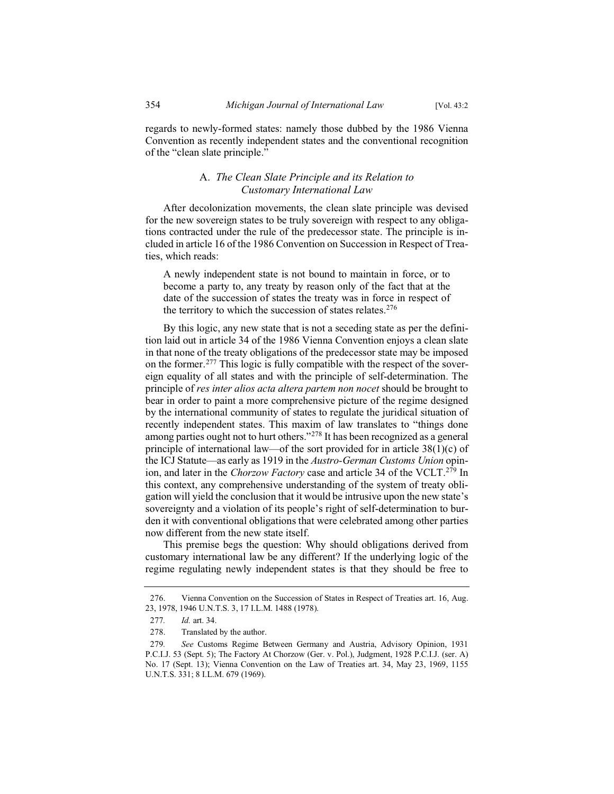regards to newly-formed states: namely those dubbed by the 1986 Vienna Convention as recently independent states and the conventional recognition of the "clean slate principle."

## A. *The Clean Slate Principle and its Relation to Customary International Law*

After decolonization movements, the clean slate principle was devised for the new sovereign states to be truly sovereign with respect to any obligations contracted under the rule of the predecessor state. The principle is included in article 16 of the 1986 Convention on Succession in Respect of Treaties, which reads:

A newly independent state is not bound to maintain in force, or to become a party to, any treaty by reason only of the fact that at the date of the succession of states the treaty was in force in respect of the territory to which the succession of states relates. $276$ 

By this logic, any new state that is not a seceding state as per the definition laid out in article 34 of the 1986 Vienna Convention enjoys a clean slate in that none of the treaty obligations of the predecessor state may be imposed on the former.<sup>277</sup> This logic is fully compatible with the respect of the sovereign equality of all states and with the principle of self-determination. The principle of *res inter alios acta altera partem non nocet* should be brought to bear in order to paint a more comprehensive picture of the regime designed by the international community of states to regulate the juridical situation of recently independent states. This maxim of law translates to "things done among parties ought not to hurt others."<sup>278</sup> It has been recognized as a general principle of international law—of the sort provided for in article  $38(1)(c)$  of the ICJ Statute—as early as 1919 in the *Austro-German Customs Union* opinion, and later in the *Chorzow Factory* case and article 34 of the VCLT.<sup>279</sup> In this context, any comprehensive understanding of the system of treaty obligation will yield the conclusion that it would be intrusive upon the new state's sovereignty and a violation of its people's right of self-determination to burden it with conventional obligations that were celebrated among other parties now different from the new state itself.

This premise begs the question: Why should obligations derived from customary international law be any different? If the underlying logic of the regime regulating newly independent states is that they should be free to

<sup>276.</sup> Vienna Convention on the Succession of States in Respect of Treaties art. 16, Aug. 23, 1978, 1946 U.N.T.S. 3, 17 I.L.M. 1488 (1978).

<sup>277</sup>*. Id.* art. 34.

<sup>278.</sup> Translated by the author.

<sup>279</sup>*. See* Customs Regime Between Germany and Austria, Advisory Opinion, 1931 P.C.I.J. 53 (Sept. 5); The Factory At Chorzow (Ger. v. Pol.), Judgment, 1928 P.C.I.J. (ser. A) No. 17 (Sept. 13); Vienna Convention on the Law of Treaties art. 34, May 23, 1969, 1155 U.N.T.S. 331; 8 I.L.M. 679 (1969).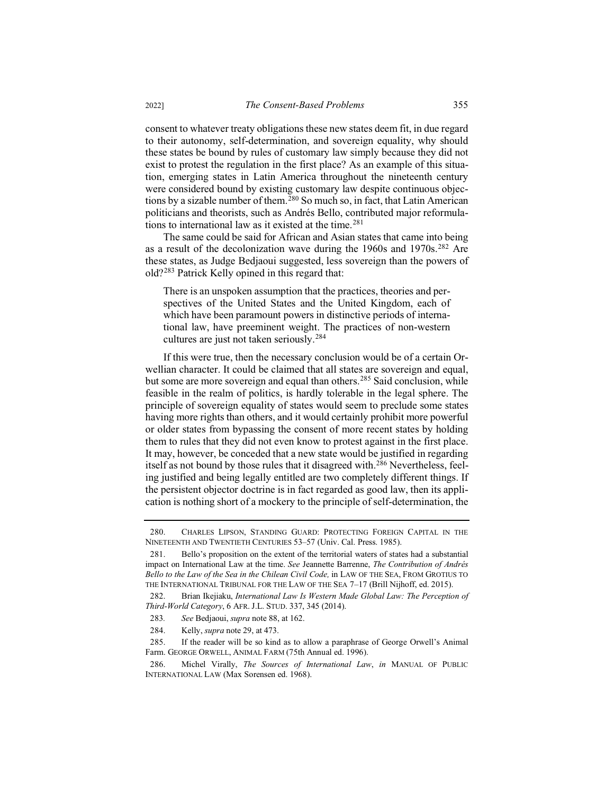consent to whatever treaty obligations these new states deem fit, in due regard to their autonomy, self-determination, and sovereign equality, why should these states be bound by rules of customary law simply because they did not exist to protest the regulation in the first place? As an example of this situation, emerging states in Latin America throughout the nineteenth century were considered bound by existing customary law despite continuous objections by a sizable number of them.<sup>280</sup> So much so, in fact, that Latin American politicians and theorists, such as Andrés Bello, contributed major reformulations to international law as it existed at the time.<sup>281</sup>

The same could be said for African and Asian states that came into being as a result of the decolonization wave during the 1960s and 1970s.<sup>282</sup> Are these states, as Judge Bedjaoui suggested, less sovereign than the powers of old?<sup>283</sup> Patrick Kelly opined in this regard that:

There is an unspoken assumption that the practices, theories and perspectives of the United States and the United Kingdom, each of which have been paramount powers in distinctive periods of international law, have preeminent weight. The practices of non-western cultures are just not taken seriously.<sup>284</sup>

If this were true, then the necessary conclusion would be of a certain Orwellian character. It could be claimed that all states are sovereign and equal, but some are more sovereign and equal than others.<sup>285</sup> Said conclusion, while feasible in the realm of politics, is hardly tolerable in the legal sphere. The principle of sovereign equality of states would seem to preclude some states having more rights than others, and it would certainly prohibit more powerful or older states from bypassing the consent of more recent states by holding them to rules that they did not even know to protest against in the first place. It may, however, be conceded that a new state would be justified in regarding itself as not bound by those rules that it disagreed with.<sup>286</sup> Nevertheless, feeling justified and being legally entitled are two completely different things. If the persistent objector doctrine is in fact regarded as good law, then its application is nothing short of a mockery to the principle of self-determination, the

<sup>280.</sup> CHARLES LIPSON, STANDING GUARD: PROTECTING FOREIGN CAPITAL IN THE NINETEENTH AND TWENTIETH CENTURIES 53–57 (Univ. Cal. Press. 1985).

<sup>281.</sup> Bello's proposition on the extent of the territorial waters of states had a substantial impact on International Law at the time. *See* Jeannette Barrenne, *The Contribution of Andrés Bello to the Law of the Sea in the Chilean Civil Code,* in LAW OF THE SEA, FROM GROTIUS TO THE INTERNATIONAL TRIBUNAL FOR THE LAW OF THE SEA 7–17 (Brill Nijhoff, ed. 2015).

<sup>282.</sup> Brian Ikejiaku, *International Law Is Western Made Global Law: The Perception of Third-World Category*, 6 AFR. J.L. STUD. 337, 345 (2014).

<sup>283</sup>*. See* Bedjaoui, *supra* note 88, at 162.

<sup>284.</sup> Kelly, *supra* note 29, at 473.

<sup>285.</sup> If the reader will be so kind as to allow a paraphrase of George Orwell's Animal Farm. GEORGE ORWELL, ANIMAL FARM (75th Annual ed. 1996).

<sup>286.</sup> Michel Virally, *The Sources of International Law*, *in* MANUAL OF PUBLIC INTERNATIONAL LAW (Max Sorensen ed. 1968).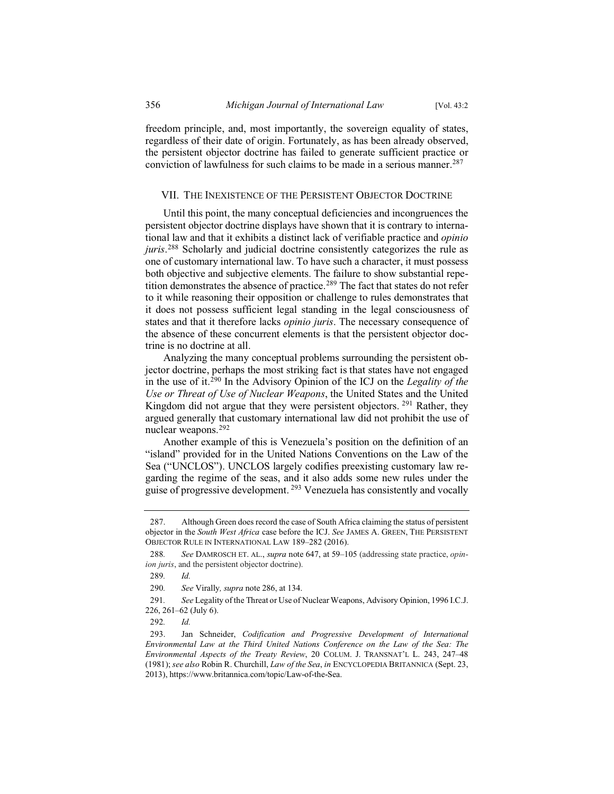freedom principle, and, most importantly, the sovereign equality of states, regardless of their date of origin. Fortunately, as has been already observed, the persistent objector doctrine has failed to generate sufficient practice or conviction of lawfulness for such claims to be made in a serious manner.<sup>287</sup>

## VII. THE INEXISTENCE OF THE PERSISTENT OBJECTOR DOCTRINE

Until this point, the many conceptual deficiencies and incongruences the persistent objector doctrine displays have shown that it is contrary to international law and that it exhibits a distinct lack of verifiable practice and *opinio juris*. <sup>288</sup> Scholarly and judicial doctrine consistently categorizes the rule as one of customary international law. To have such a character, it must possess both objective and subjective elements. The failure to show substantial repetition demonstrates the absence of practice.<sup>289</sup> The fact that states do not refer to it while reasoning their opposition or challenge to rules demonstrates that it does not possess sufficient legal standing in the legal consciousness of states and that it therefore lacks *opinio juris*. The necessary consequence of the absence of these concurrent elements is that the persistent objector doctrine is no doctrine at all.

Analyzing the many conceptual problems surrounding the persistent objector doctrine, perhaps the most striking fact is that states have not engaged in the use of it.<sup>290</sup> In the Advisory Opinion of the ICJ on the *Legality of the Use or Threat of Use of Nuclear Weapons*, the United States and the United Kingdom did not argue that they were persistent objectors. <sup>291</sup> Rather, they argued generally that customary international law did not prohibit the use of nuclear weapons.<sup>292</sup>

Another example of this is Venezuela's position on the definition of an "island" provided for in the United Nations Conventions on the Law of the Sea ("UNCLOS"). UNCLOS largely codifies preexisting customary law regarding the regime of the seas, and it also adds some new rules under the guise of progressive development.<sup>293</sup> Venezuela has consistently and vocally

<sup>287.</sup> Although Green does record the case of South Africa claiming the status of persistent objector in the *South West Africa* case before the ICJ. *See* JAMES A. GREEN, THE PERSISTENT OBJECTOR RULE IN INTERNATIONAL LAW 189–282 (2016).

<sup>288</sup>*. See* DAMROSCH ET. AL., *supra* note 647, at 59–105 (addressing state practice, *opinion juris*, and the persistent objector doctrine).

<sup>289</sup>*. Id.*

<sup>290</sup>*. See* Virally*, supra* note 286, at 134.

<sup>291</sup>*. See* Legality of the Threat or Use of Nuclear Weapons, Advisory Opinion, 1996 I.C.J. 226, 261–62 (July 6).

<sup>292</sup>*. Id.*

<sup>293.</sup> Jan Schneider, *Codification and Progressive Development of International Environmental Law at the Third United Nations Conference on the Law of the Sea: The Environmental Aspects of the Treaty Review*, 20 COLUM. J. TRANSNAT'L L. 243, 247–48 (1981); *see also* Robin R. Churchill, *Law of the Sea*, *in* ENCYCLOPEDIA BRITANNICA (Sept. 23, 2013), https://www.britannica.com/topic/Law-of-the-Sea.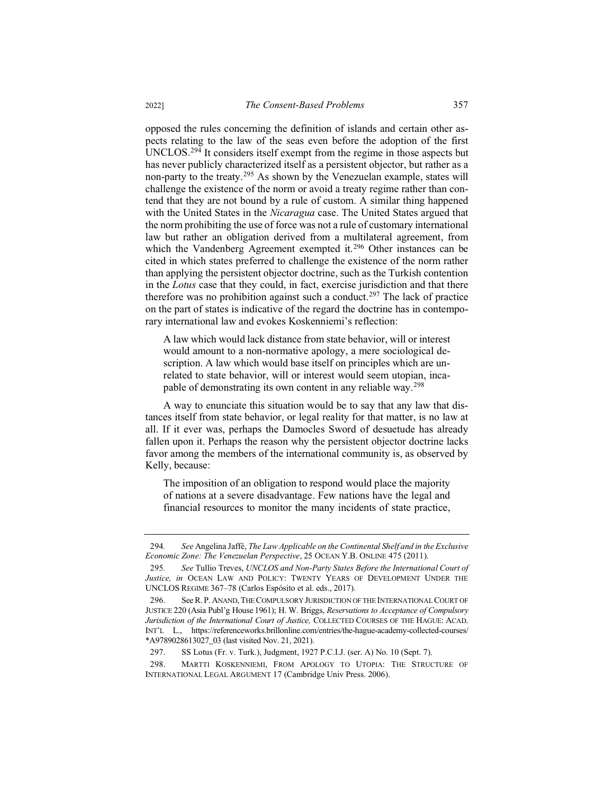opposed the rules concerning the definition of islands and certain other aspects relating to the law of the seas even before the adoption of the first UNCLOS.<sup>294</sup> It considers itself exempt from the regime in those aspects but has never publicly characterized itself as a persistent objector, but rather as a non-party to the treaty.<sup>295</sup> As shown by the Venezuelan example, states will challenge the existence of the norm or avoid a treaty regime rather than contend that they are not bound by a rule of custom. A similar thing happened with the United States in the *Nicaragua* case. The United States argued that the norm prohibiting the use of force was not a rule of customary international law but rather an obligation derived from a multilateral agreement, from which the Vandenberg Agreement exempted it.<sup>296</sup> Other instances can be cited in which states preferred to challenge the existence of the norm rather than applying the persistent objector doctrine, such as the Turkish contention in the *Lotus* case that they could, in fact, exercise jurisdiction and that there therefore was no prohibition against such a conduct.<sup>297</sup> The lack of practice on the part of states is indicative of the regard the doctrine has in contemporary international law and evokes Koskenniemi's reflection:

A law which would lack distance from state behavior, will or interest would amount to a non-normative apology, a mere sociological description. A law which would base itself on principles which are unrelated to state behavior, will or interest would seem utopian, incapable of demonstrating its own content in any reliable way.<sup>298</sup>

A way to enunciate this situation would be to say that any law that distances itself from state behavior, or legal reality for that matter, is no law at all. If it ever was, perhaps the Damocles Sword of desuetude has already fallen upon it. Perhaps the reason why the persistent objector doctrine lacks favor among the members of the international community is, as observed by Kelly, because:

The imposition of an obligation to respond would place the majority of nations at a severe disadvantage. Few nations have the legal and financial resources to monitor the many incidents of state practice,

<sup>294</sup>*. See* Angelina Jaffé, *The Law Applicable on the Continental Shelf and in the Exclusive Economic Zone: The Venezuelan Perspective*, 25 OCEAN Y.B. ONLINE 475 (2011).

<sup>295</sup>*. See* Tullio Treves, *UNCLOS and Non-Party States Before the International Court of Justice, in* OCEAN LAW AND POLICY: TWENTY YEARS OF DEVELOPMENT UNDER THE UNCLOS REGIME 367–78 (Carlos Espósito et al. eds., 2017).

<sup>296.</sup> See R. P. ANAND, THE COMPULSORY JURISDICTION OF THE INTERNATIONAL COURT OF JUSTICE 220 (Asia Publ'g House 1961); H. W. Briggs, *Reservations to Acceptance of Compulsory Jurisdiction of the International Court of Justice,* COLLECTED COURSES OF THE HAGUE: ACAD. INT'L L., https://referenceworks.brillonline.com/entries/the-hague-academy-collected-courses/ \*A9789028613027\_03 (last visited Nov. 21, 2021).

<sup>297.</sup> SS Lotus (Fr. v. Turk.), Judgment, 1927 P.C.I.J. (ser. A) No. 10 (Sept. 7).

<sup>298.</sup> MARTTI KOSKENNIEMI, FROM APOLOGY TO UTOPIA: THE STRUCTURE OF INTERNATIONAL LEGAL ARGUMENT 17 (Cambridge Univ Press. 2006).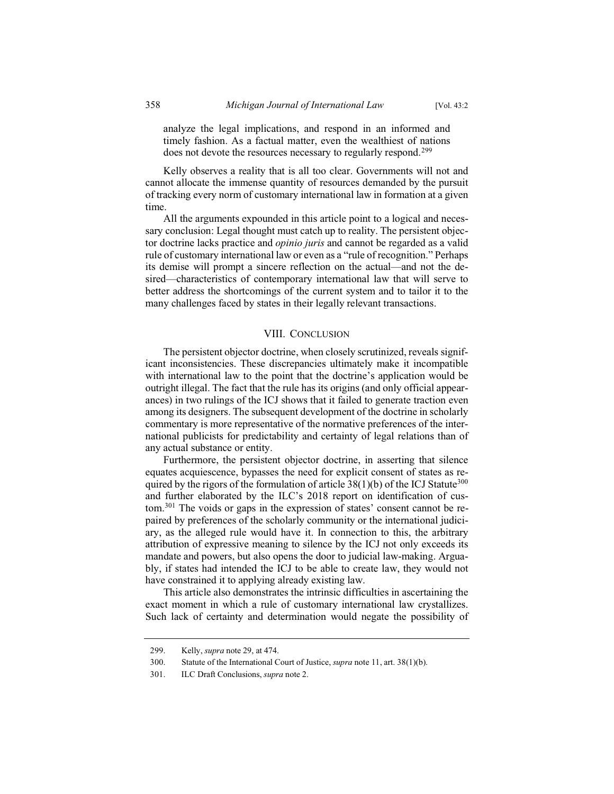analyze the legal implications, and respond in an informed and timely fashion. As a factual matter, even the wealthiest of nations does not devote the resources necessary to regularly respond.<sup>299</sup>

Kelly observes a reality that is all too clear. Governments will not and cannot allocate the immense quantity of resources demanded by the pursuit of tracking every norm of customary international law in formation at a given time.

All the arguments expounded in this article point to a logical and necessary conclusion: Legal thought must catch up to reality. The persistent objector doctrine lacks practice and *opinio juris* and cannot be regarded as a valid rule of customary international law or even as a "rule of recognition." Perhaps its demise will prompt a sincere reflection on the actual—and not the desired—characteristics of contemporary international law that will serve to better address the shortcomings of the current system and to tailor it to the many challenges faced by states in their legally relevant transactions.

#### VIII. CONCLUSION

The persistent objector doctrine, when closely scrutinized, reveals significant inconsistencies. These discrepancies ultimately make it incompatible with international law to the point that the doctrine's application would be outright illegal. The fact that the rule has its origins (and only official appearances) in two rulings of the ICJ shows that it failed to generate traction even among its designers. The subsequent development of the doctrine in scholarly commentary is more representative of the normative preferences of the international publicists for predictability and certainty of legal relations than of any actual substance or entity.

Furthermore, the persistent objector doctrine, in asserting that silence equates acquiescence, bypasses the need for explicit consent of states as required by the rigors of the formulation of article  $38(1)(b)$  of the ICJ Statute<sup>300</sup> and further elaborated by the ILC's 2018 report on identification of custom.<sup>301</sup> The voids or gaps in the expression of states' consent cannot be repaired by preferences of the scholarly community or the international judiciary, as the alleged rule would have it. In connection to this, the arbitrary attribution of expressive meaning to silence by the ICJ not only exceeds its mandate and powers, but also opens the door to judicial law-making. Arguably, if states had intended the ICJ to be able to create law, they would not have constrained it to applying already existing law.

This article also demonstrates the intrinsic difficulties in ascertaining the exact moment in which a rule of customary international law crystallizes. Such lack of certainty and determination would negate the possibility of

<sup>299.</sup> Kelly, *supra* note 29, at 474.

<sup>300.</sup> Statute of the International Court of Justice, *supra* note 11, art. 38(1)(b).

<sup>301.</sup> ILC Draft Conclusions, *supra* note 2.